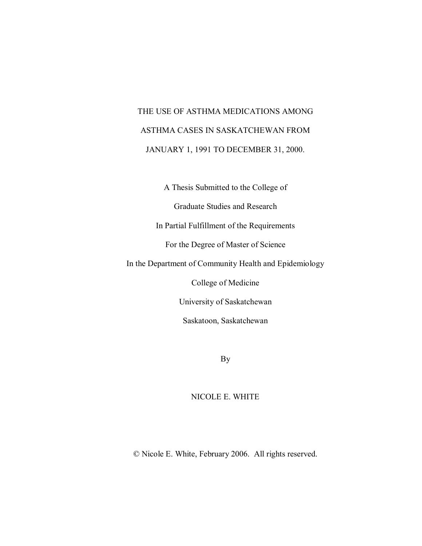# THE USE OF ASTHMA MEDICATIONS AMONG ASTHMA CASES IN SASKATCHEWAN FROM JANUARY 1, 1991 TO DECEMBER 31, 2000.

A Thesis Submitted to the College of

Graduate Studies and Research

In Partial Fulfillment of the Requirements

For the Degree of Master of Science

In the Department of Community Health and Epidemiology

College of Medicine

University of Saskatchewan

Saskatoon, Saskatchewan

By

### NICOLE E. WHITE

© Nicole E. White, February 2006. All rights reserved.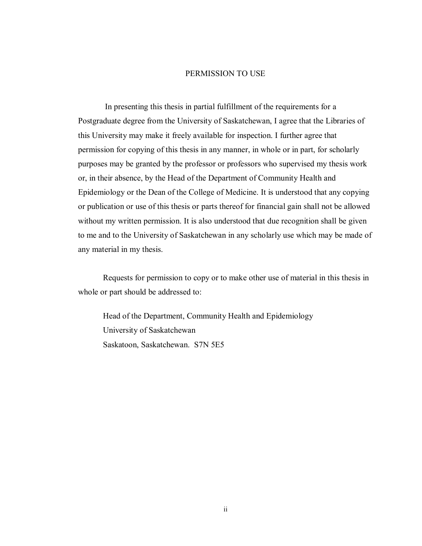### PERMISSION TO USE

 In presenting this thesis in partial fulfillment of the requirements for a Postgraduate degree from the University of Saskatchewan, I agree that the Libraries of this University may make it freely available for inspection. I further agree that permission for copying of this thesis in any manner, in whole or in part, for scholarly purposes may be granted by the professor or professors who supervised my thesis work or, in their absence, by the Head of the Department of Community Health and Epidemiology or the Dean of the College of Medicine. It is understood that any copying or publication or use of this thesis or parts thereof for financial gain shall not be allowed without my written permission. It is also understood that due recognition shall be given to me and to the University of Saskatchewan in any scholarly use which may be made of any material in my thesis.

 Requests for permission to copy or to make other use of material in this thesis in whole or part should be addressed to:

 Head of the Department, Community Health and Epidemiology University of Saskatchewan Saskatoon, Saskatchewan. S7N 5E5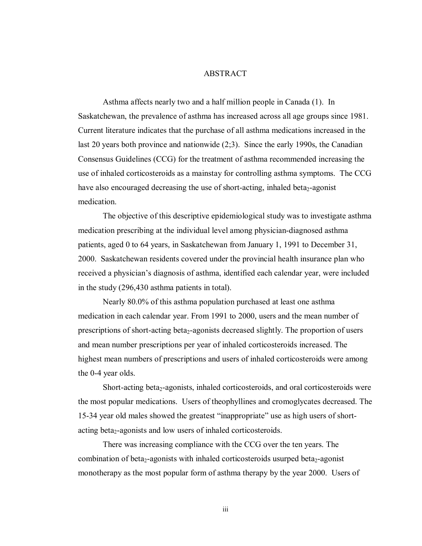### ABSTRACT

Asthma affects nearly two and a half million people in Canada (1). In Saskatchewan, the prevalence of asthma has increased across all age groups since 1981. Current literature indicates that the purchase of all asthma medications increased in the last 20 years both province and nationwide (2;3). Since the early 1990s, the Canadian Consensus Guidelines (CCG) for the treatment of asthma recommended increasing the use of inhaled corticosteroids as a mainstay for controlling asthma symptoms. The CCG have also encouraged decreasing the use of short-acting, inhaled beta<sub>2</sub>-agonist medication.

The objective of this descriptive epidemiological study was to investigate asthma medication prescribing at the individual level among physician-diagnosed asthma patients, aged 0 to 64 years, in Saskatchewan from January 1, 1991 to December 31, 2000. Saskatchewan residents covered under the provincial health insurance plan who received a physician's diagnosis of asthma, identified each calendar year, were included in the study (296,430 asthma patients in total).

Nearly 80.0% of this asthma population purchased at least one asthma medication in each calendar year. From 1991 to 2000, users and the mean number of prescriptions of short-acting beta<sub>2</sub>-agonists decreased slightly. The proportion of users and mean number prescriptions per year of inhaled corticosteroids increased. The highest mean numbers of prescriptions and users of inhaled corticosteroids were among the 0-4 year olds.

Short-acting beta<sub>2</sub>-agonists, inhaled corticosteroids, and oral corticosteroids were the most popular medications. Users of theophyllines and cromoglycates decreased. The 15-34 year old males showed the greatest "inappropriate" use as high users of shortacting beta<sub>2</sub>-agonists and low users of inhaled corticosteroids.

There was increasing compliance with the CCG over the ten years. The combination of beta<sub>2</sub>-agonists with inhaled corticosteroids usurped beta<sub>2</sub>-agonist monotherapy as the most popular form of asthma therapy by the year 2000. Users of

iii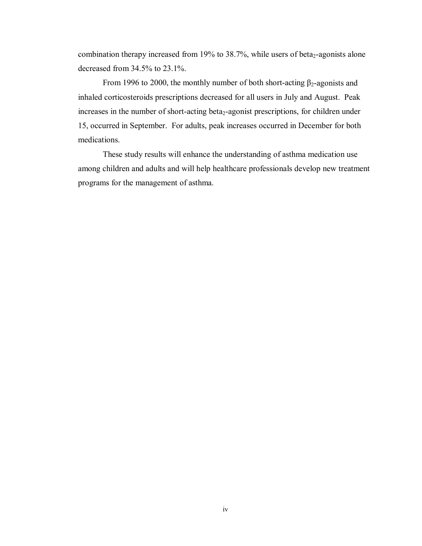combination therapy increased from 19% to  $38.7\%$ , while users of beta<sub>2</sub>-agonists alone decreased from 34.5% to 23.1%.

From 1996 to 2000, the monthly number of both short-acting  $\beta_2$ -agonists and inhaled corticosteroids prescriptions decreased for all users in July and August. Peak increases in the number of short-acting beta<sub>2</sub>-agonist prescriptions, for children under 15, occurred in September. For adults, peak increases occurred in December for both medications.

These study results will enhance the understanding of asthma medication use among children and adults and will help healthcare professionals develop new treatment programs for the management of asthma.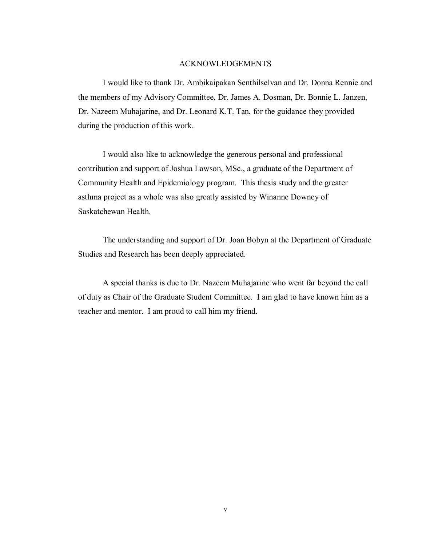### ACKNOWLEDGEMENTS

 I would like to thank Dr. Ambikaipakan Senthilselvan and Dr. Donna Rennie and the members of my Advisory Committee, Dr. James A. Dosman, Dr. Bonnie L. Janzen, Dr. Nazeem Muhajarine, and Dr. Leonard K.T. Tan, for the guidance they provided during the production of this work.

 I would also like to acknowledge the generous personal and professional contribution and support of Joshua Lawson, MSc., a graduate of the Department of Community Health and Epidemiology program. This thesis study and the greater asthma project as a whole was also greatly assisted by Winanne Downey of Saskatchewan Health.

 The understanding and support of Dr. Joan Bobyn at the Department of Graduate Studies and Research has been deeply appreciated.

 A special thanks is due to Dr. Nazeem Muhajarine who went far beyond the call of duty as Chair of the Graduate Student Committee. I am glad to have known him as a teacher and mentor. I am proud to call him my friend.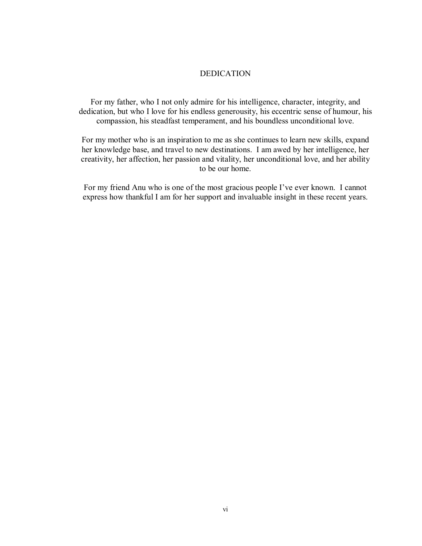### DEDICATION

For my father, who I not only admire for his intelligence, character, integrity, and dedication, but who I love for his endless generousity, his eccentric sense of humour, his compassion, his steadfast temperament, and his boundless unconditional love.

For my mother who is an inspiration to me as she continues to learn new skills, expand her knowledge base, and travel to new destinations. I am awed by her intelligence, her creativity, her affection, her passion and vitality, her unconditional love, and her ability to be our home.

For my friend Anu who is one of the most gracious people I've ever known. I cannot express how thankful I am for her support and invaluable insight in these recent years.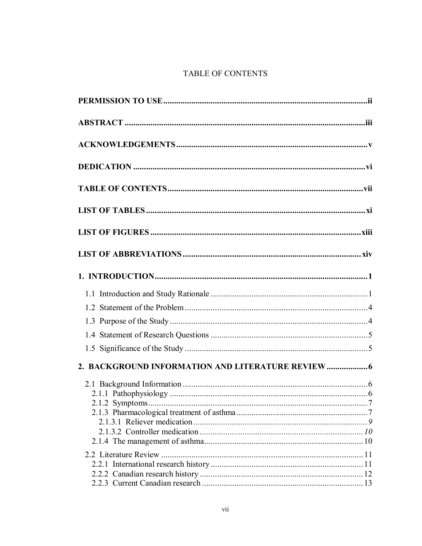# TABLE OF CONTENTS

| 2. BACKGROUND INFORMATION AND LITERATURE REVIEW |
|-------------------------------------------------|
|                                                 |
|                                                 |
|                                                 |
|                                                 |
|                                                 |
|                                                 |
|                                                 |
|                                                 |
|                                                 |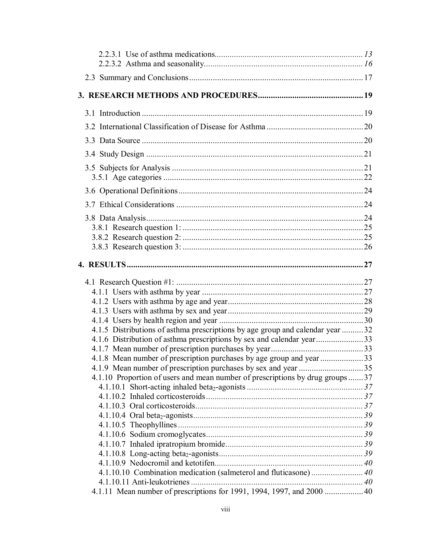| 4.1.5 Distributions of asthma prescriptions by age group and calendar year 32  |  |
|--------------------------------------------------------------------------------|--|
|                                                                                |  |
|                                                                                |  |
| 4.1.8 Mean number of prescription purchases by age group and year 33           |  |
| 4.1.10 Proportion of users and mean number of prescriptions by drug groups  37 |  |
|                                                                                |  |
|                                                                                |  |
|                                                                                |  |
|                                                                                |  |
|                                                                                |  |
|                                                                                |  |
|                                                                                |  |
| 4.1.11 Mean number of prescriptions for 1991, 1994, 1997, and 2000  40         |  |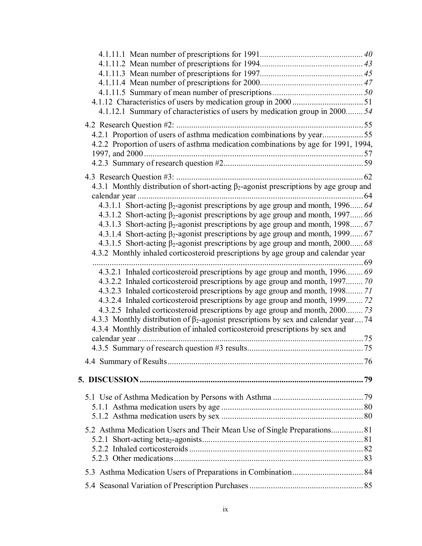| 4.1.12.1 Summary of characteristics of users by medication group in 2000 54                                                                                                 |  |
|-----------------------------------------------------------------------------------------------------------------------------------------------------------------------------|--|
|                                                                                                                                                                             |  |
|                                                                                                                                                                             |  |
| 4.2.2 Proportion of users of asthma medication combinations by age for 1991, 1994,                                                                                          |  |
|                                                                                                                                                                             |  |
|                                                                                                                                                                             |  |
|                                                                                                                                                                             |  |
|                                                                                                                                                                             |  |
| 4.3.1 Monthly distribution of short-acting $\beta_2$ -agonist prescriptions by age group and                                                                                |  |
| $4.3.1.1$ Short-acting $\beta_2$ -agonist prescriptions by age group and month, 1996 64                                                                                     |  |
| 4.3.1.2 Short-acting $\beta_2$ -agonist prescriptions by age group and month, 1997 66                                                                                       |  |
| 4.3.1.3 Short-acting $\beta_2$ -agonist prescriptions by age group and month, 1998 67                                                                                       |  |
| 4.3.1.4 Short-acting $\beta_2$ -agonist prescriptions by age group and month, 1999 67                                                                                       |  |
| 4.3.1.5 Short-acting $\beta_2$ -agonist prescriptions by age group and month, 2000 68                                                                                       |  |
| 4.3.2 Monthly inhaled corticosteroid prescriptions by age group and calendar year                                                                                           |  |
|                                                                                                                                                                             |  |
| 4.3.2.1 Inhaled corticosteroid prescriptions by age group and month, 1996 69                                                                                                |  |
| 4.3.2.2 Inhaled corticosteroid prescriptions by age group and month, 1997 70                                                                                                |  |
| 4.3.2.3 Inhaled corticosteroid prescriptions by age group and month, 1998 71                                                                                                |  |
| 4.3.2.4 Inhaled corticosteroid prescriptions by age group and month, 1999 72                                                                                                |  |
| 4.3.2.5 Inhaled corticosteroid prescriptions by age group and month, 2000 73                                                                                                |  |
| 4.3.3 Monthly distribution of $\beta_2$ -agonist prescriptions by sex and calendar year 74<br>4.3.4 Monthly distribution of inhaled corticosteroid prescriptions by sex and |  |
|                                                                                                                                                                             |  |
|                                                                                                                                                                             |  |
|                                                                                                                                                                             |  |
|                                                                                                                                                                             |  |
|                                                                                                                                                                             |  |
|                                                                                                                                                                             |  |
|                                                                                                                                                                             |  |
|                                                                                                                                                                             |  |
|                                                                                                                                                                             |  |
| 5.2 Asthma Medication Users and Their Mean Use of Single Preparations81                                                                                                     |  |
|                                                                                                                                                                             |  |
|                                                                                                                                                                             |  |
|                                                                                                                                                                             |  |
|                                                                                                                                                                             |  |
|                                                                                                                                                                             |  |
|                                                                                                                                                                             |  |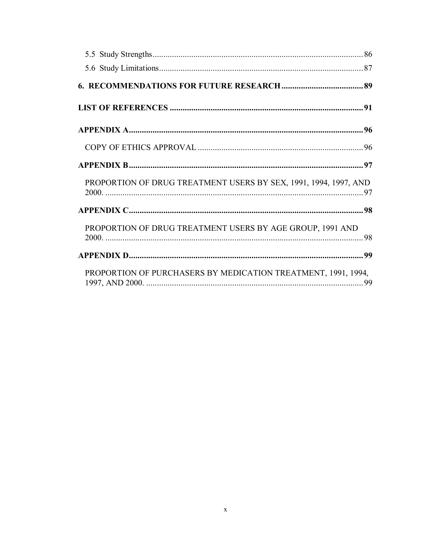| PROPORTION OF DRUG TREATMENT USERS BY SEX, 1991, 1994, 1997, AND |  |
|------------------------------------------------------------------|--|
|                                                                  |  |
| PROPORTION OF DRUG TREATMENT USERS BY AGE GROUP, 1991 AND        |  |
|                                                                  |  |
| PROPORTION OF PURCHASERS BY MEDICATION TREATMENT, 1991, 1994,    |  |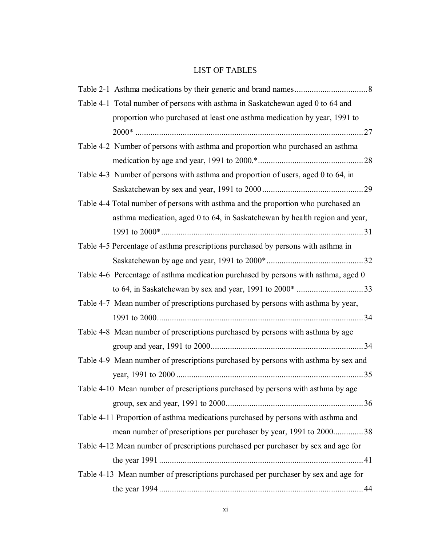## LIST OF TABLES

| Table 4-1 Total number of persons with asthma in Saskatchewan aged 0 to 64 and     |
|------------------------------------------------------------------------------------|
| proportion who purchased at least one asthma medication by year, 1991 to           |
|                                                                                    |
| Table 4-2 Number of persons with asthma and proportion who purchased an asthma     |
|                                                                                    |
| Table 4-3 Number of persons with asthma and proportion of users, aged 0 to 64, in  |
|                                                                                    |
| Table 4-4 Total number of persons with asthma and the proportion who purchased an  |
| asthma medication, aged 0 to 64, in Saskatchewan by health region and year,        |
|                                                                                    |
| Table 4-5 Percentage of asthma prescriptions purchased by persons with asthma in   |
|                                                                                    |
| Table 4-6 Percentage of asthma medication purchased by persons with asthma, aged 0 |
|                                                                                    |
| Table 4-7 Mean number of prescriptions purchased by persons with asthma by year,   |
|                                                                                    |
| Table 4-8 Mean number of prescriptions purchased by persons with asthma by age     |
|                                                                                    |
| Table 4-9 Mean number of prescriptions purchased by persons with asthma by sex and |
|                                                                                    |
| Table 4-10 Mean number of prescriptions purchased by persons with asthma by age    |
|                                                                                    |
| Table 4-11 Proportion of asthma medications purchased by persons with asthma and   |
| mean number of prescriptions per purchaser by year, 1991 to 200038                 |
| Table 4-12 Mean number of prescriptions purchased per purchaser by sex and age for |
|                                                                                    |
| Table 4-13 Mean number of prescriptions purchased per purchaser by sex and age for |
|                                                                                    |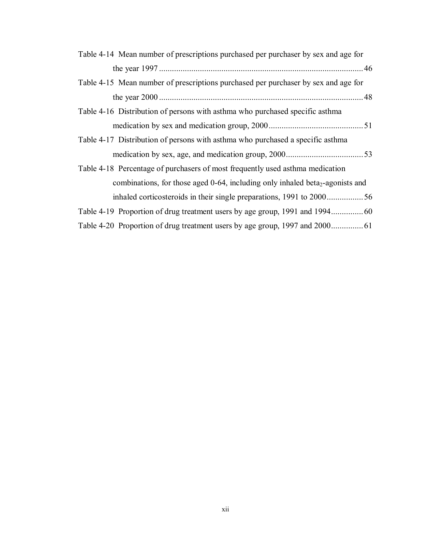| Table 4-14 Mean number of prescriptions purchased per purchaser by sex and age for        |
|-------------------------------------------------------------------------------------------|
|                                                                                           |
| Table 4-15 Mean number of prescriptions purchased per purchaser by sex and age for        |
|                                                                                           |
| Table 4-16 Distribution of persons with asthma who purchased specific asthma              |
|                                                                                           |
| Table 4-17 Distribution of persons with asthma who purchased a specific asthma            |
|                                                                                           |
| Table 4-18 Percentage of purchasers of most frequently used asthma medication             |
| combinations, for those aged 0-64, including only inhaled beta <sub>2</sub> -agonists and |
|                                                                                           |
|                                                                                           |
|                                                                                           |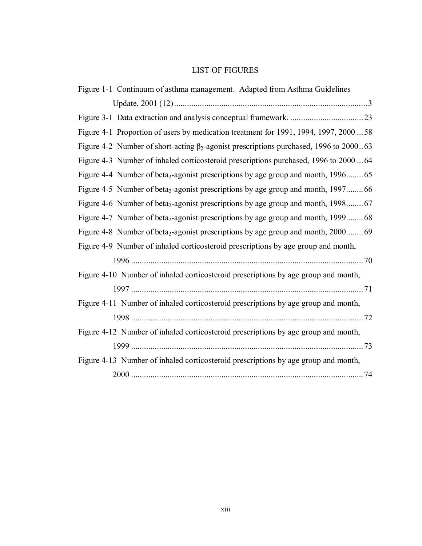# LIST OF FIGURES

| Figure 1-1 Continuum of asthma management. Adapted from Asthma Guidelines                    |
|----------------------------------------------------------------------------------------------|
|                                                                                              |
|                                                                                              |
| Figure 4-1 Proportion of users by medication treatment for 1991, 1994, 1997, 2000  58        |
| Figure 4-2 Number of short-acting $\beta_2$ -agonist prescriptions purchased, 1996 to 200063 |
| Figure 4-3 Number of inhaled corticosteroid prescriptions purchased, 1996 to 2000  64        |
| Figure 4-4 Number of beta <sub>2</sub> -agonist prescriptions by age group and month, 199665 |
| Figure 4-5 Number of beta <sub>2</sub> -agonist prescriptions by age group and month, 199766 |
| Figure 4-6 Number of beta <sub>2</sub> -agonist prescriptions by age group and month, 199867 |
| Figure 4-7 Number of beta <sub>2</sub> -agonist prescriptions by age group and month, 199968 |
| Figure 4-8 Number of beta <sub>2</sub> -agonist prescriptions by age group and month, 200069 |
| Figure 4-9 Number of inhaled corticosteroid prescriptions by age group and month,            |
|                                                                                              |
| Figure 4-10 Number of inhaled corticosteroid prescriptions by age group and month,           |
|                                                                                              |
| Figure 4-11 Number of inhaled corticosteroid prescriptions by age group and month,           |
|                                                                                              |
| Figure 4-12 Number of inhaled corticosteroid prescriptions by age group and month,           |
|                                                                                              |
| Figure 4-13 Number of inhaled corticosteroid prescriptions by age group and month,           |
|                                                                                              |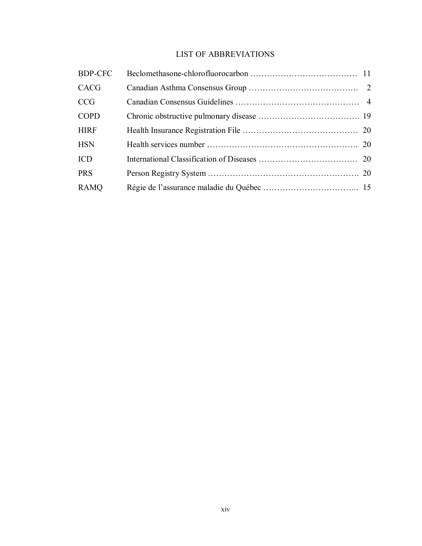### LIST OF ABBREVIATIONS

| <b>BDP-CFC</b> |  |
|----------------|--|
| CACG           |  |
| <b>CCG</b>     |  |
| <b>COPD</b>    |  |
| <b>HIRF</b>    |  |
| <b>HSN</b>     |  |
| <b>ICD</b>     |  |
| <b>PRS</b>     |  |
| <b>RAMQ</b>    |  |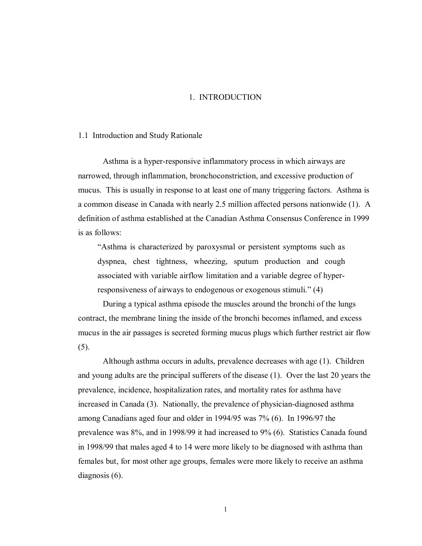### 1. INTRODUCTION

#### 1.1 Introduction and Study Rationale

Asthma is a hyper-responsive inflammatory process in which airways are narrowed, through inflammation, bronchoconstriction, and excessive production of mucus. This is usually in response to at least one of many triggering factors. Asthma is a common disease in Canada with nearly 2.5 million affected persons nationwide (1). A definition of asthma established at the Canadian Asthma Consensus Conference in 1999 is as follows:

"Asthma is characterized by paroxysmal or persistent symptoms such as dyspnea, chest tightness, wheezing, sputum production and cough associated with variable airflow limitation and a variable degree of hyperresponsiveness of airways to endogenous or exogenous stimuli." (4)

During a typical asthma episode the muscles around the bronchi of the lungs contract, the membrane lining the inside of the bronchi becomes inflamed, and excess mucus in the air passages is secreted forming mucus plugs which further restrict air flow (5).

Although asthma occurs in adults, prevalence decreases with age (1). Children and young adults are the principal sufferers of the disease (1). Over the last 20 years the prevalence, incidence, hospitalization rates, and mortality rates for asthma have increased in Canada (3). Nationally, the prevalence of physician-diagnosed asthma among Canadians aged four and older in 1994/95 was 7% (6). In 1996/97 the prevalence was 8%, and in 1998/99 it had increased to 9% (6). Statistics Canada found in 1998/99 that males aged 4 to 14 were more likely to be diagnosed with asthma than females but, for most other age groups, females were more likely to receive an asthma diagnosis (6).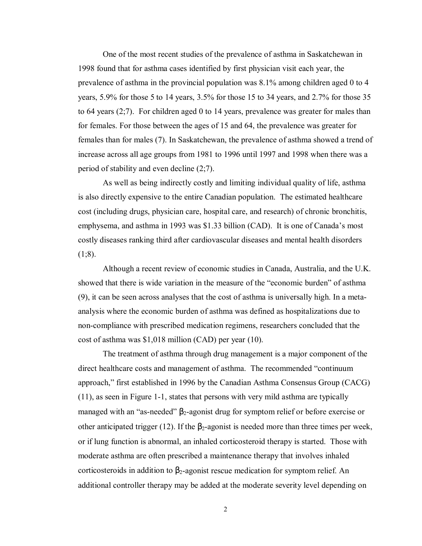One of the most recent studies of the prevalence of asthma in Saskatchewan in 1998 found that for asthma cases identified by first physician visit each year, the prevalence of asthma in the provincial population was 8.1% among children aged 0 to 4 years, 5.9% for those 5 to 14 years, 3.5% for those 15 to 34 years, and 2.7% for those 35 to 64 years (2;7). For children aged 0 to 14 years, prevalence was greater for males than for females. For those between the ages of 15 and 64, the prevalence was greater for females than for males (7). In Saskatchewan, the prevalence of asthma showed a trend of increase across all age groups from 1981 to 1996 until 1997 and 1998 when there was a period of stability and even decline (2;7).

As well as being indirectly costly and limiting individual quality of life, asthma is also directly expensive to the entire Canadian population. The estimated healthcare cost (including drugs, physician care, hospital care, and research) of chronic bronchitis, emphysema, and asthma in 1993 was \$1.33 billion (CAD). It is one of Canada's most costly diseases ranking third after cardiovascular diseases and mental health disorders  $(1;8)$ .

Although a recent review of economic studies in Canada, Australia, and the U.K. showed that there is wide variation in the measure of the "economic burden" of asthma (9), it can be seen across analyses that the cost of asthma is universally high. In a metaanalysis where the economic burden of asthma was defined as hospitalizations due to non-compliance with prescribed medication regimens, researchers concluded that the cost of asthma was \$1,018 million (CAD) per year (10).

The treatment of asthma through drug management is a major component of the direct healthcare costs and management of asthma. The recommended "continuum approach," first established in 1996 by the Canadian Asthma Consensus Group (CACG) (11), as seen in Figure 1-1, states that persons with very mild asthma are typically managed with an "as-needed"  $\beta_2$ -agonist drug for symptom relief or before exercise or other anticipated trigger (12). If the  $\beta_2$ -agonist is needed more than three times per week, or if lung function is abnormal, an inhaled corticosteroid therapy is started. Those with moderate asthma are often prescribed a maintenance therapy that involves inhaled corticosteroids in addition to  $\beta_2$ -agonist rescue medication for symptom relief. An additional controller therapy may be added at the moderate severity level depending on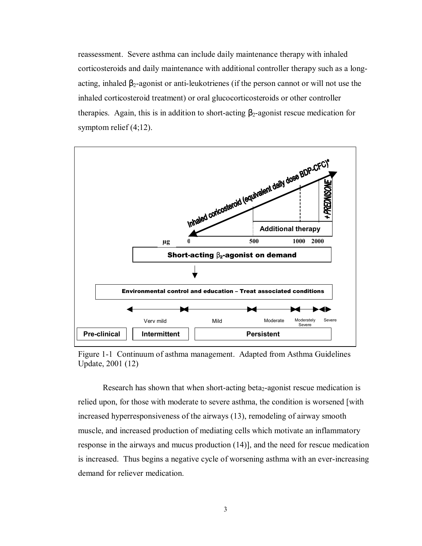reassessment. Severe asthma can include daily maintenance therapy with inhaled corticosteroids and daily maintenance with additional controller therapy such as a longacting, inhaled  $\beta_2$ -agonist or anti-leukotrienes (if the person cannot or will not use the inhaled corticosteroid treatment) or oral glucocorticosteroids or other controller therapies. Again, this is in addition to short-acting  $\beta_2$ -agonist rescue medication for symptom relief (4;12).



Figure 1-1 Continuum of asthma management. Adapted from Asthma Guidelines Update, 2001 (12)

Research has shown that when short-acting beta<sub>2</sub>-agonist rescue medication is relied upon, for those with moderate to severe asthma, the condition is worsened [with increased hyperresponsiveness of the airways (13), remodeling of airway smooth muscle, and increased production of mediating cells which motivate an inflammatory response in the airways and mucus production (14)], and the need for rescue medication is increased. Thus begins a negative cycle of worsening asthma with an ever-increasing demand for reliever medication.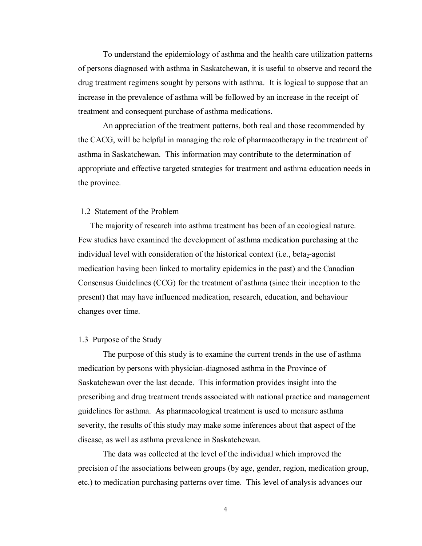To understand the epidemiology of asthma and the health care utilization patterns of persons diagnosed with asthma in Saskatchewan, it is useful to observe and record the drug treatment regimens sought by persons with asthma. It is logical to suppose that an increase in the prevalence of asthma will be followed by an increase in the receipt of treatment and consequent purchase of asthma medications.

An appreciation of the treatment patterns, both real and those recommended by the CACG, will be helpful in managing the role of pharmacotherapy in the treatment of asthma in Saskatchewan. This information may contribute to the determination of appropriate and effective targeted strategies for treatment and asthma education needs in the province.

### 1.2 Statement of the Problem

The majority of research into asthma treatment has been of an ecological nature. Few studies have examined the development of asthma medication purchasing at the individual level with consideration of the historical context (i.e., beta<sub>2</sub>-agonist medication having been linked to mortality epidemics in the past) and the Canadian Consensus Guidelines (CCG) for the treatment of asthma (since their inception to the present) that may have influenced medication, research, education, and behaviour changes over time.

### 1.3 Purpose of the Study

The purpose of this study is to examine the current trends in the use of asthma medication by persons with physician-diagnosed asthma in the Province of Saskatchewan over the last decade. This information provides insight into the prescribing and drug treatment trends associated with national practice and management guidelines for asthma. As pharmacological treatment is used to measure asthma severity, the results of this study may make some inferences about that aspect of the disease, as well as asthma prevalence in Saskatchewan.

The data was collected at the level of the individual which improved the precision of the associations between groups (by age, gender, region, medication group, etc.) to medication purchasing patterns over time. This level of analysis advances our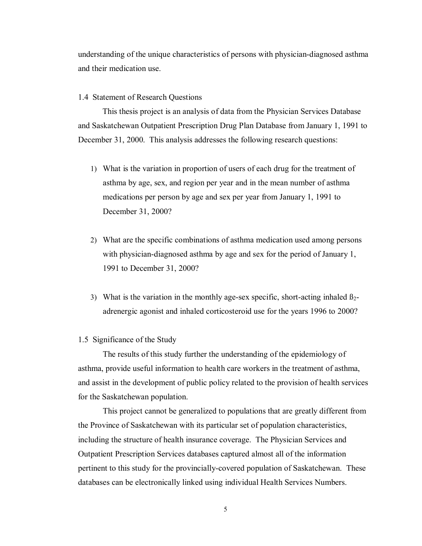understanding of the unique characteristics of persons with physician-diagnosed asthma and their medication use.

#### 1.4 Statement of Research Questions

This thesis project is an analysis of data from the Physician Services Database and Saskatchewan Outpatient Prescription Drug Plan Database from January 1, 1991 to December 31, 2000. This analysis addresses the following research questions:

- 1) What is the variation in proportion of users of each drug for the treatment of asthma by age, sex, and region per year and in the mean number of asthma medications per person by age and sex per year from January 1, 1991 to December 31, 2000?
- 2) What are the specific combinations of asthma medication used among persons with physician-diagnosed asthma by age and sex for the period of January 1, 1991 to December 31, 2000?
- 3) What is the variation in the monthly age-sex specific, short-acting inhaled  $\beta_2$ adrenergic agonist and inhaled corticosteroid use for the years 1996 to 2000?
- 1.5 Significance of the Study

The results of this study further the understanding of the epidemiology of asthma, provide useful information to health care workers in the treatment of asthma, and assist in the development of public policy related to the provision of health services for the Saskatchewan population.

This project cannot be generalized to populations that are greatly different from the Province of Saskatchewan with its particular set of population characteristics, including the structure of health insurance coverage. The Physician Services and Outpatient Prescription Services databases captured almost all of the information pertinent to this study for the provincially-covered population of Saskatchewan. These databases can be electronically linked using individual Health Services Numbers.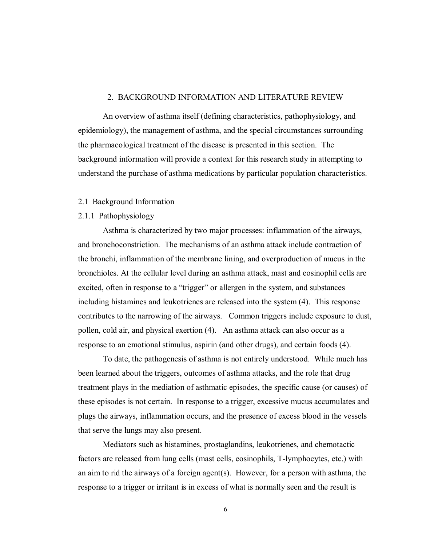#### 2. BACKGROUND INFORMATION AND LITERATURE REVIEW

An overview of asthma itself (defining characteristics, pathophysiology, and epidemiology), the management of asthma, and the special circumstances surrounding the pharmacological treatment of the disease is presented in this section. The background information will provide a context for this research study in attempting to understand the purchase of asthma medications by particular population characteristics.

### 2.1 Background Information

### 2.1.1 Pathophysiology

Asthma is characterized by two major processes: inflammation of the airways, and bronchoconstriction. The mechanisms of an asthma attack include contraction of the bronchi, inflammation of the membrane lining, and overproduction of mucus in the bronchioles. At the cellular level during an asthma attack, mast and eosinophil cells are excited, often in response to a "trigger" or allergen in the system, and substances including histamines and leukotrienes are released into the system (4). This response contributes to the narrowing of the airways. Common triggers include exposure to dust, pollen, cold air, and physical exertion (4). An asthma attack can also occur as a response to an emotional stimulus, aspirin (and other drugs), and certain foods (4).

To date, the pathogenesis of asthma is not entirely understood. While much has been learned about the triggers, outcomes of asthma attacks, and the role that drug treatment plays in the mediation of asthmatic episodes, the specific cause (or causes) of these episodes is not certain. In response to a trigger, excessive mucus accumulates and plugs the airways, inflammation occurs, and the presence of excess blood in the vessels that serve the lungs may also present.

Mediators such as histamines, prostaglandins, leukotrienes, and chemotactic factors are released from lung cells (mast cells, eosinophils, T-lymphocytes, etc.) with an aim to rid the airways of a foreign agent(s). However, for a person with asthma, the response to a trigger or irritant is in excess of what is normally seen and the result is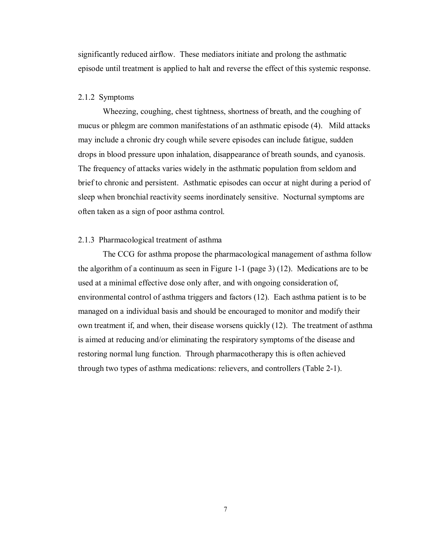significantly reduced airflow. These mediators initiate and prolong the asthmatic episode until treatment is applied to halt and reverse the effect of this systemic response.

### 2.1.2 Symptoms

Wheezing, coughing, chest tightness, shortness of breath, and the coughing of mucus or phlegm are common manifestations of an asthmatic episode (4). Mild attacks may include a chronic dry cough while severe episodes can include fatigue, sudden drops in blood pressure upon inhalation, disappearance of breath sounds, and cyanosis. The frequency of attacks varies widely in the asthmatic population from seldom and brief to chronic and persistent. Asthmatic episodes can occur at night during a period of sleep when bronchial reactivity seems inordinately sensitive. Nocturnal symptoms are often taken as a sign of poor asthma control.

### 2.1.3 Pharmacological treatment of asthma

The CCG for asthma propose the pharmacological management of asthma follow the algorithm of a continuum as seen in Figure 1-1 (page 3) (12). Medications are to be used at a minimal effective dose only after, and with ongoing consideration of, environmental control of asthma triggers and factors (12). Each asthma patient is to be managed on a individual basis and should be encouraged to monitor and modify their own treatment if, and when, their disease worsens quickly (12). The treatment of asthma is aimed at reducing and/or eliminating the respiratory symptoms of the disease and restoring normal lung function. Through pharmacotherapy this is often achieved through two types of asthma medications: relievers, and controllers (Table 2-1).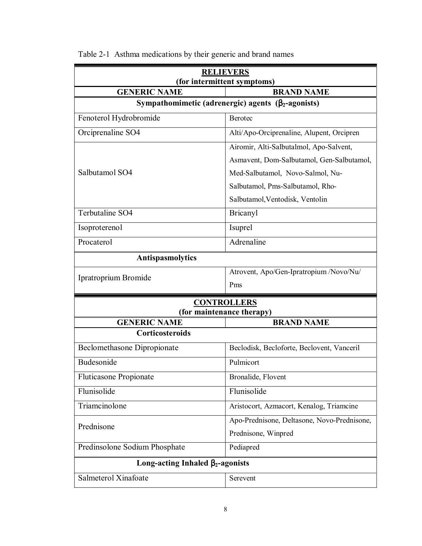| <b>RELIEVERS</b><br>(for intermittent symptoms)           |                                                 |  |
|-----------------------------------------------------------|-------------------------------------------------|--|
| <b>GENERIC NAME</b>                                       | <b>BRAND NAME</b>                               |  |
| Sympathomimetic (adrenergic) agents $(\beta_2$ -agonists) |                                                 |  |
| Fenoterol Hydrobromide                                    | <b>Berotec</b>                                  |  |
| Orciprenaline SO4                                         | Alti/Apo-Orciprenaline, Alupent, Orcipren       |  |
|                                                           | Airomir, Alti-Salbutalmol, Apo-Salvent,         |  |
|                                                           | Asmavent, Dom-Salbutamol, Gen-Salbutamol,       |  |
| Salbutamol SO4                                            | Med-Salbutamol, Novo-Salmol, Nu-                |  |
|                                                           | Salbutamol, Pms-Salbutamol, Rho-                |  |
|                                                           | Salbutamol, Ventodisk, Ventolin                 |  |
| Terbutaline SO4                                           | Bricanyl                                        |  |
| Isoproterenol                                             | Isuprel                                         |  |
| Procaterol                                                | Adrenaline                                      |  |
| <b>Antispasmolytics</b>                                   |                                                 |  |
| Ipratroprium Bromide                                      | Atrovent, Apo/Gen-Ipratropium /Novo/Nu/         |  |
|                                                           | Pms                                             |  |
|                                                           | <b>CONTROLLERS</b><br>(for maintenance therapy) |  |
| <b>GENERIC NAME</b>                                       | <b>BRAND NAME</b>                               |  |
| <b>Corticosteroids</b>                                    |                                                 |  |
| <b>Beclomethasone Dipropionate</b>                        | Beclodisk, Becloforte, Beclovent, Vanceril      |  |
| Budesonide                                                | Pulmicort                                       |  |
| <b>Fluticasone Propionate</b>                             | Bronalide, Flovent                              |  |
| Flunisolide                                               | Flunisolide                                     |  |
| Triamcinolone                                             | Aristocort, Azmacort, Kenalog, Triamcine        |  |
| Prednisone                                                | Apo-Prednisone, Deltasone, Novo-Prednisone,     |  |
|                                                           | Prednisone, Winpred                             |  |
| Predinsolone Sodium Phosphate                             | Pediapred                                       |  |
| Long-acting Inhaled $\beta_2$ -agonists                   |                                                 |  |
| Salmeterol Xinafoate                                      | Serevent                                        |  |

Table 2-1 Asthma medications by their generic and brand names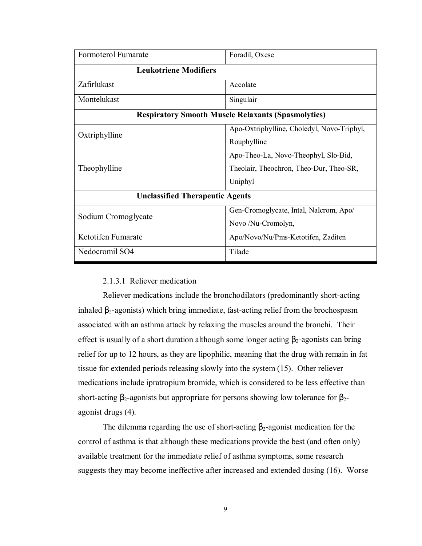| Formoterol Fumarate                                       | Foradil, Oxese                             |  |  |
|-----------------------------------------------------------|--------------------------------------------|--|--|
| <b>Leukotriene Modifiers</b>                              |                                            |  |  |
| Zafirlukast                                               | Accolate                                   |  |  |
| Montelukast                                               | Singulair                                  |  |  |
| <b>Respiratory Smooth Muscle Relaxants (Spasmolytics)</b> |                                            |  |  |
| Oxtriphylline                                             | Apo-Oxtriphylline, Choledyl, Novo-Triphyl, |  |  |
|                                                           | Rouphylline                                |  |  |
|                                                           | Apo-Theo-La, Novo-Theophyl, Slo-Bid,       |  |  |
| Theophylline                                              | Theolair, Theochron, Theo-Dur, Theo-SR,    |  |  |
|                                                           | Uniphyl                                    |  |  |
| <b>Unclassified Therapeutic Agents</b>                    |                                            |  |  |
| Sodium Cromoglycate                                       | Gen-Cromoglycate, Intal, Nalcrom, Apo/     |  |  |
|                                                           | Novo /Nu-Cromolyn,                         |  |  |
| Ketotifen Fumarate                                        | Apo/Novo/Nu/Pms-Ketotifen, Zaditen         |  |  |
| Nedocromil SO4                                            | Tilade                                     |  |  |

### 2.1.3.1 Reliever medication

Reliever medications include the bronchodilators (predominantly short-acting inhaled  $\beta_2$ -agonists) which bring immediate, fast-acting relief from the brochospasm associated with an asthma attack by relaxing the muscles around the bronchi. Their effect is usually of a short duration although some longer acting  $\beta_2$ -agonists can bring relief for up to 12 hours, as they are lipophilic, meaning that the drug with remain in fat tissue for extended periods releasing slowly into the system (15). Other reliever medications include ipratropium bromide, which is considered to be less effective than short-acting  $\beta_2$ -agonists but appropriate for persons showing low tolerance for  $\beta_2$ agonist drugs (4).

The dilemma regarding the use of short-acting  $\beta_2$ -agonist medication for the control of asthma is that although these medications provide the best (and often only) available treatment for the immediate relief of asthma symptoms, some research suggests they may become ineffective after increased and extended dosing (16). Worse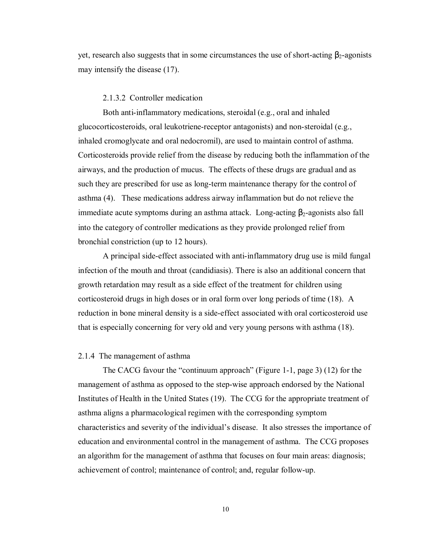yet, research also suggests that in some circumstances the use of short-acting  $β_2$ -agonists may intensify the disease (17).

### 2.1.3.2 Controller medication

Both anti-inflammatory medications, steroidal (e.g., oral and inhaled glucocorticosteroids, oral leukotriene-receptor antagonists) and non-steroidal (e.g., inhaled cromoglycate and oral nedocromil), are used to maintain control of asthma. Corticosteroids provide relief from the disease by reducing both the inflammation of the airways, and the production of mucus. The effects of these drugs are gradual and as such they are prescribed for use as long-term maintenance therapy for the control of asthma (4). These medications address airway inflammation but do not relieve the immediate acute symptoms during an asthma attack. Long-acting  $\beta_2$ -agonists also fall into the category of controller medications as they provide prolonged relief from bronchial constriction (up to 12 hours).

A principal side-effect associated with anti-inflammatory drug use is mild fungal infection of the mouth and throat (candidiasis). There is also an additional concern that growth retardation may result as a side effect of the treatment for children using corticosteroid drugs in high doses or in oral form over long periods of time (18). A reduction in bone mineral density is a side-effect associated with oral corticosteroid use that is especially concerning for very old and very young persons with asthma (18).

### 2.1.4 The management of asthma

The CACG favour the "continuum approach" (Figure 1-1, page 3) (12) for the management of asthma as opposed to the step-wise approach endorsed by the National Institutes of Health in the United States (19). The CCG for the appropriate treatment of asthma aligns a pharmacological regimen with the corresponding symptom characteristics and severity of the individual's disease. It also stresses the importance of education and environmental control in the management of asthma. The CCG proposes an algorithm for the management of asthma that focuses on four main areas: diagnosis; achievement of control; maintenance of control; and, regular follow-up.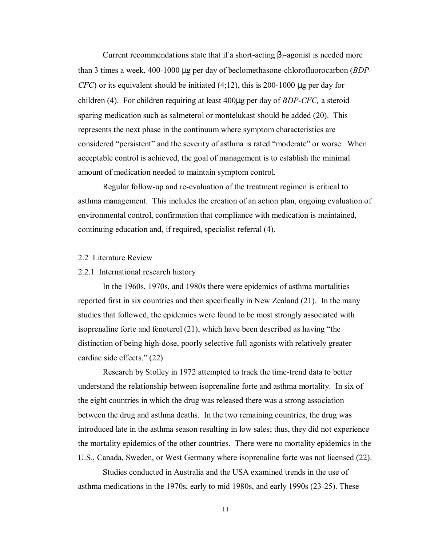Current recommendations state that if a short-acting  $\beta_2$ -agonist is needed more than 3 times a week, 400-1000 µg per day of beclomethasone-chlorofluorocarbon (*BDP-CFC*) or its equivalent should be initiated  $(4,12)$ , this is 200-1000  $\mu$ g per day for children (4). For children requiring at least 400µg per day of *BDP-CFC,* a steroid sparing medication such as salmeterol or montelukast should be added (20).This represents the next phase in the continuum where symptom characteristics are considered "persistent" and the severity of asthma is rated "moderate" or worse. When acceptable control is achieved, the goal of management is to establish the minimal amount of medication needed to maintain symptom control.

Regular follow-up and re-evaluation of the treatment regimen is critical to asthma management. This includes the creation of an action plan, ongoing evaluation of environmental control, confirmation that compliance with medication is maintained, continuing education and, if required, specialist referral (4).

### 2.2 Literature Review

### 2.2.1 International research history

 In the 1960s, 1970s, and 1980s there were epidemics of asthma mortalities reported first in six countries and then specifically in New Zealand (21). In the many studies that followed, the epidemics were found to be most strongly associated with isoprenaline forte and fenoterol (21), which have been described as having "the distinction of being high-dose, poorly selective full agonists with relatively greater cardiac side effects." (22)

Research by Stolley in 1972 attempted to track the time-trend data to better understand the relationship between isoprenaline forte and asthma mortality. In six of the eight countries in which the drug was released there was a strong association between the drug and asthma deaths. In the two remaining countries, the drug was introduced late in the asthma season resulting in low sales; thus, they did not experience the mortality epidemics of the other countries. There were no mortality epidemics in the U.S., Canada, Sweden, or West Germany where isoprenaline forte was not licensed (22).

Studies conducted in Australia and the USA examined trends in the use of asthma medications in the 1970s, early to mid 1980s, and early 1990s (23-25). These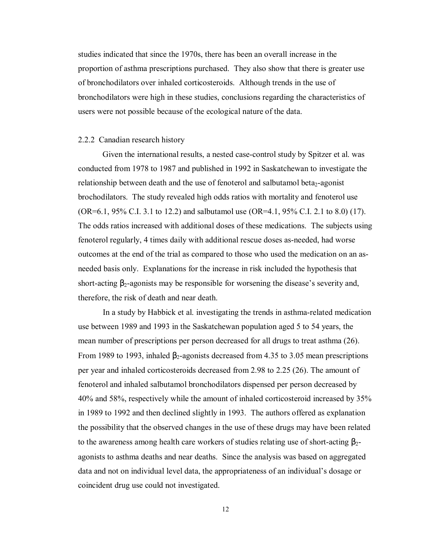studies indicated that since the 1970s, there has been an overall increase in the proportion of asthma prescriptions purchased. They also show that there is greater use of bronchodilators over inhaled corticosteroids. Although trends in the use of bronchodilators were high in these studies, conclusions regarding the characteristics of users were not possible because of the ecological nature of the data.

### 2.2.2 Canadian research history

Given the international results, a nested case-control study by Spitzer et al. was conducted from 1978 to 1987 and published in 1992 in Saskatchewan to investigate the relationship between death and the use of fenoterol and salbutamol beta<sub>2</sub>-agonist brochodilators. The study revealed high odds ratios with mortality and fenoterol use (OR=6.1, 95% C.I. 3.1 to 12.2) and salbutamol use (OR=4.1, 95% C.I. 2.1 to 8.0) (17). The odds ratios increased with additional doses of these medications. The subjects using fenoterol regularly, 4 times daily with additional rescue doses as-needed, had worse outcomes at the end of the trial as compared to those who used the medication on an asneeded basis only. Explanations for the increase in risk included the hypothesis that short-acting  $\beta_2$ -agonists may be responsible for worsening the disease's severity and, therefore, the risk of death and near death.

In a study by Habbick et al. investigating the trends in asthma-related medication use between 1989 and 1993 in the Saskatchewan population aged 5 to 54 years, the mean number of prescriptions per person decreased for all drugs to treat asthma (26). From 1989 to 1993, inhaled  $\beta_2$ -agonists decreased from 4.35 to 3.05 mean prescriptions per year and inhaled corticosteroids decreased from 2.98 to 2.25 (26). The amount of fenoterol and inhaled salbutamol bronchodilators dispensed per person decreased by 40% and 58%, respectively while the amount of inhaled corticosteroid increased by 35% in 1989 to 1992 and then declined slightly in 1993. The authors offered as explanation the possibility that the observed changes in the use of these drugs may have been related to the awareness among health care workers of studies relating use of short-acting  $\beta_2$ agonists to asthma deaths and near deaths. Since the analysis was based on aggregated data and not on individual level data, the appropriateness of an individual's dosage or coincident drug use could not investigated.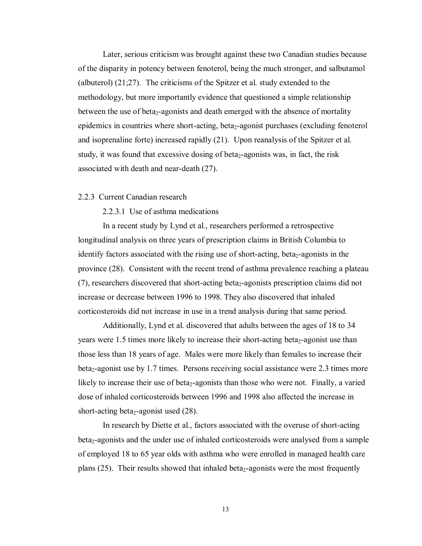Later, serious criticism was brought against these two Canadian studies because of the disparity in potency between fenoterol, being the much stronger, and salbutamol (albuterol) (21;27). The criticisms of the Spitzer et al. study extended to the methodology, but more importantly evidence that questioned a simple relationship between the use of beta<sub>2</sub>-agonists and death emerged with the absence of mortality epidemics in countries where short-acting, beta<sub>2</sub>-agonist purchases (excluding fenoterol and isoprenaline forte) increased rapidly (21). Upon reanalysis of the Spitzer et al. study, it was found that excessive dosing of beta<sub>2</sub>-agonists was, in fact, the risk associated with death and near-death (27).

### 2.2.3 Current Canadian research

### 2.2.3.1 Use of asthma medications

In a recent study by Lynd et al., researchers performed a retrospective longitudinal analysis on three years of prescription claims in British Columbia to identify factors associated with the rising use of short-acting, beta<sub>2</sub>-agonists in the province (28). Consistent with the recent trend of asthma prevalence reaching a plateau  $(7)$ , researchers discovered that short-acting beta<sub>2</sub>-agonists prescription claims did not increase or decrease between 1996 to 1998. They also discovered that inhaled corticosteroids did not increase in use in a trend analysis during that same period.

Additionally, Lynd et al. discovered that adults between the ages of 18 to 34 years were 1.5 times more likely to increase their short-acting beta<sub>2</sub>-agonist use than those less than 18 years of age. Males were more likely than females to increase their beta<sub>2</sub>-agonist use by 1.7 times. Persons receiving social assistance were 2.3 times more likely to increase their use of beta<sub>2</sub>-agonists than those who were not. Finally, a varied dose of inhaled corticosteroids between 1996 and 1998 also affected the increase in short-acting beta<sub>2</sub>-agonist used  $(28)$ .

In research by Diette et al., factors associated with the overuse of short-acting beta<sub>2</sub>-agonists and the under use of inhaled corticosteroids were analysed from a sample of employed 18 to 65 year olds with asthma who were enrolled in managed health care plans  $(25)$ . Their results showed that inhaled beta<sub>2</sub>-agonists were the most frequently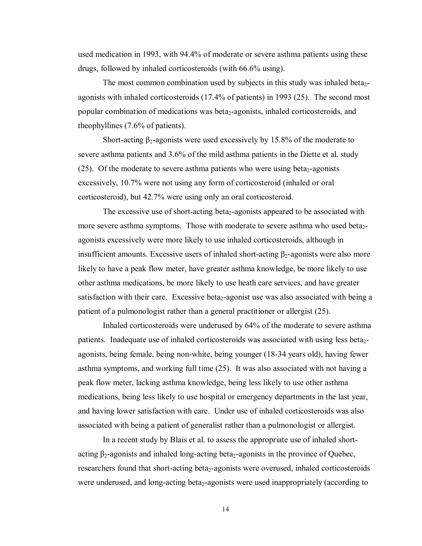used medication in 1993, with 94.4% of moderate or severe asthma patients using these drugs, followed by inhaled corticosteroids (with 66.6% using).

The most common combination used by subjects in this study was inhaled beta<sub>2</sub>agonists with inhaled corticosteroids (17.4% of patients) in 1993 (25). The second most popular combination of medications was beta<sub>2</sub>-agonists, inhaled corticosteroids, and theophyllines (7.6% of patients).

Short-acting  $\beta_2$ -agonists were used excessively by 15.8% of the moderate to severe asthma patients and 3.6% of the mild asthma patients in the Diette et al. study (25). Of the moderate to severe asthma patients who were using beta<sub>2</sub>-agonists excessively, 10.7% were not using any form of corticosteroid (inhaled or oral corticosteroid), but 42.7% were using only an oral corticosteroid.

The excessive use of short-acting beta<sub>2</sub>-agonists appeared to be associated with more severe asthma symptoms. Those with moderate to severe asthma who used beta<sub>2</sub>agonists excessively were more likely to use inhaled corticosteroids, although in insufficient amounts. Excessive users of inhaled short-acting  $\beta_2$ -agonists were also more likely to have a peak flow meter, have greater asthma knowledge, be more likely to use other asthma medications, be more likely to use heath care services, and have greater satisfaction with their care. Excessive beta<sub>2</sub>-agonist use was also associated with being a patient of a pulmonologist rather than a general practitioner or allergist (25).

Inhaled corticosteroids were underused by 64% of the moderate to severe asthma patients. Inadequate use of inhaled corticosteroids was associated with using less beta2 agonists, being female, being non-white, being younger (18-34 years old), having fewer asthma symptoms, and working full time (25). It was also associated with not having a peak flow meter, lacking asthma knowledge, being less likely to use other asthma medications, being less likely to use hospital or emergency departments in the last year, and having lower satisfaction with care. Under use of inhaled corticosteroids was also associated with being a patient of generalist rather than a pulmonologist or allergist.

In a recent study by Blais et al. to assess the appropriate use of inhaled shortacting  $\beta_2$ -agonists and inhaled long-acting beta<sub>2</sub>-agonists in the province of Quebec, researchers found that short-acting beta<sub>2</sub>-agonists were overused, inhaled corticosteroids were underused, and long-acting beta<sub>2</sub>-agonists were used inappropriately (according to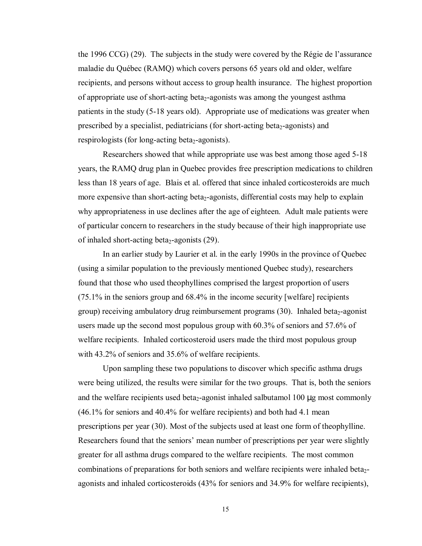the 1996 CCG) (29). The subjects in the study were covered by the Régie de l'assurance maladie du Québec (RAMQ) which covers persons 65 years old and older, welfare recipients, and persons without access to group health insurance. The highest proportion of appropriate use of short-acting beta<sub>2</sub>-agonists was among the youngest asthma patients in the study (5-18 years old). Appropriate use of medications was greater when prescribed by a specialist, pediatricians (for short-acting beta<sub>2</sub>-agonists) and respirologists (for long-acting beta<sub>2</sub>-agonists).

Researchers showed that while appropriate use was best among those aged 5-18 years, the RAMQ drug plan in Quebec provides free prescription medications to children less than 18 years of age. Blais et al. offered that since inhaled corticosteroids are much more expensive than short-acting beta<sub>2</sub>-agonists, differential costs may help to explain why appropriateness in use declines after the age of eighteen. Adult male patients were of particular concern to researchers in the study because of their high inappropriate use of inhaled short-acting beta<sub>2</sub>-agonists  $(29)$ .

In an earlier study by Laurier et al. in the early 1990s in the province of Quebec (using a similar population to the previously mentioned Quebec study), researchers found that those who used theophyllines comprised the largest proportion of users (75.1% in the seniors group and 68.4% in the income security [welfare] recipients group) receiving ambulatory drug reimbursement programs  $(30)$ . Inhaled beta<sub>2</sub>-agonist users made up the second most populous group with 60.3% of seniors and 57.6% of welfare recipients. Inhaled corticosteroid users made the third most populous group with 43.2% of seniors and 35.6% of welfare recipients.

Upon sampling these two populations to discover which specific asthma drugs were being utilized, the results were similar for the two groups. That is, both the seniors and the welfare recipients used beta<sub>2</sub>-agonist inhaled salbutamol 100  $\mu$ g most commonly (46.1% for seniors and 40.4% for welfare recipients) and both had 4.1 mean prescriptions per year (30). Most of the subjects used at least one form of theophylline. Researchers found that the seniors' mean number of prescriptions per year were slightly greater for all asthma drugs compared to the welfare recipients. The most common combinations of preparations for both seniors and welfare recipients were inhaled beta<sub>2</sub>agonists and inhaled corticosteroids (43% for seniors and 34.9% for welfare recipients),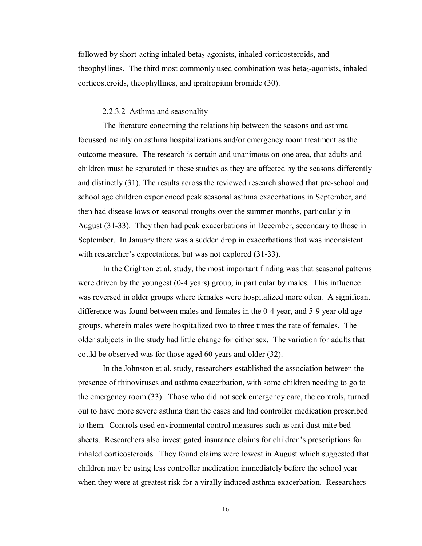followed by short-acting inhaled beta<sub>2</sub>-agonists, inhaled corticosteroids, and theophyllines. The third most commonly used combination was beta<sub>2</sub>-agonists, inhaled corticosteroids, theophyllines, and ipratropium bromide (30).

### 2.2.3.2 Asthma and seasonality

 The literature concerning the relationship between the seasons and asthma focussed mainly on asthma hospitalizations and/or emergency room treatment as the outcome measure. The research is certain and unanimous on one area, that adults and children must be separated in these studies as they are affected by the seasons differently and distinctly (31). The results across the reviewed research showed that pre-school and school age children experienced peak seasonal asthma exacerbations in September, and then had disease lows or seasonal troughs over the summer months, particularly in August (31-33). They then had peak exacerbations in December, secondary to those in September. In January there was a sudden drop in exacerbations that was inconsistent with researcher's expectations, but was not explored  $(31-33)$ .

 In the Crighton et al. study, the most important finding was that seasonal patterns were driven by the youngest (0-4 years) group, in particular by males. This influence was reversed in older groups where females were hospitalized more often. A significant difference was found between males and females in the 0-4 year, and 5-9 year old age groups, wherein males were hospitalized two to three times the rate of females. The older subjects in the study had little change for either sex. The variation for adults that could be observed was for those aged 60 years and older (32).

 In the Johnston et al. study, researchers established the association between the presence of rhinoviruses and asthma exacerbation, with some children needing to go to the emergency room (33). Those who did not seek emergency care, the controls, turned out to have more severe asthma than the cases and had controller medication prescribed to them. Controls used environmental control measures such as anti-dust mite bed sheets. Researchers also investigated insurance claims for children's prescriptions for inhaled corticosteroids. They found claims were lowest in August which suggested that children may be using less controller medication immediately before the school year when they were at greatest risk for a virally induced asthma exacerbation. Researchers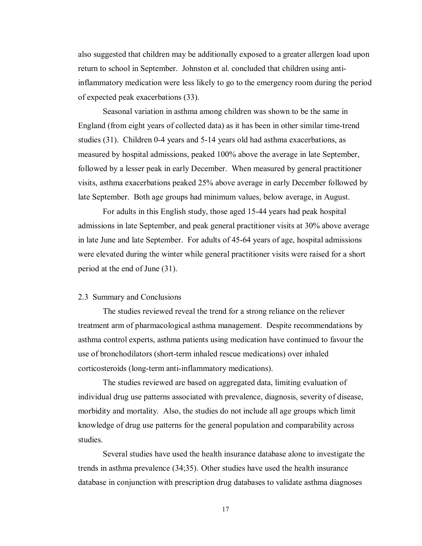also suggested that children may be additionally exposed to a greater allergen load upon return to school in September. Johnston et al. concluded that children using antiinflammatory medication were less likely to go to the emergency room during the period of expected peak exacerbations (33).

 Seasonal variation in asthma among children was shown to be the same in England (from eight years of collected data) as it has been in other similar time-trend studies (31). Children 0-4 years and 5-14 years old had asthma exacerbations, as measured by hospital admissions, peaked 100% above the average in late September, followed by a lesser peak in early December. When measured by general practitioner visits, asthma exacerbations peaked 25% above average in early December followed by late September. Both age groups had minimum values, below average, in August.

 For adults in this English study, those aged 15-44 years had peak hospital admissions in late September, and peak general practitioner visits at 30% above average in late June and late September. For adults of 45-64 years of age, hospital admissions were elevated during the winter while general practitioner visits were raised for a short period at the end of June (31).

### 2.3 Summary and Conclusions

The studies reviewed reveal the trend for a strong reliance on the reliever treatment arm of pharmacological asthma management. Despite recommendations by asthma control experts, asthma patients using medication have continued to favour the use of bronchodilators (short-term inhaled rescue medications) over inhaled corticosteroids (long-term anti-inflammatory medications).

The studies reviewed are based on aggregated data, limiting evaluation of individual drug use patterns associated with prevalence, diagnosis, severity of disease, morbidity and mortality. Also, the studies do not include all age groups which limit knowledge of drug use patterns for the general population and comparability across studies.

Several studies have used the health insurance database alone to investigate the trends in asthma prevalence (34;35). Other studies have used the health insurance database in conjunction with prescription drug databases to validate asthma diagnoses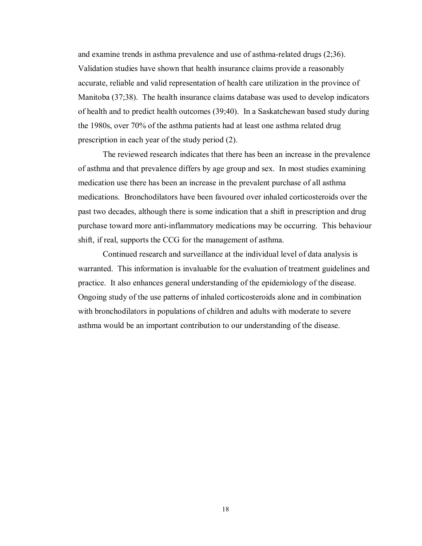and examine trends in asthma prevalence and use of asthma-related drugs (2;36). Validation studies have shown that health insurance claims provide a reasonably accurate, reliable and valid representation of health care utilization in the province of Manitoba (37;38). The health insurance claims database was used to develop indicators of health and to predict health outcomes (39;40). In a Saskatchewan based study during the 1980s, over 70% of the asthma patients had at least one asthma related drug prescription in each year of the study period (2).

The reviewed research indicates that there has been an increase in the prevalence of asthma and that prevalence differs by age group and sex. In most studies examining medication use there has been an increase in the prevalent purchase of all asthma medications. Bronchodilators have been favoured over inhaled corticosteroids over the past two decades, although there is some indication that a shift in prescription and drug purchase toward more anti-inflammatory medications may be occurring. This behaviour shift, if real, supports the CCG for the management of asthma.

Continued research and surveillance at the individual level of data analysis is warranted. This information is invaluable for the evaluation of treatment guidelines and practice. It also enhances general understanding of the epidemiology of the disease. Ongoing study of the use patterns of inhaled corticosteroids alone and in combination with bronchodilators in populations of children and adults with moderate to severe asthma would be an important contribution to our understanding of the disease.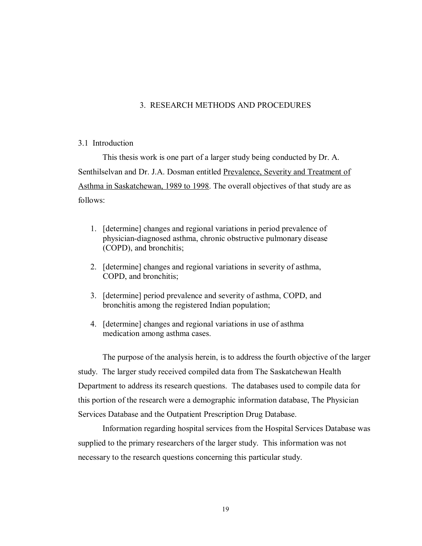### 3. RESEARCH METHODS AND PROCEDURES

### 3.1 Introduction

This thesis work is one part of a larger study being conducted by Dr. A. Senthilselvan and Dr. J.A. Dosman entitled Prevalence, Severity and Treatment of Asthma in Saskatchewan, 1989 to 1998. The overall objectives of that study are as follows:

- 1. [determine] changes and regional variations in period prevalence of physician-diagnosed asthma, chronic obstructive pulmonary disease (COPD), and bronchitis;
- 2. [determine] changes and regional variations in severity of asthma, COPD, and bronchitis;
- 3. [determine] period prevalence and severity of asthma, COPD, and bronchitis among the registered Indian population;
- 4. [determine] changes and regional variations in use of asthma medication among asthma cases.

The purpose of the analysis herein, is to address the fourth objective of the larger study. The larger study received compiled data from The Saskatchewan Health Department to address its research questions. The databases used to compile data for this portion of the research were a demographic information database, The Physician Services Database and the Outpatient Prescription Drug Database.

Information regarding hospital services from the Hospital Services Database was supplied to the primary researchers of the larger study. This information was not necessary to the research questions concerning this particular study.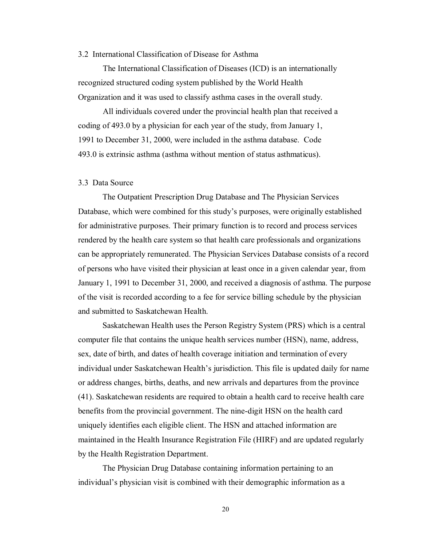### 3.2 International Classification of Disease for Asthma

The International Classification of Diseases (ICD) is an internationally recognized structured coding system published by the World Health Organization and it was used to classify asthma cases in the overall study.

 All individuals covered under the provincial health plan that received a coding of 493.0 by a physician for each year of the study, from January 1, 1991 to December 31, 2000, were included in the asthma database. Code 493.0 is extrinsic asthma (asthma without mention of status asthmaticus).

### 3.3 Data Source

The Outpatient Prescription Drug Database and The Physician Services Database, which were combined for this study's purposes, were originally established for administrative purposes. Their primary function is to record and process services rendered by the health care system so that health care professionals and organizations can be appropriately remunerated. The Physician Services Database consists of a record of persons who have visited their physician at least once in a given calendar year, from January 1, 1991 to December 31, 2000, and received a diagnosis of asthma. The purpose of the visit is recorded according to a fee for service billing schedule by the physician and submitted to Saskatchewan Health.

Saskatchewan Health uses the Person Registry System (PRS) which is a central computer file that contains the unique health services number (HSN), name, address, sex, date of birth, and dates of health coverage initiation and termination of every individual under Saskatchewan Health's jurisdiction. This file is updated daily for name or address changes, births, deaths, and new arrivals and departures from the province (41). Saskatchewan residents are required to obtain a health card to receive health care benefits from the provincial government. The nine-digit HSN on the health card uniquely identifies each eligible client. The HSN and attached information are maintained in the Health Insurance Registration File (HIRF) and are updated regularly by the Health Registration Department.

The Physician Drug Database containing information pertaining to an individual's physician visit is combined with their demographic information as a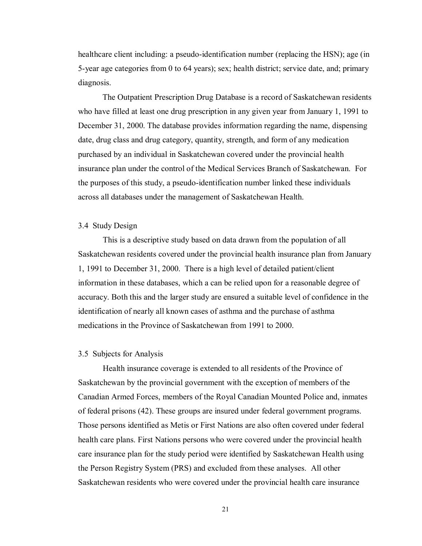healthcare client including: a pseudo-identification number (replacing the HSN); age (in 5-year age categories from 0 to 64 years); sex; health district; service date, and; primary diagnosis.

The Outpatient Prescription Drug Database is a record of Saskatchewan residents who have filled at least one drug prescription in any given year from January 1, 1991 to December 31, 2000. The database provides information regarding the name, dispensing date, drug class and drug category, quantity, strength, and form of any medication purchased by an individual in Saskatchewan covered under the provincial health insurance plan under the control of the Medical Services Branch of Saskatchewan. For the purposes of this study, a pseudo-identification number linked these individuals across all databases under the management of Saskatchewan Health.

### 3.4 Study Design

This is a descriptive study based on data drawn from the population of all Saskatchewan residents covered under the provincial health insurance plan from January 1, 1991 to December 31, 2000. There is a high level of detailed patient/client information in these databases, which a can be relied upon for a reasonable degree of accuracy. Both this and the larger study are ensured a suitable level of confidence in the identification of nearly all known cases of asthma and the purchase of asthma medications in the Province of Saskatchewan from 1991 to 2000.

### 3.5 Subjects for Analysis

Health insurance coverage is extended to all residents of the Province of Saskatchewan by the provincial government with the exception of members of the Canadian Armed Forces, members of the Royal Canadian Mounted Police and, inmates of federal prisons (42). These groups are insured under federal government programs. Those persons identified as Metis or First Nations are also often covered under federal health care plans. First Nations persons who were covered under the provincial health care insurance plan for the study period were identified by Saskatchewan Health using the Person Registry System (PRS) and excluded from these analyses. All other Saskatchewan residents who were covered under the provincial health care insurance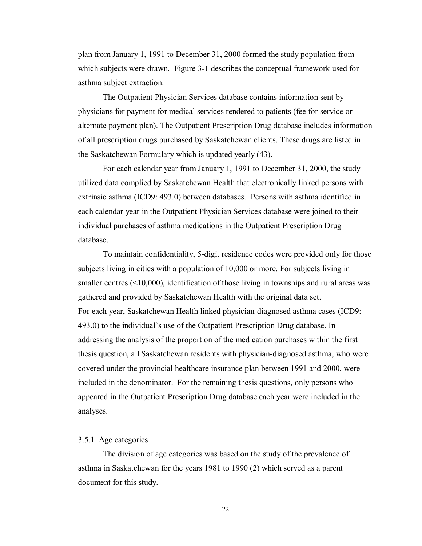plan from January 1, 1991 to December 31, 2000 formed the study population from which subjects were drawn. Figure 3-1 describes the conceptual framework used for asthma subject extraction.

The Outpatient Physician Services database contains information sent by physicians for payment for medical services rendered to patients (fee for service or alternate payment plan). The Outpatient Prescription Drug database includes information of all prescription drugs purchased by Saskatchewan clients. These drugs are listed in the Saskatchewan Formulary which is updated yearly (43).

For each calendar year from January 1, 1991 to December 31, 2000, the study utilized data complied by Saskatchewan Health that electronically linked persons with extrinsic asthma (ICD9: 493.0) between databases. Persons with asthma identified in each calendar year in the Outpatient Physician Services database were joined to their individual purchases of asthma medications in the Outpatient Prescription Drug database.

To maintain confidentiality, 5-digit residence codes were provided only for those subjects living in cities with a population of 10,000 or more. For subjects living in smaller centres  $(10,000)$ , identification of those living in townships and rural areas was gathered and provided by Saskatchewan Health with the original data set. For each year, Saskatchewan Health linked physician-diagnosed asthma cases (ICD9: 493.0) to the individual's use of the Outpatient Prescription Drug database. In addressing the analysis of the proportion of the medication purchases within the first thesis question, all Saskatchewan residents with physician-diagnosed asthma, who were covered under the provincial healthcare insurance plan between 1991 and 2000, were included in the denominator. For the remaining thesis questions, only persons who appeared in the Outpatient Prescription Drug database each year were included in the analyses.

### 3.5.1 Age categories

The division of age categories was based on the study of the prevalence of asthma in Saskatchewan for the years 1981 to 1990 (2) which served as a parent document for this study.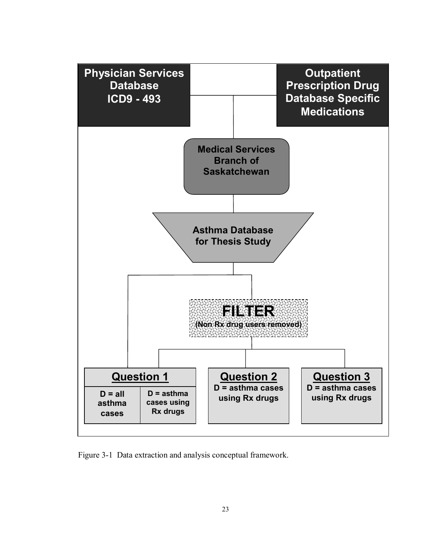

Figure 3-1 Data extraction and analysis conceptual framework.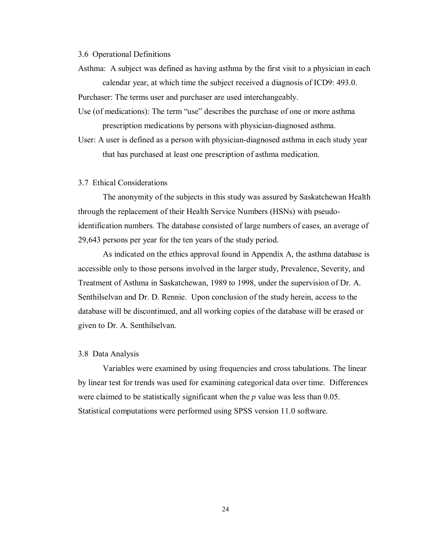### 3.6 Operational Definitions

Asthma: A subject was defined as having asthma by the first visit to a physician in each calendar year, at which time the subject received a diagnosis of ICD9: 493.0.

Purchaser: The terms user and purchaser are used interchangeably.

- Use (of medications): The term "use" describes the purchase of one or more asthma prescription medications by persons with physician-diagnosed asthma.
- User: A user is defined as a person with physician-diagnosed asthma in each study year that has purchased at least one prescription of asthma medication.

## 3.7 Ethical Considerations

The anonymity of the subjects in this study was assured by Saskatchewan Health through the replacement of their Health Service Numbers (HSNs) with pseudoidentification numbers. The database consisted of large numbers of cases, an average of 29,643 persons per year for the ten years of the study period.

As indicated on the ethics approval found in Appendix A, the asthma database is accessible only to those persons involved in the larger study, Prevalence, Severity, and Treatment of Asthma in Saskatchewan, 1989 to 1998, under the supervision of Dr. A. Senthilselvan and Dr. D. Rennie. Upon conclusion of the study herein, access to the database will be discontinued, and all working copies of the database will be erased or given to Dr. A. Senthilselvan.

### 3.8 Data Analysis

Variables were examined by using frequencies and cross tabulations. The linear by linear test for trends was used for examining categorical data over time. Differences were claimed to be statistically significant when the *p* value was less than 0.05. Statistical computations were performed using SPSS version 11.0 software.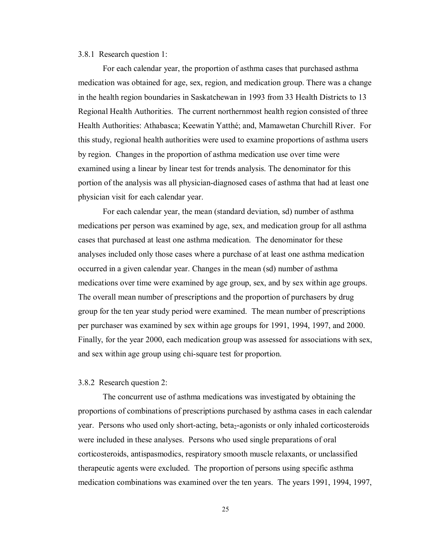#### 3.8.1 Research question 1:

For each calendar year, the proportion of asthma cases that purchased asthma medication was obtained for age, sex, region, and medication group. There was a change in the health region boundaries in Saskatchewan in 1993 from 33 Health Districts to 13 Regional Health Authorities. The current northernmost health region consisted of three Health Authorities: Athabasca; Keewatin Yatthé; and, Mamawetan Churchill River. For this study, regional health authorities were used to examine proportions of asthma users by region. Changes in the proportion of asthma medication use over time were examined using a linear by linear test for trends analysis. The denominator for this portion of the analysis was all physician-diagnosed cases of asthma that had at least one physician visit for each calendar year.

For each calendar year, the mean (standard deviation, sd) number of asthma medications per person was examined by age, sex, and medication group for all asthma cases that purchased at least one asthma medication. The denominator for these analyses included only those cases where a purchase of at least one asthma medication occurred in a given calendar year. Changes in the mean (sd) number of asthma medications over time were examined by age group, sex, and by sex within age groups. The overall mean number of prescriptions and the proportion of purchasers by drug group for the ten year study period were examined. The mean number of prescriptions per purchaser was examined by sex within age groups for 1991, 1994, 1997, and 2000. Finally, for the year 2000, each medication group was assessed for associations with sex, and sex within age group using chi-square test for proportion.

#### 3.8.2 Research question 2:

The concurrent use of asthma medications was investigated by obtaining the proportions of combinations of prescriptions purchased by asthma cases in each calendar year. Persons who used only short-acting, beta<sub>2</sub>-agonists or only inhaled corticosteroids were included in these analyses. Persons who used single preparations of oral corticosteroids, antispasmodics, respiratory smooth muscle relaxants, or unclassified therapeutic agents were excluded. The proportion of persons using specific asthma medication combinations was examined over the ten years. The years 1991, 1994, 1997,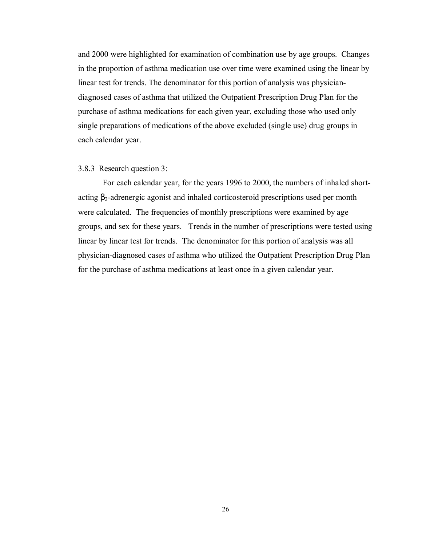and 2000 were highlighted for examination of combination use by age groups. Changes in the proportion of asthma medication use over time were examined using the linear by linear test for trends. The denominator for this portion of analysis was physiciandiagnosed cases of asthma that utilized the Outpatient Prescription Drug Plan for the purchase of asthma medications for each given year, excluding those who used only single preparations of medications of the above excluded (single use) drug groups in each calendar year.

#### 3.8.3 Research question 3:

For each calendar year, for the years 1996 to 2000, the numbers of inhaled shortacting  $\beta_2$ -adrenergic agonist and inhaled corticosteroid prescriptions used per month were calculated. The frequencies of monthly prescriptions were examined by age groups, and sex for these years. Trends in the number of prescriptions were tested using linear by linear test for trends. The denominator for this portion of analysis was all physician-diagnosed cases of asthma who utilized the Outpatient Prescription Drug Plan for the purchase of asthma medications at least once in a given calendar year.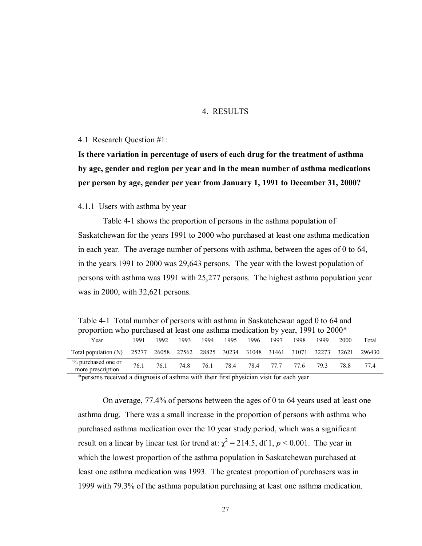## 4. RESULTS

4.1 Research Question #1:

**Is there variation in percentage of users of each drug for the treatment of asthma by age, gender and region per year and in the mean number of asthma medications per person by age, gender per year from January 1, 1991 to December 31, 2000?** 

4.1.1 Users with asthma by year

Table 4-1 shows the proportion of persons in the asthma population of Saskatchewan for the years 1991 to 2000 who purchased at least one asthma medication in each year. The average number of persons with asthma, between the ages of 0 to 64, in the years 1991 to 2000 was 29,643 persons. The year with the lowest population of persons with asthma was 1991 with 25,277 persons. The highest asthma population year was in 2000, with 32,621 persons.

Table 4-1 Total number of persons with asthma in Saskatchewan aged 0 to 64 and proportion who purchased at least one asthma medication by year, 1991 to 2000\*

| Year                                               | 1991 | 1992 | 1993 | 1994 | 1995 | 1996              | 1997 | 1998 | 1999        | 2000 | Total  |
|----------------------------------------------------|------|------|------|------|------|-------------------|------|------|-------------|------|--------|
| Total population (N) 25277 26058 27562 28825 30234 |      |      |      |      |      | 31048 31461 31071 |      |      | 32273 32621 |      | 296430 |
| % purchased one or<br>more prescription            | 76.1 | 76.1 | 74.8 | 76.1 | 78.4 | 78.4              | 77.7 | 77.6 | 793         | 78.8 | 77.4   |

\*persons received a diagnosis of asthma with their first physician visit for each year

On average, 77.4% of persons between the ages of 0 to 64 years used at least one asthma drug. There was a small increase in the proportion of persons with asthma who purchased asthma medication over the 10 year study period, which was a significant result on a linear by linear test for trend at:  $\chi^2 = 214.5$ , df 1,  $p < 0.001$ . The year in which the lowest proportion of the asthma population in Saskatchewan purchased at least one asthma medication was 1993. The greatest proportion of purchasers was in 1999 with 79.3% of the asthma population purchasing at least one asthma medication.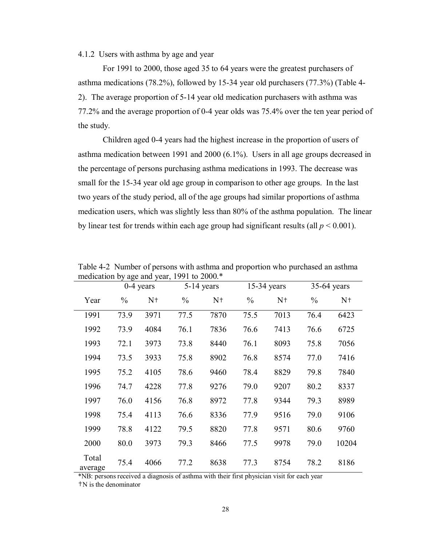4.1.2 Users with asthma by age and year

For 1991 to 2000, those aged 35 to 64 years were the greatest purchasers of asthma medications (78.2%), followed by 15-34 year old purchasers (77.3%) (Table 4- 2). The average proportion of 5-14 year old medication purchasers with asthma was 77.2% and the average proportion of 0-4 year olds was 75.4% over the ten year period of the study.

Children aged 0-4 years had the highest increase in the proportion of users of asthma medication between 1991 and 2000 (6.1%). Users in all age groups decreased in the percentage of persons purchasing asthma medications in 1993. The decrease was small for the 15-34 year old age group in comparison to other age groups. In the last two years of the study period, all of the age groups had similar proportions of asthma medication users, which was slightly less than 80% of the asthma population. The linear by linear test for trends within each age group had significant results (all *p* < 0.001).

|                  |               | 0-4 years      |               | 5-14 years     |               | 15-34 years    |               | 35-64 years |
|------------------|---------------|----------------|---------------|----------------|---------------|----------------|---------------|-------------|
| Year             | $\frac{0}{0}$ | N <sup>†</sup> | $\frac{0}{0}$ | N <sup>†</sup> | $\frac{0}{0}$ | N <sup>†</sup> | $\frac{0}{0}$ | $N+$        |
| 1991             | 73.9          | 3971           | 77.5          | 7870           | 75.5          | 7013           | 76.4          | 6423        |
| 1992             | 73.9          | 4084           | 76.1          | 7836           | 76.6          | 7413           | 76.6          | 6725        |
| 1993             | 72.1          | 3973           | 73.8          | 8440           | 76.1          | 8093           | 75.8          | 7056        |
| 1994             | 73.5          | 3933           | 75.8          | 8902           | 76.8          | 8574           | 77.0          | 7416        |
| 1995             | 75.2          | 4105           | 78.6          | 9460           | 78.4          | 8829           | 79.8          | 7840        |
| 1996             | 74.7          | 4228           | 77.8          | 9276           | 79.0          | 9207           | 80.2          | 8337        |
| 1997             | 76.0          | 4156           | 76.8          | 8972           | 77.8          | 9344           | 79.3          | 8989        |
| 1998             | 75.4          | 4113           | 76.6          | 8336           | 77.9          | 9516           | 79.0          | 9106        |
| 1999             | 78.8          | 4122           | 79.5          | 8820           | 77.8          | 9571           | 80.6          | 9760        |
| 2000             | 80.0          | 3973           | 79.3          | 8466           | 77.5          | 9978           | 79.0          | 10204       |
| Total<br>average | 75.4          | 4066           | 77.2          | 8638           | 77.3          | 8754           | 78.2          | 8186        |

Table 4-2 Number of persons with asthma and proportion who purchased an asthma medication by age and year, 1991 to 2000.\*

\*NB: persons received a diagnosis of asthma with their first physician visit for each year

†N is the denominator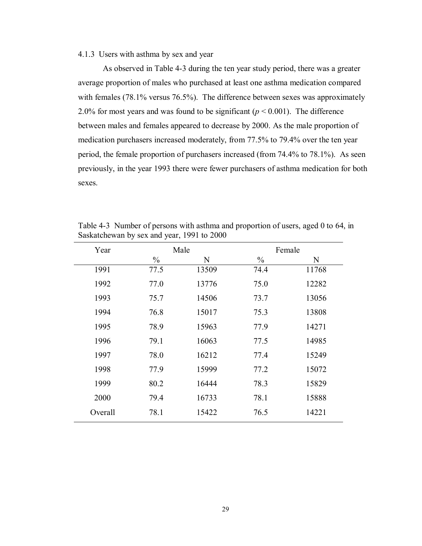### 4.1.3 Users with asthma by sex and year

As observed in Table 4-3 during the ten year study period, there was a greater average proportion of males who purchased at least one asthma medication compared with females (78.1% versus 76.5%). The difference between sexes was approximately 2.0% for most years and was found to be significant  $(p < 0.001)$ . The difference between males and females appeared to decrease by 2000. As the male proportion of medication purchasers increased moderately, from 77.5% to 79.4% over the ten year period, the female proportion of purchasers increased (from 74.4% to 78.1%). As seen previously, in the year 1993 there were fewer purchasers of asthma medication for both sexes.

| Year    |               | Male  |               | Female |
|---------|---------------|-------|---------------|--------|
|         | $\frac{0}{0}$ | N     | $\frac{0}{0}$ | N      |
| 1991    | 77.5          | 13509 | 74.4          | 11768  |
| 1992    | 77.0          | 13776 | 75.0          | 12282  |
| 1993    | 75.7          | 14506 | 73.7          | 13056  |
| 1994    | 76.8          | 15017 | 75.3          | 13808  |
| 1995    | 78.9          | 15963 | 77.9          | 14271  |
| 1996    | 79.1          | 16063 | 77.5          | 14985  |
| 1997    | 78.0          | 16212 | 77.4          | 15249  |
| 1998    | 77.9          | 15999 | 77.2          | 15072  |
| 1999    | 80.2          | 16444 | 78.3          | 15829  |
| 2000    | 79.4          | 16733 | 78.1          | 15888  |
| Overall | 78.1          | 15422 | 76.5          | 14221  |

Table 4-3 Number of persons with asthma and proportion of users, aged 0 to 64, in Saskatchewan by sex and year, 1991 to 2000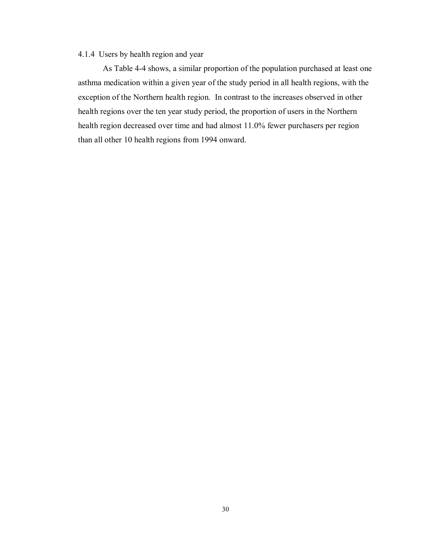# 4.1.4 Users by health region and year

As Table 4-4 shows, a similar proportion of the population purchased at least one asthma medication within a given year of the study period in all health regions, with the exception of the Northern health region. In contrast to the increases observed in other health regions over the ten year study period, the proportion of users in the Northern health region decreased over time and had almost 11.0% fewer purchasers per region than all other 10 health regions from 1994 onward.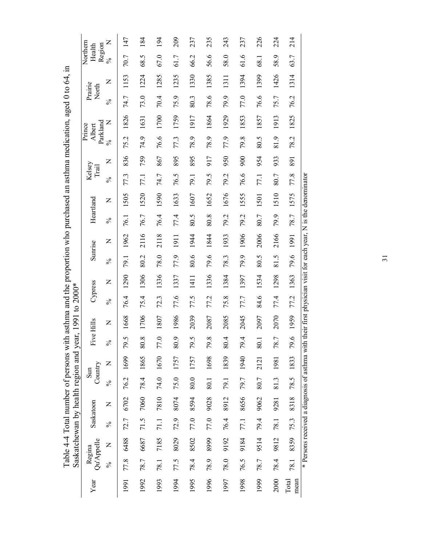|                                                                                                                                                                                | Northern<br>Region<br>Health | Z             | 147  | 184                         | 194            | 209                  | 237      | 235             | 243  | 237  | 226  | 224  | 214           |                                                                                                               |
|--------------------------------------------------------------------------------------------------------------------------------------------------------------------------------|------------------------------|---------------|------|-----------------------------|----------------|----------------------|----------|-----------------|------|------|------|------|---------------|---------------------------------------------------------------------------------------------------------------|
|                                                                                                                                                                                |                              | $\frac{6}{6}$ | 70.7 | 68.5                        | 67.0           | 61.7                 | 66.2     | 56.6            | 58.0 | 61.6 | 68.1 | 58.9 | 63.7          |                                                                                                               |
|                                                                                                                                                                                | Prairie                      | Z             | 1153 | 1224                        | 1285           | 1235                 | 1330     | 1385            | 1311 | 1394 | 1399 | 1426 | 1314          |                                                                                                               |
|                                                                                                                                                                                | North                        | $\frac{5}{6}$ | 74.7 | 73.0                        | 70.4           | 75.9                 | 80.3     | 78.6            | 79.9 | 77.0 | 76.6 | 75.7 | 76.2          |                                                                                                               |
|                                                                                                                                                                                |                              | z             | 1826 | 1631                        | 1700           | 1759                 | 1917     | 1864            | 1929 | 1853 | 1857 | 1913 | 1825          |                                                                                                               |
|                                                                                                                                                                                | Parkland<br>Prince<br>Albert | $\frac{5}{6}$ | 75.2 | 74.9                        | 76.6           | 77.3                 | 78.9     | 78.9            | 77.9 | 79.8 | 80.5 | 81.9 | 78.2          |                                                                                                               |
|                                                                                                                                                                                |                              | Z             | 836  | 759                         | 867            | 895                  | 895      | 917             | 950  | 900  | 954  | 933  | 891           |                                                                                                               |
|                                                                                                                                                                                | Kelsey<br>Trail              | $\%$          | 77.3 | 77.1                        | 74.7           | 76.5                 | 79.1     | 79.5            | 79.2 | 76.6 | 77.1 | 80.7 | 77.8          |                                                                                                               |
|                                                                                                                                                                                |                              | Z             | 1505 | 1520                        | 1590           | 1633                 | 1607     | 1652            | 1676 | 1555 | 1501 | 1510 | 1575          |                                                                                                               |
|                                                                                                                                                                                | Heartland                    | $\%$          | 76.1 | 76.7                        | 76.4           | 77.4                 | 80.5     | 80.8            | 79.2 | 79.2 | 80.7 | 79.9 | 78.7          |                                                                                                               |
|                                                                                                                                                                                |                              | Z             | 1962 | 2116                        | 2118           | 1911                 | 1944     | 1844            | 1933 | 1906 | 2006 | 2166 | 1991          |                                                                                                               |
|                                                                                                                                                                                | Sunrise                      | $\frac{5}{6}$ | 79.1 | 80.2                        | 78.0           | 77.9                 | 80.6     | 79.6            | 78.3 | 79.9 | 80.5 | 81.5 | 79.6          |                                                                                                               |
|                                                                                                                                                                                |                              | Z             | 1290 | 1306                        | 1336           | 1337                 | 1411     | 1336            | 1384 | 1397 | 1534 | 1298 | 1363          |                                                                                                               |
|                                                                                                                                                                                | Cypress                      | $\%$          | 76.4 | 75.4                        | 72.3           | 77.6                 | 77.5     | 77.2            | 75.8 | 77.7 | 84.6 | 77.4 | 77.2          |                                                                                                               |
|                                                                                                                                                                                |                              | Z             | 1668 | 1706                        | 1807           | 1986                 | 2039     | 2087            | 2085 | 2045 | 2097 | 2070 | 1959          |                                                                                                               |
|                                                                                                                                                                                | Five Hills                   | $\lesssim$    | 79.5 | $\infty$<br>$\overline{80}$ | $\circ$<br>77. | Ċ<br>$\overline{80}$ | Ċ<br>79. | $\infty$<br>79. | 80.4 | 79.4 | 80.1 | 78.7 | 79.6          |                                                                                                               |
|                                                                                                                                                                                |                              | Z             | 1699 | 1865                        | 1670           | 1757                 | 1757     | 1698            | 1839 | 1940 | 2121 | 1981 | 1833          |                                                                                                               |
|                                                                                                                                                                                | Country<br>Sun               | $\frac{5}{6}$ | 76.2 |                             | 74.0           | 75.0                 | 80.0     | 80.1            | 79.1 | 79.7 | 80.7 | 81.3 | 78.5          |                                                                                                               |
|                                                                                                                                                                                |                              | Z             | 6702 | 71.5 7060 78.4              | 7810           | 8074                 | 8594     | 9028            | 8912 | 8656 | 9062 | 9281 | 8318          |                                                                                                               |
|                                                                                                                                                                                | Saskatoon                    | $\lesssim$    | 72.7 |                             | 71.1           | 72.9                 | 77.0     | 77.0            | 76.4 | 77.1 | 79.4 | 78.1 | 75.3          |                                                                                                               |
| Table 4-4 Total number of persons with asthma and the proportion who purchased an asthma medication, aged 0 to 64, in<br>Saskatchewan by health region and year, 1991 to 2000* |                              | $\mathsf{z}$  | 6488 |                             | 7185           | 8029                 | 8502     | 8999            | 9192 | 9184 | 9514 | 9812 | 8359          | * Persons received a diagnosis of asthma with their first physician visit for each year, N is the denominator |
|                                                                                                                                                                                | Qu'Appelle<br>Regina         | $\lesssim$    | 77.8 | 78.7 6687                   | 78.1           | 77.5                 | 78.4     | 78.9            | 78.0 | 76.5 | 78.7 | 78.4 | 78.1          |                                                                                                               |
|                                                                                                                                                                                | Year                         |               | 1991 | 1992                        | 1993           | 1994                 | 1995     | 1996            | 1997 | 1998 | 1999 | 2000 | mean<br>Total |                                                                                                               |

\* Persons received a diagnosis of asthma with their first physician visit for each year, N is the denominator 3  $\frac{2}{3}$  $\frac{1}{2}$ **TOT TRY** max private g 5  $\lim_{\epsilon\to 0}$ 3 ž Ş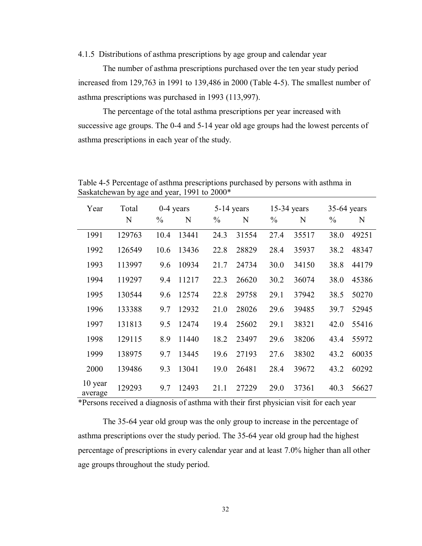4.1.5 Distributions of asthma prescriptions by age group and calendar year

The number of asthma prescriptions purchased over the ten year study period increased from 129,763 in 1991 to 139,486 in 2000 (Table 4-5). The smallest number of asthma prescriptions was purchased in 1993 (113,997).

The percentage of the total asthma prescriptions per year increased with successive age groups. The 0-4 and 5-14 year old age groups had the lowest percents of asthma prescriptions in each year of the study.

| Year               | Total  | $0-4$ years   |       | 5-14 years    |       |               | 15-34 years | $35-64$ years |       |
|--------------------|--------|---------------|-------|---------------|-------|---------------|-------------|---------------|-------|
|                    | N      | $\frac{0}{0}$ | N     | $\frac{0}{0}$ | N     | $\frac{0}{0}$ | N           | $\frac{0}{0}$ | N     |
| 1991               | 129763 | 10.4          | 13441 | 24.3          | 31554 | 27.4          | 35517       | 38.0          | 49251 |
| 1992               | 126549 | 10.6          | 13436 | 22.8          | 28829 | 28.4          | 35937       | 38.2          | 48347 |
| 1993               | 113997 | 9.6           | 10934 | 21.7          | 24734 | 30.0          | 34150       | 38.8          | 44179 |
| 1994               | 119297 | 9.4           | 11217 | 22.3          | 26620 | 30.2          | 36074       | 38.0          | 45386 |
| 1995               | 130544 | 9.6           | 12574 | 22.8          | 29758 | 29.1          | 37942       | 38.5          | 50270 |
| 1996               | 133388 | 9.7           | 12932 | 21.0          | 28026 | 29.6          | 39485       | 39.7          | 52945 |
| 1997               | 131813 | 9.5           | 12474 | 19.4          | 25602 | 29.1          | 38321       | 42.0          | 55416 |
| 1998               | 129115 | 8.9           | 11440 | 18.2          | 23497 | 29.6          | 38206       | 43.4          | 55972 |
| 1999               | 138975 | 9.7           | 13445 | 19.6          | 27193 | 27.6          | 38302       | 43.2          | 60035 |
| 2000               | 139486 | 9.3           | 13041 | 19.0          | 26481 | 28.4          | 39672       | 43.2          | 60292 |
| 10 year<br>average | 129293 | 9.7           | 12493 | 21.1          | 27229 | 29.0          | 37361       | 40.3          | 56627 |

Table 4-5 Percentage of asthma prescriptions purchased by persons with asthma in Saskatchewan by age and year, 1991 to 2000\*

\*Persons received a diagnosis of asthma with their first physician visit for each year

The 35-64 year old group was the only group to increase in the percentage of asthma prescriptions over the study period. The 35-64 year old group had the highest percentage of prescriptions in every calendar year and at least 7.0% higher than all other age groups throughout the study period.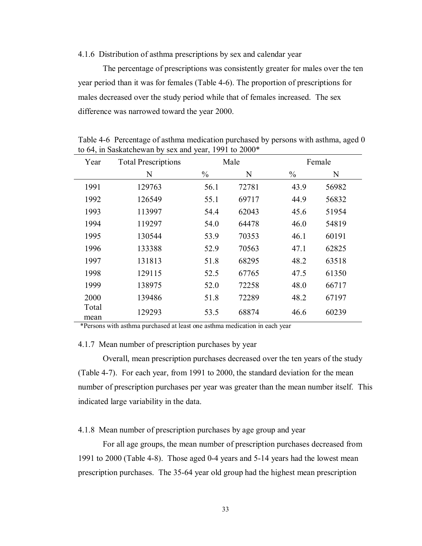4.1.6 Distribution of asthma prescriptions by sex and calendar year

The percentage of prescriptions was consistently greater for males over the ten year period than it was for females (Table 4-6). The proportion of prescriptions for males decreased over the study period while that of females increased. The sex difference was narrowed toward the year 2000.

| Year          | <b>Total Prescriptions</b> |               | Male  |               | Female |
|---------------|----------------------------|---------------|-------|---------------|--------|
|               | N                          | $\frac{0}{0}$ | N     | $\frac{0}{0}$ | N      |
| 1991          | 129763                     | 56.1          | 72781 | 43.9          | 56982  |
| 1992          | 126549                     | 55.1          | 69717 | 44.9          | 56832  |
| 1993          | 113997                     | 54.4          | 62043 | 45.6          | 51954  |
| 1994          | 119297                     | 54.0          | 64478 | 46.0          | 54819  |
| 1995          | 130544                     | 53.9          | 70353 | 46.1          | 60191  |
| 1996          | 133388                     | 52.9          | 70563 | 47.1          | 62825  |
| 1997          | 131813                     | 51.8          | 68295 | 48.2          | 63518  |
| 1998          | 129115                     | 52.5          | 67765 | 47.5          | 61350  |
| 1999          | 138975                     | 52.0          | 72258 | 48.0          | 66717  |
| 2000          | 139486                     | 51.8          | 72289 | 48.2          | 67197  |
| Total<br>mean | 129293                     | 53.5          | 68874 | 46.6          | 60239  |

Table 4-6 Percentage of asthma medication purchased by persons with asthma, aged 0 to 64, in Saskatchewan by sex and year, 1991 to 2000\*

\*Persons with asthma purchased at least one asthma medication in each year

#### 4.1.7 Mean number of prescription purchases by year

Overall, mean prescription purchases decreased over the ten years of the study (Table 4-7). For each year, from 1991 to 2000, the standard deviation for the mean number of prescription purchases per year was greater than the mean number itself. This indicated large variability in the data.

## 4.1.8 Mean number of prescription purchases by age group and year

For all age groups, the mean number of prescription purchases decreased from 1991 to 2000 (Table 4-8). Those aged 0-4 years and 5-14 years had the lowest mean prescription purchases. The 35-64 year old group had the highest mean prescription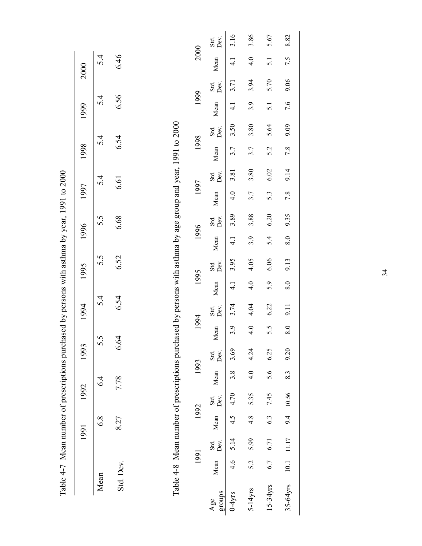|               |      |              |               |              |            |              |                |              |               |              |               |              | Table 4-7 Mean number of prescriptions purchased by persons with asthma by year, 1991 to 2000               |              |      |              |                  |              |                  |              |
|---------------|------|--------------|---------------|--------------|------------|--------------|----------------|--------------|---------------|--------------|---------------|--------------|-------------------------------------------------------------------------------------------------------------|--------------|------|--------------|------------------|--------------|------------------|--------------|
|               |      | 1991         |               | 1992         |            | 1993         |                | 1994         |               | 1995         |               | 1996         | 1997                                                                                                        |              | 1998 |              | 1999             |              | 2000             |              |
| Mean          |      |              | $\frac{8}{6}$ |              | $6\dot{4}$ | ς.           | 5              | 5.4          |               | 5.5          |               | 5.5          |                                                                                                             | 54           |      | 5.4          | 5.4              |              | 5.4              |              |
| Std. Dev.     |      |              | 8.27          |              | 7.78       | 6.64         |                | 6.54         |               | 6.52         |               | 6.68         |                                                                                                             | 6.61         | 6.54 |              | 6.56             |              | 6.46             |              |
|               |      |              |               |              |            |              |                |              |               |              |               |              | Table 4-8 Mean number of prescriptions purchased by persons with asthma by age group and year, 1991 to 2000 |              |      |              |                  |              |                  |              |
|               | 1991 |              | 1992          |              | 1993       |              | 1994           |              | 1995          |              |               | 1996         | 1997                                                                                                        |              | 1998 |              | 1999             |              | 2000             |              |
| groups<br>Age | Mean | Std.<br>Dev. | Mean          | Dev.<br>Std. | Mean       | Dev.<br>Std. | Mean           | Std.<br>Dev. | Mean          | Std.<br>Dev. | Mean          | Std.<br>Dev. | Mean                                                                                                        | Std.<br>Dev. | Mean | Std.<br>Dev. | Mean             | Std.<br>Dev. | Mean             | Std.<br>Dev. |
| $0-4$ yrs     | 4.6  | 5.14         | 4.5           | 4.70         | 3.8        | 3.69         | $\dot{3}$ .9   | 3.74         | $\frac{1}{4}$ | 3.95         | $\frac{1}{4}$ | 3.89         | $\ddot{ }$                                                                                                  | 3.81         | 3.7  | 3.50         | $\frac{1}{4}$    | 3.71         | $\frac{1}{4}$    | 3.16         |
| $5 - 14$ yrs  | 5.2  | 5.99         | 4.8           | 5.35         | 4.0        | 4.24         | $\frac{4}{10}$ | 4.04         | $\frac{4}{1}$ | 4.05         | 3.9           | 3.88         | 3.7                                                                                                         | 3.80         | 3.7  | 3.80         | 3.9              | 3.94         | $\frac{4}{10}$   | 3.86         |
| $15-34$ yrs   | 6.7  | 6.71         | 6.3           | 7.45         | 5.6        | 6.25         | 5.5            | 6.22         | 5.9           | 6.06         | 5.4           | 6.20         | 5.3                                                                                                         | 6.02         | 5.2  | 5.64         | $\overline{5}$ . | 5.70         | $\overline{5.1}$ | 5.67         |

35-64yrs 10.1 11.17 9.4 10.56 8.3 9.20 8.0 9.11 8.0 9.13 8.0 9.35 7.8 9.14 7.8 9.09 7.6 9.06 7.5 8.82

 $8.0$ 

9.11

 $8.0$ 

9.20

8.3

10.56

 $9.4$ 

 $11.17$ 

 $10.1\,$ 

35-64yrs

9.13

8.82

7.5

9.06

 $7.6$ 

9.09

 $7.8$ 

9.14

 $7.8$ 

9.35

 $8.0$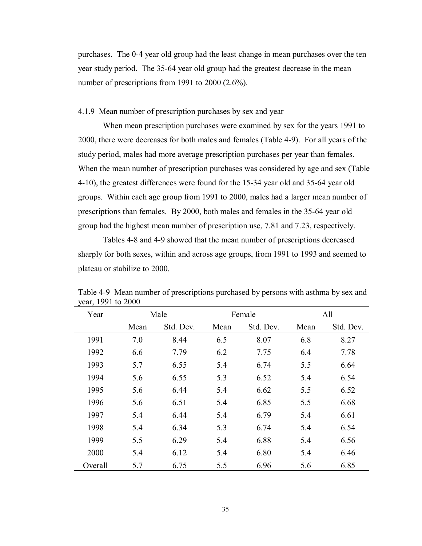purchases. The 0-4 year old group had the least change in mean purchases over the ten year study period. The 35-64 year old group had the greatest decrease in the mean number of prescriptions from 1991 to 2000 (2.6%).

## 4.1.9 Mean number of prescription purchases by sex and year

 When mean prescription purchases were examined by sex for the years 1991 to 2000, there were decreases for both males and females (Table 4-9). For all years of the study period, males had more average prescription purchases per year than females. When the mean number of prescription purchases was considered by age and sex (Table 4-10), the greatest differences were found for the 15-34 year old and 35-64 year old groups. Within each age group from 1991 to 2000, males had a larger mean number of prescriptions than females. By 2000, both males and females in the 35-64 year old group had the highest mean number of prescription use, 7.81 and 7.23, respectively.

Tables 4-8 and 4-9 showed that the mean number of prescriptions decreased sharply for both sexes, within and across age groups, from 1991 to 1993 and seemed to plateau or stabilize to 2000.

| Year    |      | Male      |      | Female    |      | All       |
|---------|------|-----------|------|-----------|------|-----------|
|         | Mean | Std. Dev. | Mean | Std. Dev. | Mean | Std. Dev. |
| 1991    | 7.0  | 8.44      | 6.5  | 8.07      | 6.8  | 8.27      |
| 1992    | 6.6  | 7.79      | 6.2  | 7.75      | 6.4  | 7.78      |
| 1993    | 5.7  | 6.55      | 5.4  | 6.74      | 5.5  | 6.64      |
| 1994    | 5.6  | 6.55      | 5.3  | 6.52      | 5.4  | 6.54      |
| 1995    | 5.6  | 6.44      | 5.4  | 6.62      | 5.5  | 6.52      |
| 1996    | 5.6  | 6.51      | 5.4  | 6.85      | 5.5  | 6.68      |
| 1997    | 5.4  | 6.44      | 5.4  | 6.79      | 5.4  | 6.61      |
| 1998    | 5.4  | 6.34      | 5.3  | 6.74      | 5.4  | 6.54      |
| 1999    | 5.5  | 6.29      | 5.4  | 6.88      | 5.4  | 6.56      |
| 2000    | 5.4  | 6.12      | 5.4  | 6.80      | 5.4  | 6.46      |
| Overall | 5.7  | 6.75      | 5.5  | 6.96      | 5.6  | 6.85      |

Table 4-9 Mean number of prescriptions purchased by persons with asthma by sex and year, 1991 to 2000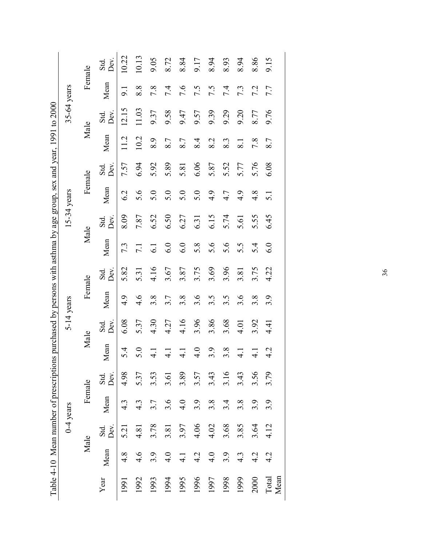|               | Female | Dev.<br>Std.         | 10.22                     | 10.13            | 9.05            | 8.72          | 8.84          | 9.17          | 8.94        | 8.93             | 8.94                | 8.86             | 9.15             |
|---------------|--------|----------------------|---------------------------|------------------|-----------------|---------------|---------------|---------------|-------------|------------------|---------------------|------------------|------------------|
| 35-64 years   |        | Mean<br>Dev.<br>Std. | $\overline{9}$ .<br>12.15 | 8.8<br>11.03     | 7.8<br>9.37     | 7.4<br>9.58   | 7.6<br>9.47   | 7.5<br>9.57   | 7.5<br>9.39 | 7.4<br>9.29      | 7.3<br>9.20         | 7.2<br>8.77      | 7.7<br>9.76      |
|               | Male   | Mean                 | 11.2                      | 10.2             | 8.9             | 8.7           | 8.7           | 8.4           | 8.2         | $8.\overline{3}$ | $\overline{\infty}$ | 7.8              | 8.7              |
|               | Female | Dev.<br>Std.         | 7.57                      | 6.94             | 5.92            | 5.89          | 5.81          | 6.06          | 5.87        | 5.52             | 5.77                | 5.76             | 6.08             |
| $15-34$ years |        | Mean                 | 6.2                       | 5.6              | 5.0             | 5.0           | 5.0           | 5.0           | 4.9         | 4.7              | 4.9                 | $4.\overline{8}$ | $\overline{5.1}$ |
|               | Male   | Dev.<br>Std.         | 8.09                      | 7.87             | 6.52            | 6.50          | 6.27          | 6.31          | 6.15        | 5.74             | 5.61                | 5.55             | 6.45             |
|               |        | Mean                 | 7.3                       | $\overline{z}$   | $\overline{61}$ | 6.0           | 6.0           | 5.8           | 5.6         | 5.6              | 5.5                 | 5.4              | 6.0              |
|               | Female | Dev.<br>Std.         | 5.82                      | 5.31             | 4.16            | 3.67          | 3.87          | 3.75          | 3.69        | 3.96             | 3.81                | 3.75             | 4.22             |
| $5-14$ years  |        | Mean                 | $\frac{9}{4}$             | 4.6              | 3.8             | 3.7           | 3.8           | 3.6           | 3.5         | 3.5              | $3.\overline{6}$    | 3.8              | 3.9              |
|               | Male   | Dev.<br>Std.         | 6.08                      | 5.37             | 4.30            | 4.27          | 4.16          | 3.96          | 3.86        | 3.68             | 4.01                | 3.92             | 4.41             |
|               |        | Mean                 | 5.4                       | 5.0              | $\frac{1}{4}$   | $\frac{1}{4}$ | $\frac{1}{4}$ | $\frac{4}{1}$ | 3.9         | 3.8              | $\frac{1}{4}$       | $\frac{1}{4}$    | 4.2              |
|               | Female | Std.<br>Dev.         | 4.98                      | 5.37             | 3.53            | 3.61          | 3.89          | 3.57          | 3.43        | 3.16             | 3.43                | 3.56             | 3.79             |
| $0-4$ years   |        | Mean                 | $4.\overline{3}$          | $4.\overline{3}$ | 3.7             | 3.6           | 4.0           | 3.9           | 3.8         | 3.4              | 3.8                 | 3.9              | 3.9              |
|               | Male   | Dev.<br>Std.         | 5.21                      | 4.81             | 3.78            | 3.81          | 3.97          | 4.06          | 4.02        | 3.68             | 3.85                | 3.64             | 4.12             |
|               |        | Mean                 | 4.8                       | 4.6              | 3.9             | 4.0           | $\frac{1}{4}$ | 4.2           | 4.0         | 3.9              | $4.\overline{3}$    | 4.2              | 4.2              |
|               |        | Year                 | 1991                      | 1992             | 1993            | 1994          | 1995          | 1996          | 1997        | 1998             | 1999                | 2000             | Mean<br>Total    |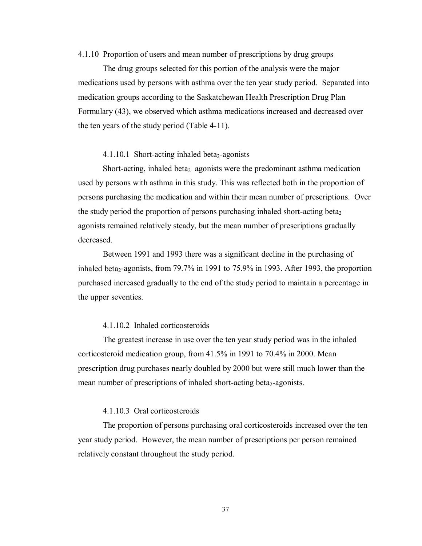4.1.10 Proportion of users and mean number of prescriptions by drug groups

The drug groups selected for this portion of the analysis were the major medications used by persons with asthma over the ten year study period. Separated into medication groups according to the Saskatchewan Health Prescription Drug Plan Formulary (43), we observed which asthma medications increased and decreased over the ten years of the study period (Table 4-11).

#### 4.1.10.1 Short-acting inhaled beta<sub>2</sub>-agonists

Short-acting, inhaled beta $_2$ -agonists were the predominant asthma medication used by persons with asthma in this study. This was reflected both in the proportion of persons purchasing the medication and within their mean number of prescriptions. Over the study period the proportion of persons purchasing inhaled short-acting beta $_{2}$ – agonists remained relatively steady, but the mean number of prescriptions gradually decreased.

Between 1991 and 1993 there was a significant decline in the purchasing of inhaled beta<sub>2</sub>-agonists, from 79.7% in 1991 to 75.9% in 1993. After 1993, the proportion purchased increased gradually to the end of the study period to maintain a percentage in the upper seventies.

## 4.1.10.2 Inhaled corticosteroids

The greatest increase in use over the ten year study period was in the inhaled corticosteroid medication group, from 41.5% in 1991 to 70.4% in 2000. Mean prescription drug purchases nearly doubled by 2000 but were still much lower than the mean number of prescriptions of inhaled short-acting beta<sub>2</sub>-agonists.

## 4.1.10.3 Oral corticosteroids

The proportion of persons purchasing oral corticosteroids increased over the ten year study period. However, the mean number of prescriptions per person remained relatively constant throughout the study period.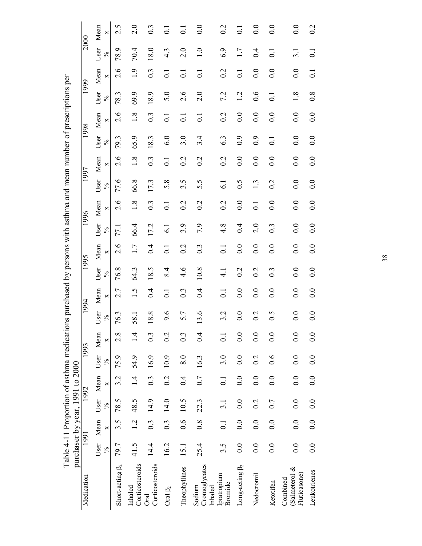|                                                                            | 2000       | Mean<br>×                  | 2.5                    | $\overline{2.0}$           | 0.3                            | $\overline{0}$ . | $\overline{\circ}$ | 0.0                                | 0.2                    | $\overline{\circ}$    | 0.0              | 0.0                | 0.0                                       | 0.2                             |
|----------------------------------------------------------------------------|------------|----------------------------|------------------------|----------------------------|--------------------------------|------------------|--------------------|------------------------------------|------------------------|-----------------------|------------------|--------------------|-------------------------------------------|---------------------------------|
|                                                                            |            | User<br>$\frac{5}{6}$      | 78.9                   | 70.4                       | 18.0                           | $4.\overline{3}$ | 2.0                | $\frac{0}{1}$                      | 6.9                    | 1.7                   | 0.4              | $\overline{0}$ :   | $\overline{3}$ .                          | 0.1                             |
|                                                                            |            | Mean<br>×                  | 2.6                    | 1.9                        | $0.\overline{3}$               | $\overline{0}$ : | $\overline{C}$     | $\overline{0}$ :                   | 0.2                    | $\overline{0}$ :      | 0.0              | 0.0                | 0.0                                       | $\overline{0}$ : $\overline{0}$ |
|                                                                            | 1999       | User<br>$\frac{5}{6}$      | 78.3                   | 69.9                       | 18.9                           | 5.0              | 2.6                | 2.0                                | 7.2                    | $\overline{12}$       | 0.6              | $\overline{0}$ :   | 1.8                                       | $\overline{0.8}$                |
|                                                                            |            | Mean<br>×                  | 2.6                    | $\frac{8}{1}$              | $0.\overline{3}$               | $\overline{0}$ . | $\overline{C}$     | $\overline{0}$ :                   | 0.2                    | 0.0                   | 0.0              | 0.0                | 0.0                                       | 0.0                             |
|                                                                            | 1998       | User<br>$\frac{5}{6}$      | 79.3                   | 65.9                       | 18.3                           | 6.0              | 3.0                | 3.4                                | 6.3                    | 0.9                   | 0.9              | $\overline{0}$ :   | 0.0                                       | 0.0                             |
| ions purchased by persons with asthma and mean number of prescriptions per |            | Mean<br>×                  | 2.6                    | $\frac{8}{1}$              | $0.\overline{3}$               | $\overline{0}$ . | 0.2                | 0.2                                | 0.2                    | 0.0                   | 0.0              | 0.0                | 0.0                                       | 0.0                             |
|                                                                            | 1997       | User<br>$\frac{5}{6}$      | 77.6                   | 66.8                       | 17.3                           | 5.8              | 3.5                | 5.5                                | $\overline{61}$        | 0.5                   | 1.3              | 0.2                | 0.0                                       | 0.0                             |
|                                                                            |            | Mean<br>×                  | 2.6                    | $\frac{8}{1}$              | $0.\overline{3}$               | $\overline{0}$ : | 0.2                | 0.2                                | 0.2                    | $\overline{0}$ .      | $\overline{0}$ . | 0.0                | 0.0                                       | 0.0                             |
|                                                                            | 1996       | User<br>$\%$               | 77.1                   | 66.4                       | 17.2                           | $\overline{61}$  | 3.9                | 7.9                                | 4.8                    | 0.4                   | 2.0              | $0.\overline{3}$   | 0.0                                       | 0.0                             |
|                                                                            |            | Mean<br>×                  | 2.6                    | 1.7                        | 0.4                            | $\overline{0}$ : | 0.2                | 0.3                                | $\overline{0}$ :       | 0.0                   | 0.0              | 0.0                | 0.0                                       | 0.0                             |
|                                                                            | 1995       | User<br>$\frac{5}{6}$      | 76.8                   | 64.3                       | 18.5                           | 8.4              | 4.6                | 10.8                               | $\overline{4.1}$       | 0.2                   | 0.2              | $0.\overline{3}$   | 0.0                                       | 0.0                             |
|                                                                            |            | Mean<br>×                  | 2.7                    | 1.5                        | 0.4                            | $\overline{0}$ : | $0.\overline{3}$   | 0.4                                | $\overline{C}$         | 0.0                   | 0.0              | 0.0                | 0.0                                       | 0.0                             |
|                                                                            | 1994       | User<br>$\frac{5}{6}$      | 76.3                   | 58.1                       | 18.8                           | 9.6              | 5.7                | 13.6                               | 3.2                    | 0.0                   | 0.2              | $\widetilde{0}$ .5 | 0.0                                       | $\overline{0.0}$                |
|                                                                            |            | $\times$                   | 2.8                    | $\frac{4}{1}$              | 0.3                            | 0.2              | $0.\overline{3}$   | 0.4                                | $\overline{0.1}$       | 0.0                   | 0.0              | $\overline{0}$ .   | 0.0                                       | 0.0                             |
|                                                                            | 1993       | User Mean<br>$\frac{5}{6}$ | 75.9                   | 54.9                       | 16.9                           | 10.9             | 8.0                | 16.3                               | 3.0                    | 0.0                   | 0.2              | 0.6                | 0.0                                       | $\overline{0}$ .                |
|                                                                            |            | $\times$                   | 3.2                    | $\frac{4}{1}$              | $0.\overline{3}$               | 0.2              | $\overline{0}$ .   | 0.7                                | $\overline{0}$ .       | 0.0                   | 0.0              | 0.0                | 0.0                                       | 0.0                             |
|                                                                            | 1992       | User Mean<br>$\frac{5}{6}$ | 78.5                   | 48.5                       | 14.9                           | $0.3$ 14.0       | 10.5               | 22.3                               | $\overline{3}$ .       | 0.0                   | 0.2              | 0.7                | 0.0                                       | $\overline{0}$ .                |
|                                                                            |            | $\times$                   | 3.5                    | 1.2                        | $0.\overline{3}$               |                  | $\widetilde{6}$    | $\overline{0.8}$                   | 0.1                    | 0.0                   | 0.0              | 0.0                | 0.0                                       | 0.0                             |
| Table 4-11 Proportion of asthma medicat<br>purchaser by year, 1991 to 2000 | 1991       | User Mean<br>$\frac{1}{2}$ | 79.7                   | 41.5                       | 14.4                           | 16.2             | 15.1               | 25.4                               | 3.5                    | 0.0                   | 0.0              | 0.0                | 0.0                                       | 0.0                             |
|                                                                            | Medication |                            | Short-acting $\beta_2$ | Corticosteroids<br>Inhaled | Corticosteroids<br><b>Oral</b> | Oral $\beta_2$   | Theophyllines      | Cromoglycates<br>Sodium<br>Inhaled | Ipratropium<br>Bromide | Long-acting $\beta_2$ | Nedocromil       | Ketotifen          | (Salmeterol &<br>Fluticasone)<br>Combined | Leukotrienes                    |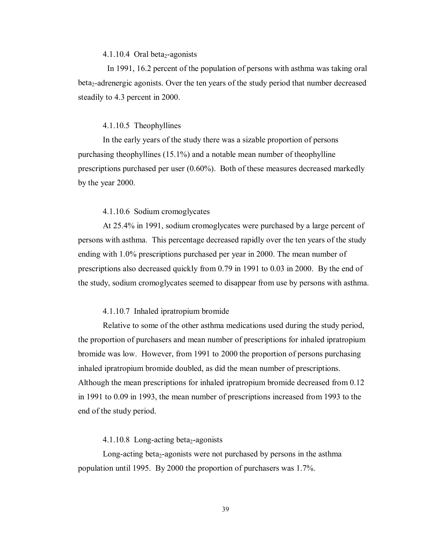#### $4.1.10.4$  Oral beta<sub>2</sub>-agonists

 In 1991, 16.2 percent of the population of persons with asthma was taking oral beta2-adrenergic agonists. Over the ten years of the study period that number decreased steadily to 4.3 percent in 2000.

## 4.1.10.5 Theophyllines

In the early years of the study there was a sizable proportion of persons purchasing theophyllines (15.1%) and a notable mean number of theophylline prescriptions purchased per user (0.60%). Both of these measures decreased markedly by the year 2000.

#### 4.1.10.6 Sodium cromoglycates

 At 25.4% in 1991, sodium cromoglycates were purchased by a large percent of persons with asthma. This percentage decreased rapidly over the ten years of the study ending with 1.0% prescriptions purchased per year in 2000. The mean number of prescriptions also decreased quickly from 0.79 in 1991 to 0.03 in 2000. By the end of the study, sodium cromoglycates seemed to disappear from use by persons with asthma.

## 4.1.10.7 Inhaled ipratropium bromide

Relative to some of the other asthma medications used during the study period, the proportion of purchasers and mean number of prescriptions for inhaled ipratropium bromide was low. However, from 1991 to 2000 the proportion of persons purchasing inhaled ipratropium bromide doubled, as did the mean number of prescriptions. Although the mean prescriptions for inhaled ipratropium bromide decreased from 0.12 in 1991 to 0.09 in 1993, the mean number of prescriptions increased from 1993 to the end of the study period.

## $4.1.10.8$  Long-acting beta<sub>2</sub>-agonists

Long-acting beta<sub>2</sub>-agonists were not purchased by persons in the asthma population until 1995. By 2000 the proportion of purchasers was 1.7%.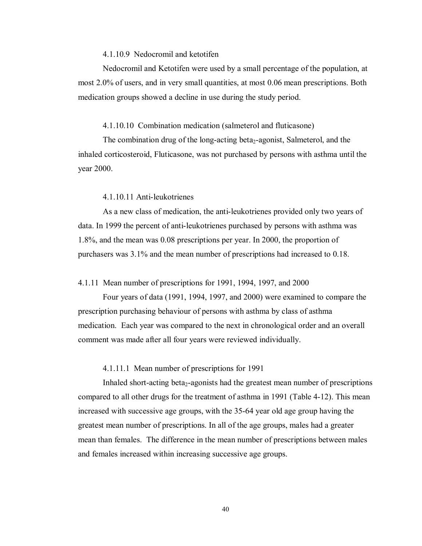### 4.1.10.9 Nedocromil and ketotifen

Nedocromil and Ketotifen were used by a small percentage of the population, at most 2.0% of users, and in very small quantities, at most 0.06 mean prescriptions. Both medication groups showed a decline in use during the study period.

#### 4.1.10.10 Combination medication (salmeterol and fluticasone)

The combination drug of the long-acting beta<sub>2</sub>-agonist, Salmeterol, and the inhaled corticosteroid, Fluticasone, was not purchased by persons with asthma until the year 2000.

### 4.1.10.11 Anti-leukotrienes

As a new class of medication, the anti-leukotrienes provided only two years of data. In 1999 the percent of anti-leukotrienes purchased by persons with asthma was 1.8%, and the mean was 0.08 prescriptions per year. In 2000, the proportion of purchasers was 3.1% and the mean number of prescriptions had increased to 0.18.

## 4.1.11 Mean number of prescriptions for 1991, 1994, 1997, and 2000

Four years of data (1991, 1994, 1997, and 2000) were examined to compare the prescription purchasing behaviour of persons with asthma by class of asthma medication. Each year was compared to the next in chronological order and an overall comment was made after all four years were reviewed individually.

## 4.1.11.1 Mean number of prescriptions for 1991

Inhaled short-acting beta<sub>2</sub>-agonists had the greatest mean number of prescriptions compared to all other drugs for the treatment of asthma in 1991 (Table 4-12). This mean increased with successive age groups, with the 35-64 year old age group having the greatest mean number of prescriptions. In all of the age groups, males had a greater mean than females. The difference in the mean number of prescriptions between males and females increased within increasing successive age groups.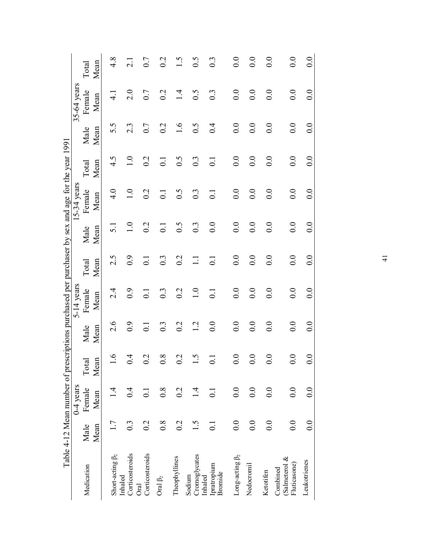|                                           |                  | Table 4-12 Mean number of prescriptions purchased per purchaser by sex and age for the year 1991 |                      |                  |                  |                  |                  |                  |                  |      |                  |                  |
|-------------------------------------------|------------------|--------------------------------------------------------------------------------------------------|----------------------|------------------|------------------|------------------|------------------|------------------|------------------|------|------------------|------------------|
|                                           |                  | $0-4$ years                                                                                      |                      |                  | $5-14$ years     |                  |                  | $15-34$ years    |                  |      | 35-64 years      |                  |
| Medication                                | Male             | Female                                                                                           | Total                | Male             | Female           | Total            | Male             | Female           | Total            | Male | Female           | Total            |
|                                           | Mean             | Mean                                                                                             | Mean                 | Mean             | Mean             | Mean             | Mean             | Mean             | Mean             | Mean | Mean             | Mean             |
| Short-acting $\beta_2$                    |                  |                                                                                                  | $\tilde{\mathbf{e}}$ | 2.6              | $2\cdot$         | 2.5              | $\overline{5}$ . | 4.0              | 4.5              | 5.5  | $\frac{1}{4}$    | $4.\overline{8}$ |
| Corticosteroids<br>Inhaled                | $0.\overline{3}$ | 0.4                                                                                              | 0.4                  | 0.9              | 0.9              | 0.9              | $\overline{1.0}$ | $\overline{1.0}$ | $\overline{1.0}$ | 2.3  | $\frac{0}{2}$    | $\overline{c}$   |
| Corticosteroids<br>Oral                   | 0.2              | $\overline{\circ}$                                                                               | 0.2                  | $\overline{0}$ . | $\overline{0}$ . | $\overline{0}$ . | 0.2              | 0.2              | 0.2              | 0.7  | 0.7              | 0.7              |
| Oral $\beta_2$                            | $\overline{0.8}$ | 0.8                                                                                              | $\frac{8}{2}$        | 0.3              | $0.\overline{3}$ | 0.3              | $\overline{0}$ . | $\overline{0}$ . | $\overline{C}$   | 0.2  | $\overline{0.2}$ | 0.2              |
| Theophyllines                             | 0.2              | 0.2                                                                                              | 0.2                  | 0.2              | 0.2              | 0.2              | 6.5              | 0.5              | 6.5              | 1.6  | 1.4              | 1.5              |
| Cromoglycates<br>Sodium                   | 1.5              | $\vec{a}$                                                                                        | 1.5                  | 1.2              | 1.0              | $\Box$           | 0.3              | $0.\overline{3}$ | 0.3              | 0.5  | 0.5              | 6.5              |
| Ipratropium<br>Bromide<br>Inhaled         | $\overline{0}$ : | $\overline{0}$                                                                                   | $\overline{0}$ .     | $\overline{0.0}$ | $\overline{0}$ . | $\overline{C}$   | 0.0              | $\overline{0}$ . | $\overline{0}$ . | 0.4  | 0.3              | 0.3              |
| Long-acting $\beta_2$                     | 0.0              | 0.0                                                                                              | 0.0                  | 0.0              | 0.0              | 0.0              | 0.0              | 0.0              | 0.0              | 0.0  | 0.0              | 0.0              |
| Nedocromil                                | 0.0              | 0.0                                                                                              | 0.0                  | 0.0              | 0.0              | 0.0              | 0.0              | 0.0              | 0.0              | 0.0  | 0.0              | 0.0              |
| Ketotifen                                 | 0.0              | $\overline{0}$ .                                                                                 | 0.0                  | 0.0              | 0.0              | 0.0              | 0.0              | 0.0              | 0.0              | 0.0  | 0.0              | 0.0              |
| (Salmeterol &<br>Fluticasone)<br>Combined | 0.0              | 0.0                                                                                              | 0.0                  | 0.0              | 0.0              | 0.0              | 0.0              | 0.0              | 0.0              | 0.0  | 0.0              | 0.0              |
| Leukotrienes                              | 0.0              | 0.0                                                                                              | 0.0                  | 0.0              | 0.0              | 0.0              | 0.0              | 0.0              | 0.0              | 0.0  | 0.0              | 0.0              |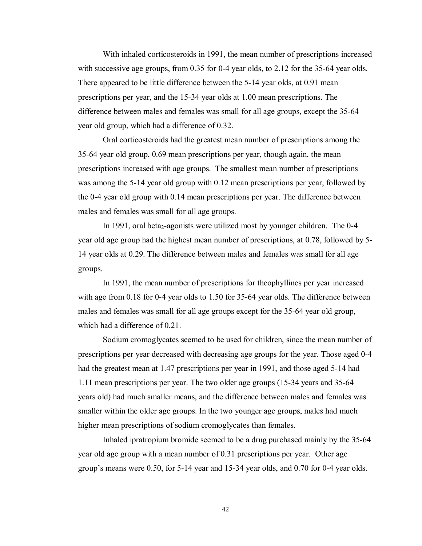With inhaled corticosteroids in 1991, the mean number of prescriptions increased with successive age groups, from 0.35 for 0-4 year olds, to 2.12 for the 35-64 year olds. There appeared to be little difference between the 5-14 year olds, at 0.91 mean prescriptions per year, and the 15-34 year olds at 1.00 mean prescriptions. The difference between males and females was small for all age groups, except the 35-64 year old group, which had a difference of 0.32.

Oral corticosteroids had the greatest mean number of prescriptions among the 35-64 year old group, 0.69 mean prescriptions per year, though again, the mean prescriptions increased with age groups. The smallest mean number of prescriptions was among the 5-14 year old group with 0.12 mean prescriptions per year, followed by the 0-4 year old group with 0.14 mean prescriptions per year. The difference between males and females was small for all age groups.

In 1991, oral beta<sub>2</sub>-agonists were utilized most by younger children. The 0-4 year old age group had the highest mean number of prescriptions, at 0.78, followed by 5- 14 year olds at 0.29. The difference between males and females was small for all age groups.

In 1991, the mean number of prescriptions for theophyllines per year increased with age from 0.18 for 0-4 year olds to 1.50 for 35-64 year olds. The difference between males and females was small for all age groups except for the 35-64 year old group, which had a difference of 0.21.

Sodium cromoglycates seemed to be used for children, since the mean number of prescriptions per year decreased with decreasing age groups for the year. Those aged 0-4 had the greatest mean at 1.47 prescriptions per year in 1991, and those aged 5-14 had 1.11 mean prescriptions per year. The two older age groups (15-34 years and 35-64 years old) had much smaller means, and the difference between males and females was smaller within the older age groups. In the two younger age groups, males had much higher mean prescriptions of sodium cromoglycates than females.

Inhaled ipratropium bromide seemed to be a drug purchased mainly by the 35-64 year old age group with a mean number of 0.31 prescriptions per year. Other age group's means were 0.50, for 5-14 year and 15-34 year olds, and 0.70 for 0-4 year olds.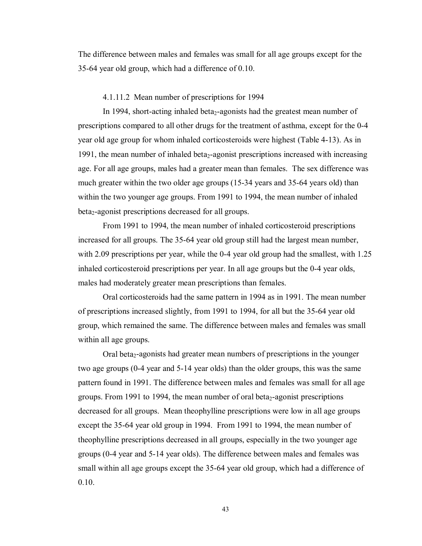The difference between males and females was small for all age groups except for the 35-64 year old group, which had a difference of 0.10.

#### 4.1.11.2 Mean number of prescriptions for 1994

In 1994, short-acting inhaled beta<sub>2</sub>-agonists had the greatest mean number of prescriptions compared to all other drugs for the treatment of asthma, except for the 0-4 year old age group for whom inhaled corticosteroids were highest (Table 4-13). As in 1991, the mean number of inhaled beta<sub>2</sub>-agonist prescriptions increased with increasing age. For all age groups, males had a greater mean than females. The sex difference was much greater within the two older age groups (15-34 years and 35-64 years old) than within the two younger age groups. From 1991 to 1994, the mean number of inhaled beta<sub>2</sub>-agonist prescriptions decreased for all groups.

From 1991 to 1994, the mean number of inhaled corticosteroid prescriptions increased for all groups. The 35-64 year old group still had the largest mean number, with 2.09 prescriptions per year, while the 0-4 year old group had the smallest, with 1.25 inhaled corticosteroid prescriptions per year. In all age groups but the 0-4 year olds, males had moderately greater mean prescriptions than females.

Oral corticosteroids had the same pattern in 1994 as in 1991. The mean number of prescriptions increased slightly, from 1991 to 1994, for all but the 35-64 year old group, which remained the same. The difference between males and females was small within all age groups.

Oral beta<sub>2</sub>-agonists had greater mean numbers of prescriptions in the younger two age groups (0-4 year and 5-14 year olds) than the older groups, this was the same pattern found in 1991. The difference between males and females was small for all age groups. From 1991 to 1994, the mean number of oral beta<sub>2</sub>-agonist prescriptions decreased for all groups. Mean theophylline prescriptions were low in all age groups except the 35-64 year old group in 1994. From 1991 to 1994, the mean number of theophylline prescriptions decreased in all groups, especially in the two younger age groups (0-4 year and 5-14 year olds). The difference between males and females was small within all age groups except the 35-64 year old group, which had a difference of 0.10.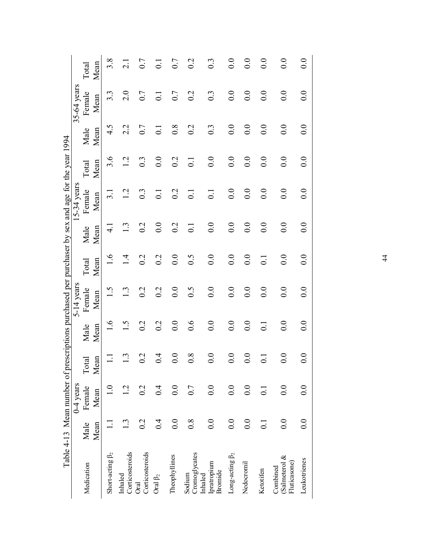|                                           |                  | Table 4-13 Mean number of prescriptions purchased per purchaser by sex and age for the year 1994 |                  |                  |                      |                  |                  |                         |                |                  |                       |                  |
|-------------------------------------------|------------------|--------------------------------------------------------------------------------------------------|------------------|------------------|----------------------|------------------|------------------|-------------------------|----------------|------------------|-----------------------|------------------|
| Medication                                | Male             | $0-4$ years<br>Female                                                                            | Total            | Male             | 5-14 years<br>Female | Total            | Male             | $15-34$ years<br>Female | Total          | Male             | 35-64 years<br>Female | Total            |
|                                           | Mean             | Mean                                                                                             | Mean             | Mean             | Mean                 | Mean             | Mean             | Mean                    | Mean           | Mean             | Mean                  | Mean             |
| Short-acting $\beta_2$                    |                  | $\frac{1}{1}$                                                                                    | $\Xi$            | $\frac{6}{1}$    | $\ddot{1}.\dot{5}$   | $\frac{6}{1}$    | $\frac{1}{4}$    | $\frac{3}{1}$           | 3.6            | 4.5              | $3.\overline{3}$      | 3.8              |
| Corticosteroids<br>Inhaled                | 1.3              | 1.2                                                                                              | 1.3              | 1.5              | 1.3                  | $\vec{r}$        | 1.3              | 1.2                     | 1.2            | 2.2              | 2.0                   | $\overline{c}$   |
| Corticosteroids<br>Oral                   | 0.2              | 0.2                                                                                              | 0.2              | 0.2              | 0.2                  | 0.2              | 0.2              | $0.\overline{3}$        | 0.3            | 0.7              | 0.7                   | 0.7              |
| Oral $\beta_2$                            | 0.4              | 0.4                                                                                              | 0.4              | 0.2              | 0.2                  | 0.2              | 0.0              | $\overline{C}$          | 0.0            | $\overline{0}$ . | $\overline{\circ}$    | $\overline{0}$ . |
| Theophyllines                             | 0.0              | 0.0                                                                                              | 0.0              | 0.0              | 0.0                  | 0.0              | 0.2              | 0.2                     | 0.2            | $0.\overline{8}$ | 0.7                   | 0.7              |
| Cromoglycates<br>Sodium                   | $0.\overline{8}$ | 0.7                                                                                              | $\overline{0.8}$ | 0.6              | 0.5                  | 0.5              | $\overline{0}$ : | $\overline{0}$ .        | $\overline{C}$ | 0.2              | 0.2                   | 0.2              |
| Ipratropium<br>Bromide<br>Inhaled         | 0.0              | 0.0                                                                                              | 0.0              | 0.0              | 0.0                  | 0.0              | 0.0              | $\overline{0}$ .        | 0.0            | $0.\overline{3}$ | 0.3                   | 0.3              |
| Long-acting $\beta_2$                     | 0.0              | 0.0                                                                                              | 0.0              | 0.0              | 0.0                  | 0.0              | 0.0              | 0.0                     | 0.0            | 0.0              | 0.0                   | 0.0              |
| Nedocromil                                | 0.0              | 0.0                                                                                              | $\overline{0.0}$ | 0.0              | 0.0                  | 0.0              | 0.0              | 0.0                     | 0.0            | 0.0              | 0.0                   | 0.0              |
| Ketotifen                                 | $\overline{0}$ . | $\overline{0}$ .                                                                                 | $\overline{0}$ : | $\overline{0}$ . | 0.0                  | $\overline{0}$ . | 0.0              | 0.0                     | 0.0            | 0.0              | 0.0                   | 0.0              |
| (Salmeterol &<br>Fluticasone)<br>Combined | 0.0              | 0.0                                                                                              | 0.0              | 0.0              | 0.0                  | 0.0              | 0.0              | 0.0                     | 0.0            | 0.0              | 0.0                   | 0.0              |
| Leukotrienes                              | 0.0              | $\overline{0.0}$                                                                                 | 0.0              | 0.0              | 0.0                  | 0.0              | 0.0              | 0.0                     | 0.0            | 0.0              | 0.0                   | 0.0              |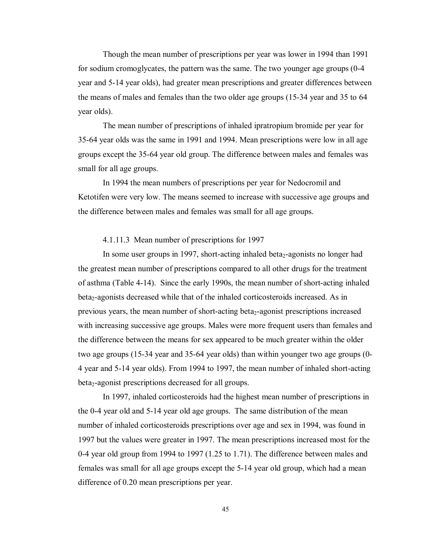Though the mean number of prescriptions per year was lower in 1994 than 1991 for sodium cromoglycates, the pattern was the same. The two younger age groups (0-4 year and 5-14 year olds), had greater mean prescriptions and greater differences between the means of males and females than the two older age groups (15-34 year and 35 to 64 year olds).

The mean number of prescriptions of inhaled ipratropium bromide per year for 35-64 year olds was the same in 1991 and 1994. Mean prescriptions were low in all age groups except the 35-64 year old group. The difference between males and females was small for all age groups.

In 1994 the mean numbers of prescriptions per year for Nedocromil and Ketotifen were very low. The means seemed to increase with successive age groups and the difference between males and females was small for all age groups.

### 4.1.11.3 Mean number of prescriptions for 1997

In some user groups in 1997, short-acting inhaled beta<sub>2</sub>-agonists no longer had the greatest mean number of prescriptions compared to all other drugs for the treatment of asthma (Table 4-14). Since the early 1990s, the mean number of short-acting inhaled beta<sub>2</sub>-agonists decreased while that of the inhaled corticosteroids increased. As in previous years, the mean number of short-acting beta<sub>2</sub>-agonist prescriptions increased with increasing successive age groups. Males were more frequent users than females and the difference between the means for sex appeared to be much greater within the older two age groups (15-34 year and 35-64 year olds) than within younger two age groups (0- 4 year and 5-14 year olds). From 1994 to 1997, the mean number of inhaled short-acting beta<sub>2</sub>-agonist prescriptions decreased for all groups.

In 1997, inhaled corticosteroids had the highest mean number of prescriptions in the 0-4 year old and 5-14 year old age groups. The same distribution of the mean number of inhaled corticosteroids prescriptions over age and sex in 1994, was found in 1997 but the values were greater in 1997. The mean prescriptions increased most for the 0-4 year old group from 1994 to 1997 (1.25 to 1.71). The difference between males and females was small for all age groups except the 5-14 year old group, which had a mean difference of 0.20 mean prescriptions per year.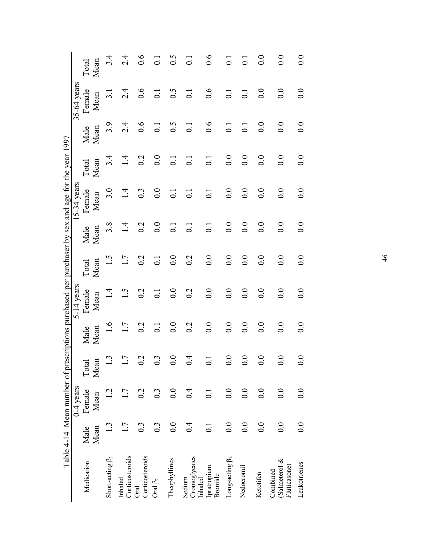|                                          |                  | $0-4$ years      |                                |                  | Table 4-14 Mean number of prescriptions purchased per purchaser by sex and age for the year 1997<br>5-14 years |               |                  | $15-34$ vears    |                  |                     | 35-64 years      |                  |
|------------------------------------------|------------------|------------------|--------------------------------|------------------|----------------------------------------------------------------------------------------------------------------|---------------|------------------|------------------|------------------|---------------------|------------------|------------------|
| Medication                               | Mean<br>Male     | Female<br>Mean   | Mean<br>Total                  | Mean<br>Male     | Female<br>Mean                                                                                                 | Mean<br>Total | Mean<br>Male     | Female<br>Mean   | Mean<br>Total    | Mean<br>Male        | Female<br>Mean   | Mean<br>Total    |
| Short-acting $\beta_2$                   |                  | 1.2              | $\dot{\phantom{1}}$            | $\ddot{0}$       | $\vec{a}$                                                                                                      | $\ddot{5}$    | 3.8              | 3.0              | $3\dot{4}$       | 3.9                 | $\overline{3}$ . | $3.\dot{4}$      |
| Corticosteroids<br>Inhaled               | 1.7              | 1.7              | 7                              | 1.7              | 1.5                                                                                                            | 1.7           | $\overline{1}$   | $\frac{4}{1}$    | $\frac{4}{1}$    | $2\cdot\frac{4}{5}$ | 2.4              | $\frac{4}{2}$    |
| Corticosteroids<br><b>Oral</b>           | $0.\overline{3}$ | 0.2              | $\dot{\mathcal{L}}$<br>$\circ$ | 0.2              | 0.2                                                                                                            | 0.2           | 0.2              | $0.\overline{3}$ | 0.2              | 0.6                 | 0.6              | 0.6              |
| Oral $\upbeta_2$                         | $0.\overline{3}$ | $0.\overline{3}$ | 0.3                            | $\overline{0}$ . | 0.1                                                                                                            | 0.1           | 0.0              | 0.0              | 0.0              | 0.1                 | $\overline{0}$ . | $\overline{0}$ . |
| Theophyllines                            | 0.0              | $\overline{0.0}$ | 0.0                            | 0.0              | 0.0                                                                                                            | 0.0           | $\overline{0}$ . | $\overline{0}$ . | $\overline{0}$ . | 0.5                 | 0.5              | 0.5              |
| Cromoglycates<br>Sodium                  | 0.4              | 0.4              | 4<br>$\circ$                   | 0.2              | 0.2                                                                                                            | 0.2           | $\overline{0}$ . | $\overline{0}$ . | $\overline{0}$ . | $\overline{0}$ .    | $\overline{0}$ . | $\overline{0}$ . |
| Ipratropium<br>Bromide<br>Inhaled        | $\overline{0}$ . | $\overline{0}$ . | $\overline{\phantom{0}}$<br>0  | 0.0              | 0.0                                                                                                            | 0.0           | $\overline{0}$ . | $\overline{0}$ . | $\overline{0}$ . | 0.6                 | $0.\overline{6}$ | $0.\overline{6}$ |
| Long-acting $\beta_2$                    | 0.0              | 0.0              | $\circ$<br>$\circ$             | 0.0              | 0.0                                                                                                            | 0.0           | 0.0              | 0.0              | 0.0              | $\overline{0}$ .    | $\overline{0}$ . | $\overline{0}$ . |
| Nedocromil                               | 0.0              | 0.0              | 0.0                            | 0.0              | 0.0                                                                                                            | $0.0\,$       | 0.0              | 0.0              | 0.0              | $\overline{0}$ .    | $\overline{0}$   | $\overline{0}$ . |
| Ketotifen                                | 0.0              | 0.0              | 0.0                            | 0.0              | 0.0                                                                                                            | 0.0           | 0.0              | 0.0              | 0.0              | $\overline{0.0}$    | 0.0              | 0.0              |
| Salmeterol &<br>Fluticasone)<br>Combined | 0.0              | 0.0              | 0.0                            | 0.0              | 0.0                                                                                                            | 0.0           | 0.0              | 0.0              | 0.0              | 0.0                 | 0.0              | 0.0              |
| Leukotrienes                             | 0.0              | 0.0              | 0.0                            | 0.0              | 0.0                                                                                                            | 0.0           | 0.0              | 0.0              | 0.0              | 0.0                 | $\overline{0.0}$ | 0.0              |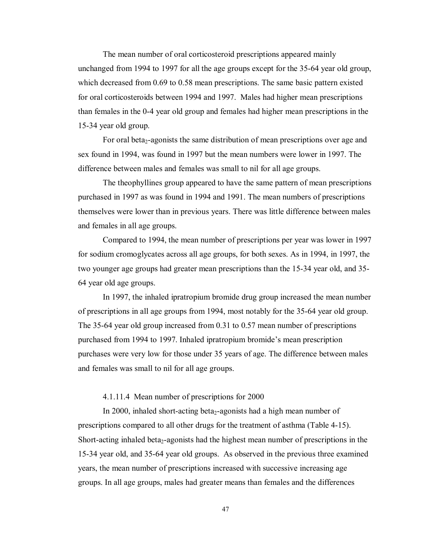The mean number of oral corticosteroid prescriptions appeared mainly unchanged from 1994 to 1997 for all the age groups except for the 35-64 year old group, which decreased from 0.69 to 0.58 mean prescriptions. The same basic pattern existed for oral corticosteroids between 1994 and 1997. Males had higher mean prescriptions than females in the 0-4 year old group and females had higher mean prescriptions in the 15-34 year old group.

For oral beta<sub>2</sub>-agonists the same distribution of mean prescriptions over age and sex found in 1994, was found in 1997 but the mean numbers were lower in 1997. The difference between males and females was small to nil for all age groups.

The theophyllines group appeared to have the same pattern of mean prescriptions purchased in 1997 as was found in 1994 and 1991. The mean numbers of prescriptions themselves were lower than in previous years. There was little difference between males and females in all age groups.

Compared to 1994, the mean number of prescriptions per year was lower in 1997 for sodium cromoglycates across all age groups, for both sexes. As in 1994, in 1997, the two younger age groups had greater mean prescriptions than the 15-34 year old, and 35- 64 year old age groups.

In 1997, the inhaled ipratropium bromide drug group increased the mean number of prescriptions in all age groups from 1994, most notably for the 35-64 year old group. The 35-64 year old group increased from 0.31 to 0.57 mean number of prescriptions purchased from 1994 to 1997. Inhaled ipratropium bromide's mean prescription purchases were very low for those under 35 years of age. The difference between males and females was small to nil for all age groups.

#### 4.1.11.4 Mean number of prescriptions for 2000

In 2000, inhaled short-acting beta<sub>2</sub>-agonists had a high mean number of prescriptions compared to all other drugs for the treatment of asthma (Table 4-15). Short-acting inhaled beta<sub>2</sub>-agonists had the highest mean number of prescriptions in the 15-34 year old, and 35-64 year old groups. As observed in the previous three examined years, the mean number of prescriptions increased with successive increasing age groups. In all age groups, males had greater means than females and the differences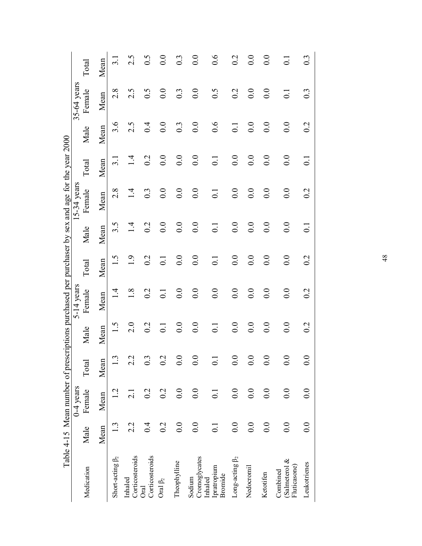|                                           |                  | $0-4$ years        |                                           |                    | 5-14 years       |                  |                  | $15-34$ years    |                  |                  | 35-64 years      |                    |
|-------------------------------------------|------------------|--------------------|-------------------------------------------|--------------------|------------------|------------------|------------------|------------------|------------------|------------------|------------------|--------------------|
| Medication                                | Male             | Female             | Total                                     | Male               | Female           | Total            | Male             | Female           | Total            | Male             | Female           | Total              |
|                                           | Mean             | Mean               | $\blacksquare$<br>Mear                    | Mean               | Mean             | Mean             | Mean             | Mean             | Mean             | Mean             | Mean             | Mean               |
| Short-acting $\beta_2$                    |                  |                    | $\dot{\mathcal{L}}$                       | $\ddot{1}.\dot{5}$ | $\vec{a}$        | 1.5              | 3.5              | $2.\overline{8}$ | $\frac{1}{3}$    | 3.6              | 2.8              |                    |
| Corticosteroids<br>Inhaled                | 2.2              | $\overline{c}$     | L,<br>$\mathbf{\sim}$                     | 2.0                | 1.8              | 1.9              | $\overline{1.4}$ | $\overline{1.4}$ | $\overline{1.4}$ | 2.5              | 2.5              | 2.5                |
| Corticosteroids<br>Öral                   | 0.4              | 0.2                | Ĉ.<br>0                                   | 0.2                | 0.2              | 0.2              | 0.2              | $0.\overline{3}$ | 0.2              | 0.4              | 6.5              | 0.5                |
| Oral $\beta_2$                            | 0.2              | 0.2                | $\overline{C}$<br>$\mathbin{\dot{\circ}}$ | $\overline{0}$ .   | $\overline{0}$ . | $\overline{0}$ . | 0.0              | 0.0              | $\overline{0}$ . | 0.0              | $\overline{0.0}$ | 0.0                |
| Theophylline                              | 0.0              | 0.0                | $\overline{0}$ .<br>$\bullet$             | 0.0                | 0.0              | 0.0              | 0.0              | 0.0              | 0.0              | 0.3              | 0.3              | 0.3                |
| Cromoglycates<br>Sodium                   | 0.0              | 0.0                | 0.0                                       | 0.0                | 0.0              | 0.0              | 0.0              | 0.0              | 0.0              | 0.0              | 0.0              | 0.0                |
| Ipratropium<br>Bromide<br>Inhaled         | $\overline{0}$ : | $\overline{\circ}$ | $\overline{0}$ :                          | $\overline{C}$     | 0.0              | $\overline{0}$ . | $\overline{0}$ . | $\overline{0}$ . | $\overline{0}$ . | $0.\overline{6}$ | 0.5              | 0.6                |
| Long-acting $\beta_2$                     | 0.0              | 0.0                | $Q_{i}$<br>0                              | 0.0                | 0.0              | 0.0              | 0.0              | 0.0              | 0.0              | $\overline{0}$ . | 0.2              | 0.2                |
| Nedocromil                                | 0.0              | 0.0                | $\overline{\mathbf{C}}$<br>$\bullet$      | 0.0                | 0.0              | 0.0              | 0.0              | 0.0              | 0.0              | 0.0              | 0.0              | 0.0                |
| Ketotifen                                 | 0.0              | 0.0                | $\bigcirc$<br>$\bullet$                   | 0.0                | 0.0              | $\overline{0.0}$ | 0.0              | 0.0              | 0.0              | 0.0              | $\overline{0.0}$ | 0.0                |
| (Salmeterol &<br>Fluticasone)<br>Combined | 0.0              | 0.0                | Q<br>0                                    | 0.0                | 0.0              | 0.0              | 0.0              | 0.0              | $\overline{0.0}$ | 0.0              | $\overline{0}$ . | $\overline{\circ}$ |
| Leukotrienes                              | 0.0              | 0.0                | $\bigcirc$<br>0                           | 0.2                | 0.2              | 0.2              | $\overline{0}$ . | 0.2              | $\overline{C}$   | 0.2              | $0.\overline{3}$ | $0.\overline{3}$   |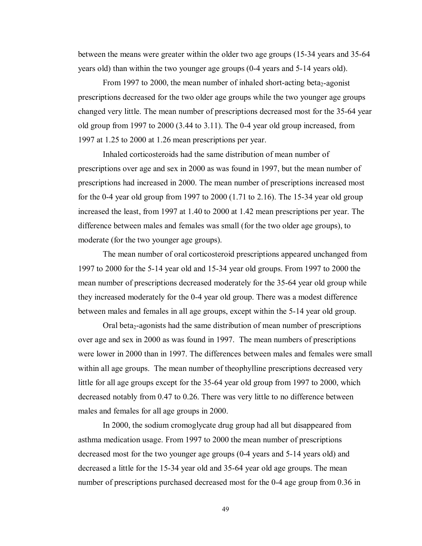between the means were greater within the older two age groups (15-34 years and 35-64 years old) than within the two younger age groups (0-4 years and 5-14 years old).

From 1997 to 2000, the mean number of inhaled short-acting beta<sub>2</sub>-agonist prescriptions decreased for the two older age groups while the two younger age groups changed very little. The mean number of prescriptions decreased most for the 35-64 year old group from 1997 to 2000 (3.44 to 3.11). The 0-4 year old group increased, from 1997 at 1.25 to 2000 at 1.26 mean prescriptions per year.

Inhaled corticosteroids had the same distribution of mean number of prescriptions over age and sex in 2000 as was found in 1997, but the mean number of prescriptions had increased in 2000. The mean number of prescriptions increased most for the 0-4 year old group from 1997 to 2000 (1.71 to 2.16). The 15-34 year old group increased the least, from 1997 at 1.40 to 2000 at 1.42 mean prescriptions per year. The difference between males and females was small (for the two older age groups), to moderate (for the two younger age groups).

The mean number of oral corticosteroid prescriptions appeared unchanged from 1997 to 2000 for the 5-14 year old and 15-34 year old groups. From 1997 to 2000 the mean number of prescriptions decreased moderately for the 35-64 year old group while they increased moderately for the 0-4 year old group. There was a modest difference between males and females in all age groups, except within the 5-14 year old group.

Oral beta $_2$ -agonists had the same distribution of mean number of prescriptions over age and sex in 2000 as was found in 1997. The mean numbers of prescriptions were lower in 2000 than in 1997. The differences between males and females were small within all age groups. The mean number of theophylline prescriptions decreased very little for all age groups except for the 35-64 year old group from 1997 to 2000, which decreased notably from 0.47 to 0.26. There was very little to no difference between males and females for all age groups in 2000.

In 2000, the sodium cromoglycate drug group had all but disappeared from asthma medication usage. From 1997 to 2000 the mean number of prescriptions decreased most for the two younger age groups (0-4 years and 5-14 years old) and decreased a little for the 15-34 year old and 35-64 year old age groups. The mean number of prescriptions purchased decreased most for the 0-4 age group from 0.36 in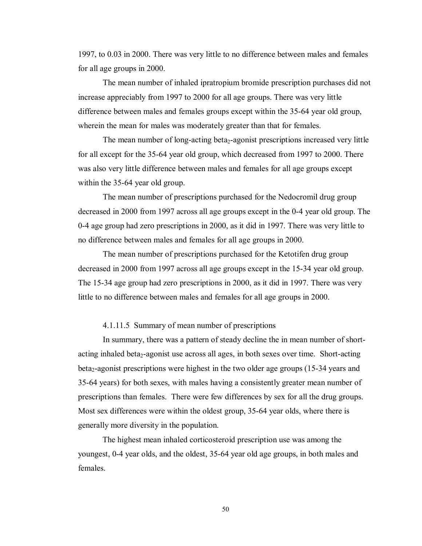1997, to 0.03 in 2000. There was very little to no difference between males and females for all age groups in 2000.

The mean number of inhaled ipratropium bromide prescription purchases did not increase appreciably from 1997 to 2000 for all age groups. There was very little difference between males and females groups except within the 35-64 year old group, wherein the mean for males was moderately greater than that for females.

The mean number of long-acting beta<sub>2</sub>-agonist prescriptions increased very little for all except for the 35-64 year old group, which decreased from 1997 to 2000. There was also very little difference between males and females for all age groups except within the 35-64 year old group.

The mean number of prescriptions purchased for the Nedocromil drug group decreased in 2000 from 1997 across all age groups except in the 0-4 year old group. The 0-4 age group had zero prescriptions in 2000, as it did in 1997. There was very little to no difference between males and females for all age groups in 2000.

The mean number of prescriptions purchased for the Ketotifen drug group decreased in 2000 from 1997 across all age groups except in the 15-34 year old group. The 15-34 age group had zero prescriptions in 2000, as it did in 1997. There was very little to no difference between males and females for all age groups in 2000.

# 4.1.11.5 Summary of mean number of prescriptions

 In summary, there was a pattern of steady decline the in mean number of shortacting inhaled beta<sub>2</sub>-agonist use across all ages, in both sexes over time. Short-acting beta<sub>2</sub>-agonist prescriptions were highest in the two older age groups (15-34 years and 35-64 years) for both sexes, with males having a consistently greater mean number of prescriptions than females. There were few differences by sex for all the drug groups. Most sex differences were within the oldest group, 35-64 year olds, where there is generally more diversity in the population.

The highest mean inhaled corticosteroid prescription use was among the youngest, 0-4 year olds, and the oldest, 35-64 year old age groups, in both males and females.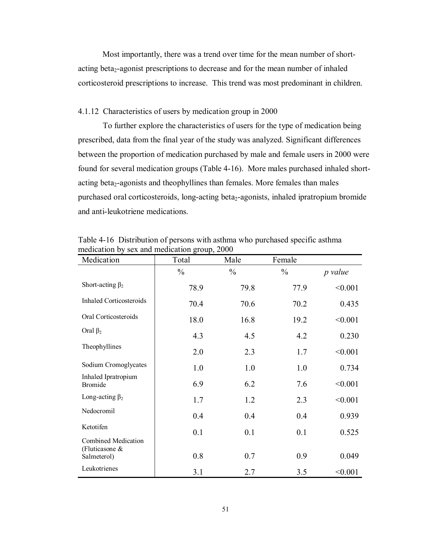Most importantly, there was a trend over time for the mean number of shortacting beta<sub>2</sub>-agonist prescriptions to decrease and for the mean number of inhaled corticosteroid prescriptions to increase. This trend was most predominant in children.

## 4.1.12 Characteristics of users by medication group in 2000

To further explore the characteristics of users for the type of medication being prescribed, data from the final year of the study was analyzed. Significant differences between the proportion of medication purchased by male and female users in 2000 were found for several medication groups (Table 4-16). More males purchased inhaled shortacting beta<sub>2</sub>-agonists and theophyllines than females. More females than males purchased oral corticosteroids, long-acting beta<sub>2</sub>-agonists, inhaled ipratropium bromide and anti-leukotriene medications.

| Medication                                   | Total         | Male          | Female        |         |
|----------------------------------------------|---------------|---------------|---------------|---------|
|                                              | $\frac{0}{0}$ | $\frac{0}{0}$ | $\frac{0}{0}$ | p value |
| Short-acting $\beta_2$                       | 78.9          | 79.8          | 77.9          | < 0.001 |
| <b>Inhaled Corticosteroids</b>               | 70.4          | 70.6          | 70.2          | 0.435   |
| Oral Corticosteroids                         | 18.0          | 16.8          | 19.2          | < 0.001 |
| Oral $\beta_2$                               | 4.3           | 4.5           | 4.2           | 0.230   |
| Theophyllines                                | 2.0           | 2.3           | 1.7           | < 0.001 |
| Sodium Cromoglycates                         | 1.0           | 1.0           | 1.0           | 0.734   |
| Inhaled Ipratropium<br><b>Bromide</b>        | 6.9           | 6.2           | 7.6           | < 0.001 |
| Long-acting $\beta_2$                        | 1.7           | 1.2           | 2.3           | < 0.001 |
| Nedocromil                                   | 0.4           | 0.4           | 0.4           | 0.939   |
| Ketotifen                                    | 0.1           | 0.1           | 0.1           | 0.525   |
| <b>Combined Medication</b><br>(Fluticasone & |               |               |               |         |
| Salmeterol)                                  | 0.8           | 0.7           | 0.9           | 0.049   |
| Leukotrienes                                 | 3.1           | 2.7           | 3.5           | < 0.001 |

Table 4-16 Distribution of persons with asthma who purchased specific asthma medication by sex and medication group, 2000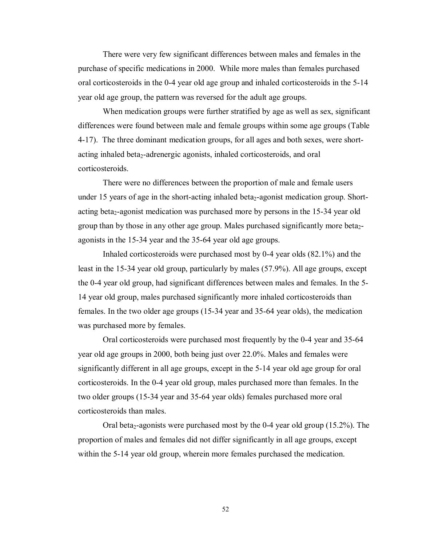There were very few significant differences between males and females in the purchase of specific medications in 2000. While more males than females purchased oral corticosteroids in the 0-4 year old age group and inhaled corticosteroids in the 5-14 year old age group, the pattern was reversed for the adult age groups.

When medication groups were further stratified by age as well as sex, significant differences were found between male and female groups within some age groups (Table 4-17). The three dominant medication groups, for all ages and both sexes, were shortacting inhaled beta<sub>2</sub>-adrenergic agonists, inhaled corticosteroids, and oral corticosteroids.

There were no differences between the proportion of male and female users under 15 years of age in the short-acting inhaled beta<sub>2</sub>-agonist medication group. Shortacting beta<sub>2</sub>-agonist medication was purchased more by persons in the 15-34 year old group than by those in any other age group. Males purchased significantly more beta2 agonists in the 15-34 year and the 35-64 year old age groups.

Inhaled corticosteroids were purchased most by 0-4 year olds (82.1%) and the least in the 15-34 year old group, particularly by males (57.9%). All age groups, except the 0-4 year old group, had significant differences between males and females. In the 5- 14 year old group, males purchased significantly more inhaled corticosteroids than females. In the two older age groups (15-34 year and 35-64 year olds), the medication was purchased more by females.

Oral corticosteroids were purchased most frequently by the 0-4 year and 35-64 year old age groups in 2000, both being just over 22.0%. Males and females were significantly different in all age groups, except in the 5-14 year old age group for oral corticosteroids. In the 0-4 year old group, males purchased more than females. In the two older groups (15-34 year and 35-64 year olds) females purchased more oral corticosteroids than males.

Oral beta<sub>2</sub>-agonists were purchased most by the 0-4 year old group  $(15.2\%)$ . The proportion of males and females did not differ significantly in all age groups, except within the 5-14 year old group, wherein more females purchased the medication.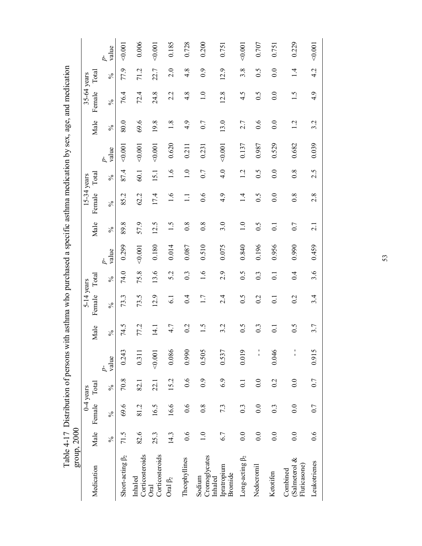|                                                                                                                       |               |               | value<br>$\overline{p}$ | 40.001                 | 0.006                      | 0.001                   | 0.185          | 0.728            | 0.200                              | 0.751                  | 0.001                 | 0.707            | 0.751            | 0.229                                     | 0.001        |
|-----------------------------------------------------------------------------------------------------------------------|---------------|---------------|-------------------------|------------------------|----------------------------|-------------------------|----------------|------------------|------------------------------------|------------------------|-----------------------|------------------|------------------|-------------------------------------------|--------------|
|                                                                                                                       |               | $\rm Total$   | $\frac{5}{6}$           | 77.9                   | 71.2                       | 22.7                    | 2.0            | $4.\overline{8}$ | 0.9                                | 12.9                   | 3.8                   | 0.5              | $\overline{0.0}$ | 1.4                                       | 4.2          |
|                                                                                                                       | 35-64 years   | Female        | $\frac{5}{6}$           | 76.4                   | 72.4                       | 24.8                    | 2.2            | $4.\overline{8}$ | 1.0                                | 12.8                   | 4.5                   | 0.5              | 0.0              | 1.5                                       | 4.9          |
|                                                                                                                       |               | Male          | $\frac{5}{6}$           | 80.0                   | 69.6                       | 19.8                    | 1.8            | 4.9              | 0.7                                | 13.0                   | 2.7                   | 0.6              | 0.0              | 1.2                                       | 3.2          |
|                                                                                                                       |               |               | value<br>$\overline{p}$ | < 0.001                | 0.001                      | 0.001                   | 0.620          | 0.211            | 0.231                              | 10001                  | 0.137                 | 0.987            | 0.529            | 0.682                                     | 0.039        |
|                                                                                                                       |               | $\Gamma$ otal | $\frac{5}{6}$           | 87.4                   | 60.1                       | 15.1                    | 1.6            | $\overline{1.0}$ | 0.7                                | 4.0                    | 1.2                   | 0.5              | 0.0              | $0.\overline{8}$                          | 2.5          |
|                                                                                                                       | $15-34$ years | Female        | $\frac{5}{6}$           | 85.2                   | 62.2                       | 17.4                    | 1.6            | $\Box$           | 0.6                                | 4.9                    | $\overline{1.4}$      | 0.5              | 0.0              | $0.\overline{8}$                          | 2.8          |
|                                                                                                                       |               | Male          | $\frac{5}{6}$           | 89.8                   | 57.9                       | 12.5                    | 1.5            | 0.8              | 0.8                                | 3.0                    | $\overline{1.0}$      | 0.5              | $\overline{0}$ . | 0.7                                       | 2.1          |
|                                                                                                                       |               |               | value<br>$\overline{p}$ | 0.299                  | 0.001                      | 0.180                   | 0.014          | 0.087            | 0.510                              | 0.075                  | 0.840                 | 0.196            | 0.956            | 0.990                                     | 0.459        |
|                                                                                                                       |               | Total         | $\frac{5}{6}$           | 74.0                   | 75.8                       | 13.6                    | 5.2            | $0.\overline{3}$ | 1.6                                | 2.9                    | $\widetilde{0}$ .5    | $0.\overline{3}$ | $\overline{0}$ . | 0.4                                       | 3.6          |
|                                                                                                                       | 5-14 years    | Female        | $\frac{5}{6}$           | 73.3                   | 73.5                       | 12.9                    | 61             | 0.4              | 1.7                                | 2.4                    | 0.5                   | 0.2              | $\overline{0}$ . | 0.2                                       | 3.4          |
|                                                                                                                       |               | Male          | $\frac{5}{6}$           | 74.5                   | 77.2                       | 14.1                    | 4.7            | 0.2              | 1.5                                | 3.2                    | 0.5                   | $0.\overline{3}$ | $\overline{C}$   | 0.5                                       | 3.7          |
| Table 4-17 Distribution of persons with asthma who purchased a specific asthma medication by sex, age, and medication |               |               | value<br>$\overline{p}$ | 0.243                  | 0.311                      | 0.001                   | 0.086          | 0.990            | 0.505                              | 0.537                  | 0.019                 | $\frac{1}{4}$    | 0.046            | $\frac{1}{1}$                             | 0.915        |
|                                                                                                                       |               | Total         | $\frac{5}{6}$           | 70.8                   | 82.1                       | 22.1                    | 15.2           | 0.6              | 0.9                                | 6.9                    | $\overline{0}$ .      | 0.0              | 0.2              | 0.0                                       | 0.7          |
|                                                                                                                       | 0-4 years     | Female        | $\frac{5}{6}$           | 69.6                   | 81.2                       | 16.5                    | 16.6           | 0.6              | $0.\overline{8}$                   | 7.3                    | $0.\overline{3}$      | 0.0              | $0.\overline{3}$ | 0.0                                       | 0.7          |
| group, 2000                                                                                                           |               | Male          | $\frac{5}{6}$           | 71.5                   | 82.6                       | 25.3                    | 14.3           | 0.6              | 1.0                                | 6.7                    | 0.0                   | 0.0              | 0.0              | 0.0                                       | 0.6          |
|                                                                                                                       |               | Medication    |                         | Short-acting $\beta_2$ | Corticosteroids<br>Inhaled | Corticosteroids<br>Oral | Oral $\beta_2$ | Theophyllines    | Cromoglycates<br>Sodium<br>Inhaled | Ipratropium<br>Bromide | Long-acting $\beta_2$ | Nedocromil       | Ketotifen        | (Salmeterol &<br>Fluticasone)<br>Combined | Leukotrienes |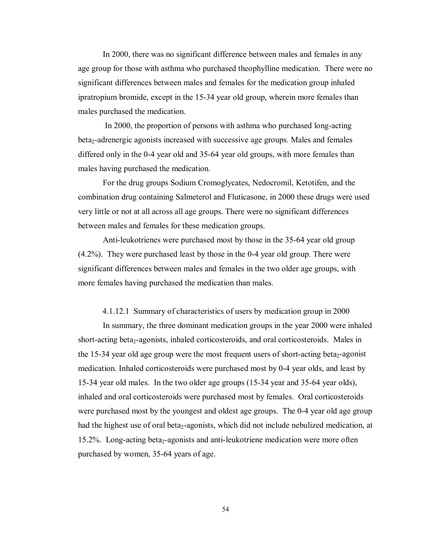In 2000, there was no significant difference between males and females in any age group for those with asthma who purchased theophylline medication. There were no significant differences between males and females for the medication group inhaled ipratropium bromide, except in the 15-34 year old group, wherein more females than males purchased the medication.

 In 2000, the proportion of persons with asthma who purchased long-acting beta<sub>2</sub>-adrenergic agonists increased with successive age groups. Males and females differed only in the 0-4 year old and 35-64 year old groups, with more females than males having purchased the medication.

For the drug groups Sodium Cromoglycates, Nedocromil, Ketotifen, and the combination drug containing Salmeterol and Fluticasone, in 2000 these drugs were used very little or not at all across all age groups. There were no significant differences between males and females for these medication groups.

Anti-leukotrienes were purchased most by those in the 35-64 year old group (4.2%). They were purchased least by those in the 0-4 year old group. There were significant differences between males and females in the two older age groups, with more females having purchased the medication than males.

#### 4.1.12.1 Summary of characteristics of users by medication group in 2000

In summary, the three dominant medication groups in the year 2000 were inhaled short-acting beta<sub>2</sub>-agonists, inhaled corticosteroids, and oral corticosteroids. Males in the 15-34 year old age group were the most frequent users of short-acting beta<sub>2</sub>-agonist medication. Inhaled corticosteroids were purchased most by 0-4 year olds, and least by 15-34 year old males. In the two older age groups (15-34 year and 35-64 year olds), inhaled and oral corticosteroids were purchased most by females. Oral corticosteroids were purchased most by the youngest and oldest age groups. The 0-4 year old age group had the highest use of oral beta<sub>2</sub>-agonists, which did not include nebulized medication, at 15.2%. Long-acting beta<sub>2</sub>-agonists and anti-leukotriene medication were more often purchased by women, 35-64 years of age.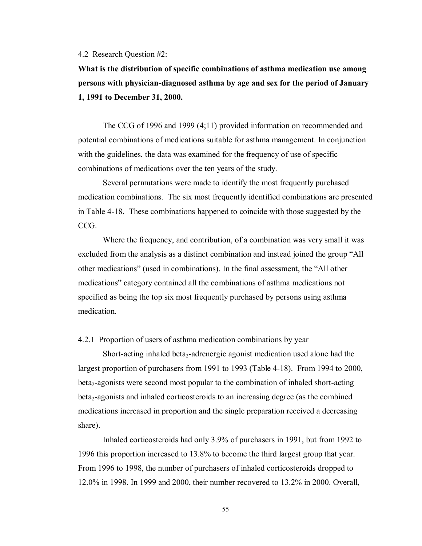4.2 Research Question #2:

**What is the distribution of specific combinations of asthma medication use among persons with physician-diagnosed asthma by age and sex for the period of January 1, 1991 to December 31, 2000.** 

The CCG of 1996 and 1999 (4;11) provided information on recommended and potential combinations of medications suitable for asthma management. In conjunction with the guidelines, the data was examined for the frequency of use of specific combinations of medications over the ten years of the study.

Several permutations were made to identify the most frequently purchased medication combinations. The six most frequently identified combinations are presented in Table 4-18. These combinations happened to coincide with those suggested by the CCG.

Where the frequency, and contribution, of a combination was very small it was excluded from the analysis as a distinct combination and instead joined the group "All other medications" (used in combinations). In the final assessment, the "All other medications" category contained all the combinations of asthma medications not specified as being the top six most frequently purchased by persons using asthma medication.

4.2.1 Proportion of users of asthma medication combinations by year

Short-acting inhaled beta<sub>2</sub>-adrenergic agonist medication used alone had the largest proportion of purchasers from 1991 to 1993 (Table 4-18). From 1994 to 2000, beta2-agonists were second most popular to the combination of inhaled short-acting beta2-agonists and inhaled corticosteroids to an increasing degree (as the combined medications increased in proportion and the single preparation received a decreasing share).

Inhaled corticosteroids had only 3.9% of purchasers in 1991, but from 1992 to 1996 this proportion increased to 13.8% to become the third largest group that year. From 1996 to 1998, the number of purchasers of inhaled corticosteroids dropped to 12.0% in 1998. In 1999 and 2000, their number recovered to 13.2% in 2000. Overall,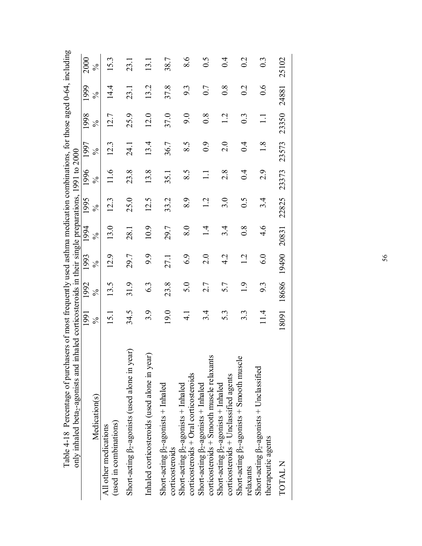| only inhaled beta <sub>2</sub> -agonists and inhaled corticosteroids in their single preparations, 1991 to 2000 |                  |            |            |            |                    |        |            |                  |                  |                    |
|-----------------------------------------------------------------------------------------------------------------|------------------|------------|------------|------------|--------------------|--------|------------|------------------|------------------|--------------------|
|                                                                                                                 | 1991             | 1992       | 1993       | 1994       | 1995               | 1996   | 1997       | 1998             | 1999             | 2000               |
| Medication(s)                                                                                                   | $\frac{5}{6}$    | $\lesssim$ | $\lesssim$ | $\lesssim$ | $\lesssim$         | ℅      | $\lesssim$ | $\frac{5}{6}$    | $\frac{5}{6}$    | $\frac{5}{6}$      |
| (used in combinations)<br>All other medications                                                                 | 15.1             | 13.5       | 12.9       | 13.0       | 12.3               | 1.6    | 12.3       | 12.7             | 14.4             | 15.3               |
| ar)<br>Short-acting $\beta_2$ -agonists (used alone in ye                                                       | 34.5             | 31.9       | 29.7       | 28.1       | 25.0               | 23.8   | 24.1       | 25.9             | 23.1             | 23.1               |
| Inhaled corticosteroids (used alone in year)                                                                    | 3.9              | 6.3        | 9.9        | 10.9       | 12.5               | 13.8   | 13.4       | 12.0             | 13.2             | 13.1               |
| Short-acting $\beta_2$ -agonists + Inhaled<br>corticosteroids                                                   | 19.0             | 23.8       | 27.1       | 29.7       | 33.2               | 35.1   | 36.7       | 37.0             | 37.8             | 38.7               |
| corticosteroids + Oral corticosteroids<br>Short-acting $\beta_2$ -agonists + Inhaled                            | $\frac{1}{4}$    | 5.0        | 6.9        | 8.0        | 8.9                | 8.5    | 8.5        | 9.0              | 9.3              | 8.6                |
| corticosteroids + Smooth muscle relaxants<br>Short-acting $\beta_2$ -agonists + Inhaled                         | 3.4              | 2.7        | 2.0        | $\vec{a}$  | $\overline{12}$    | $\Box$ | 0.9        | $0.\overline{8}$ | 0.7              | $\widetilde{0}$ .5 |
| corticosteroids + Unclassified agents<br>Short-acting $\beta_2$ -agonists + Inhaled                             | 5.3              | 5.7        | 4.2        | 3.4        | 3.0                | 2.8    | 2.0        | $\overline{1}$ . | $\overline{0.8}$ | 0.4                |
| Short-acting $\beta_2$ -agonists + Smooth muscle<br>relaxants                                                   | $3.\overline{3}$ | 1.9        | 1.2        | 0.8        | $\widetilde{0}$ .5 | 0.4    | 0.4        | $0.\overline{3}$ | 0.2              | 0.2                |
| Short-acting $\beta_2$ -agonists + Unclassified<br>therapeutic agents                                           | 11.4             | 9.3        | 6.0        | 4.6        | 3.4                | 2.9    | 1.8        | $\Box$           | 0.6              | $0.\overline{3}$   |
| TOTAL N                                                                                                         | 18091            | 18686      | 19490      | 20831      | 22825              | 23373  | 23573      | 23350            | 24881            | 25102              |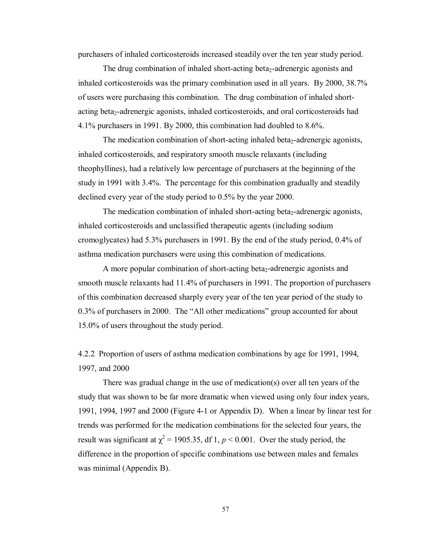purchasers of inhaled corticosteroids increased steadily over the ten year study period.

The drug combination of inhaled short-acting beta<sub>2</sub>-adrenergic agonists and inhaled corticosteroids was the primary combination used in all years. By 2000, 38.7% of users were purchasing this combination. The drug combination of inhaled shortacting beta<sub>2</sub>-adrenergic agonists, inhaled corticosteroids, and oral corticosteroids had 4.1% purchasers in 1991. By 2000, this combination had doubled to 8.6%.

The medication combination of short-acting inhaled beta<sub>2</sub>-adrenergic agonists, inhaled corticosteroids, and respiratory smooth muscle relaxants (including theophyllines), had a relatively low percentage of purchasers at the beginning of the study in 1991 with 3.4%. The percentage for this combination gradually and steadily declined every year of the study period to 0.5% by the year 2000.

The medication combination of inhaled short-acting beta<sub>2</sub>-adrenergic agonists, inhaled corticosteroids and unclassified therapeutic agents (including sodium cromoglycates) had 5.3% purchasers in 1991. By the end of the study period, 0.4% of asthma medication purchasers were using this combination of medications.

A more popular combination of short-acting beta<sub>2</sub>-adrenergic agonists and smooth muscle relaxants had 11.4% of purchasers in 1991. The proportion of purchasers of this combination decreased sharply every year of the ten year period of the study to 0.3% of purchasers in 2000. The "All other medications" group accounted for about 15.0% of users throughout the study period.

4.2.2 Proportion of users of asthma medication combinations by age for 1991, 1994, 1997, and 2000

There was gradual change in the use of medication(s) over all ten years of the study that was shown to be far more dramatic when viewed using only four index years, 1991, 1994, 1997 and 2000 (Figure 4-1 or Appendix D). When a linear by linear test for trends was performed for the medication combinations for the selected four years, the result was significant at  $\chi^2$  = 1905.35, df 1, *p* < 0.001. Over the study period, the difference in the proportion of specific combinations use between males and females was minimal (Appendix B).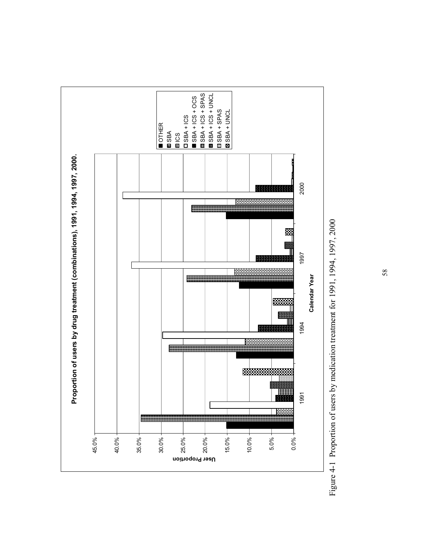

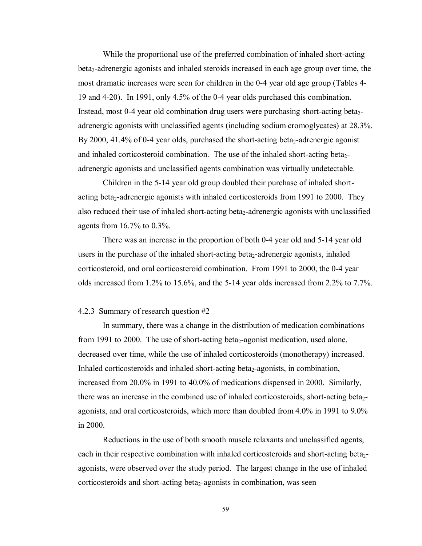While the proportional use of the preferred combination of inhaled short-acting beta2-adrenergic agonists and inhaled steroids increased in each age group over time, the most dramatic increases were seen for children in the 0-4 year old age group (Tables 4- 19 and 4-20). In 1991, only 4.5% of the 0-4 year olds purchased this combination. Instead, most 0-4 year old combination drug users were purchasing short-acting beta<sub>2</sub>adrenergic agonists with unclassified agents (including sodium cromoglycates) at 28.3%. By 2000, 41.4% of 0-4 year olds, purchased the short-acting beta<sub>2</sub>-adrenergic agonist and inhaled corticosteroid combination. The use of the inhaled short-acting beta<sub>2</sub>adrenergic agonists and unclassified agents combination was virtually undetectable.

Children in the 5-14 year old group doubled their purchase of inhaled shortacting beta<sub>2</sub>-adrenergic agonists with inhaled corticosteroids from 1991 to 2000. They also reduced their use of inhaled short-acting beta<sub>2</sub>-adrenergic agonists with unclassified agents from 16.7% to 0.3%.

There was an increase in the proportion of both 0-4 year old and 5-14 year old users in the purchase of the inhaled short-acting beta<sub>2</sub>-adrenergic agonists, inhaled corticosteroid, and oral corticosteroid combination. From 1991 to 2000, the 0-4 year olds increased from 1.2% to 15.6%, and the 5-14 year olds increased from 2.2% to 7.7%.

#### 4.2.3 Summary of research question #2

In summary, there was a change in the distribution of medication combinations from 1991 to 2000. The use of short-acting beta<sub>2</sub>-agonist medication, used alone, decreased over time, while the use of inhaled corticosteroids (monotherapy) increased. Inhaled corticosteroids and inhaled short-acting beta<sub>2</sub>-agonists, in combination, increased from 20.0% in 1991 to 40.0% of medications dispensed in 2000. Similarly, there was an increase in the combined use of inhaled corticosteroids, short-acting beta2 agonists, and oral corticosteroids, which more than doubled from 4.0% in 1991 to 9.0% in 2000.

Reductions in the use of both smooth muscle relaxants and unclassified agents, each in their respective combination with inhaled corticosteroids and short-acting beta<sub>2</sub>agonists, were observed over the study period. The largest change in the use of inhaled corticosteroids and short-acting beta<sub>2</sub>-agonists in combination, was seen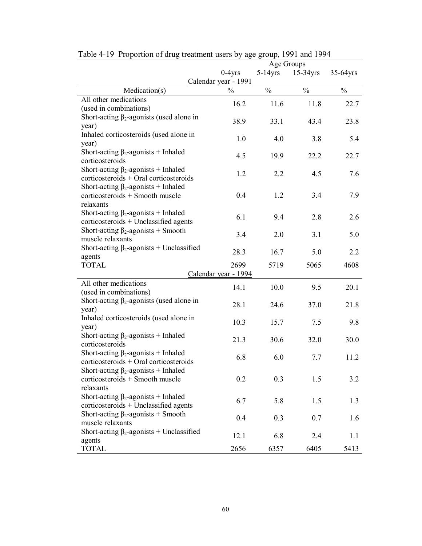|                                                 |               | Age Groups    |               |               |  |  |  |
|-------------------------------------------------|---------------|---------------|---------------|---------------|--|--|--|
|                                                 | $0-4$ yrs     | $5-14$ yrs    | $15-34$ yrs   | 35-64yrs      |  |  |  |
| Calendar year - 1991                            |               |               |               |               |  |  |  |
| Medication(s)                                   | $\frac{0}{0}$ | $\frac{0}{0}$ | $\frac{0}{0}$ | $\frac{0}{0}$ |  |  |  |
| All other medications                           | 16.2          | 11.6          | 11.8          | 22.7          |  |  |  |
| (used in combinations)                          |               |               |               |               |  |  |  |
| Short-acting $\beta_2$ -agonists (used alone in | 38.9          | 33.1          | 43.4          | 23.8          |  |  |  |
| year)                                           |               |               |               |               |  |  |  |
| Inhaled corticosteroids (used alone in          | 1.0           | 4.0           | 3.8           | 5.4           |  |  |  |
| year)                                           |               |               |               |               |  |  |  |
| Short-acting $\beta_2$ -agonists + Inhaled      | 4.5           | 19.9          | 22.2          | 22.7          |  |  |  |
| corticosteroids                                 |               |               |               |               |  |  |  |
| Short-acting $\beta_2$ -agonists + Inhaled      | 1.2           | 2.2           | 4.5           | 7.6           |  |  |  |
| corticosteroids + Oral corticosteroids          |               |               |               |               |  |  |  |
| Short-acting $\beta_2$ -agonists + Inhaled      |               |               |               |               |  |  |  |
| corticosteroids + Smooth muscle                 | 0.4           | 1.2           | 3.4           | 7.9           |  |  |  |
| relaxants                                       |               |               |               |               |  |  |  |
| Short-acting $\beta_2$ -agonists + Inhaled      | 6.1           | 9.4           | 2.8           | 2.6           |  |  |  |
| corticosteroids + Unclassified agents           |               |               |               |               |  |  |  |
| Short-acting $\beta_2$ -agonists + Smooth       | 3.4           | 2.0           | 3.1           | 5.0           |  |  |  |
| muscle relaxants                                |               |               |               |               |  |  |  |
| Short-acting $\beta_2$ -agonists + Unclassified | 28.3          | 16.7          | 5.0           | 2.2           |  |  |  |
| agents                                          |               |               |               |               |  |  |  |
| <b>TOTAL</b>                                    | 2699          | 5719          | 5065          | 4608          |  |  |  |
| Calendar year - 1994                            |               |               |               |               |  |  |  |
| All other medications                           | 14.1          | 10.0          | 9.5           | 20.1          |  |  |  |
| (used in combinations)                          |               |               |               |               |  |  |  |
| Short-acting $\beta_2$ -agonists (used alone in | 28.1          | 24.6          | 37.0          | 21.8          |  |  |  |
| year)                                           |               |               |               |               |  |  |  |
| Inhaled corticosteroids (used alone in          | 10.3          | 15.7          | 7.5           | 9.8           |  |  |  |
| year)                                           |               |               |               |               |  |  |  |
| Short-acting $\beta_2$ -agonists + Inhaled      | 21.3          | 30.6          | 32.0          | 30.0          |  |  |  |
| corticosteroids                                 |               |               |               |               |  |  |  |
| Short-acting $\beta_2$ -agonists + Inhaled      | 6.8           | 6.0           | 7.7           | 11.2          |  |  |  |
| corticosteroids + Oral corticosteroids          |               |               |               |               |  |  |  |
| Short-acting $\beta_2$ -agonists + Inhaled      |               |               |               |               |  |  |  |
| corticosteroids + Smooth muscle                 | 0.2           | 0.3           | 1.5           | 3.2           |  |  |  |
| relaxants                                       |               |               |               |               |  |  |  |
| Short-acting $\beta_2$ -agonists + Inhaled      | 6.7           | 5.8           | 1.5           | 1.3           |  |  |  |
| corticosteroids + Unclassified agents           |               |               |               |               |  |  |  |
| Short-acting $\beta_2$ -agonists + Smooth       | 0.4           | 0.3           | 0.7           | 1.6           |  |  |  |
| muscle relaxants                                |               |               |               |               |  |  |  |
| Short-acting $\beta_2$ -agonists + Unclassified | 12.1          | 6.8           | 2.4           | 1.1           |  |  |  |
| agents                                          |               | 6357          |               |               |  |  |  |
| <b>TOTAL</b>                                    | 2656          |               | 6405          | 5413          |  |  |  |

Table 4-19 Proportion of drug treatment users by age group, 1991 and 1994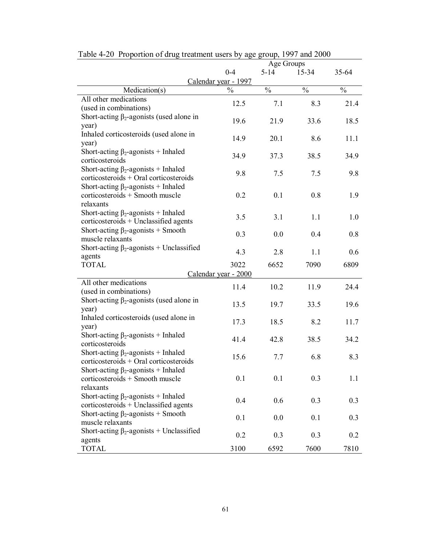|                                                 |               | Age Groups    |               |               |  |  |
|-------------------------------------------------|---------------|---------------|---------------|---------------|--|--|
|                                                 | $0 - 4$       | $5 - 14$      | 15-34         | 35-64         |  |  |
| Calendar year - 1997                            |               |               |               |               |  |  |
| Medication(s)                                   | $\frac{0}{0}$ | $\frac{0}{0}$ | $\frac{0}{0}$ | $\frac{0}{0}$ |  |  |
| All other medications                           | 12.5          | 7.1           | 8.3           | 21.4          |  |  |
| (used in combinations)                          |               |               |               |               |  |  |
| Short-acting $\beta_2$ -agonists (used alone in | 19.6          | 21.9          | 33.6          | 18.5          |  |  |
| year)                                           |               |               |               |               |  |  |
| Inhaled corticosteroids (used alone in          | 14.9          | 20.1          | 8.6           | 11.1          |  |  |
| year)                                           |               |               |               |               |  |  |
| Short-acting $\beta_2$ -agonists + Inhaled      | 34.9          | 37.3          | 38.5          | 34.9          |  |  |
| corticosteroids                                 |               |               |               |               |  |  |
| Short-acting $\beta_2$ -agonists + Inhaled      | 9.8           | 7.5           | 7.5           | 9.8           |  |  |
| corticosteroids + Oral corticosteroids          |               |               |               |               |  |  |
| Short-acting $\beta_2$ -agonists + Inhaled      |               |               |               |               |  |  |
| corticosteroids + Smooth muscle                 | 0.2           | 0.1           | 0.8           | 1.9           |  |  |
| relaxants                                       |               |               |               |               |  |  |
| Short-acting $\beta_2$ -agonists + Inhaled      | 3.5           | 3.1           |               |               |  |  |
| corticosteroids + Unclassified agents           |               |               | 1.1           | 1.0           |  |  |
| Short-acting $\beta_2$ -agonists + Smooth       | 0.3           |               |               |               |  |  |
| muscle relaxants                                |               | 0.0           | 0.4           | 0.8           |  |  |
| Short-acting $\beta_2$ -agonists + Unclassified |               |               |               | 0.6           |  |  |
| agents                                          | 4.3           | 2.8           | 1.1           |               |  |  |
| <b>TOTAL</b>                                    | 3022          | 6652          | 7090          | 6809          |  |  |
| Calendar year - 2000                            |               |               |               |               |  |  |
| All other medications                           | 11.4          | 10.2          | 11.9          | 24.4          |  |  |
| (used in combinations)                          |               |               |               |               |  |  |
| Short-acting $\beta_2$ -agonists (used alone in | 13.5          | 19.7          | 33.5          | 19.6          |  |  |
| year)                                           |               |               |               |               |  |  |
| Inhaled corticosteroids (used alone in          | 17.3          | 18.5          | 8.2           | 11.7          |  |  |
| year)                                           |               |               |               |               |  |  |
| Short-acting $\beta_2$ -agonists + Inhaled      | 41.4          | 42.8          | 38.5          | 34.2          |  |  |
| corticosteroids                                 |               |               |               |               |  |  |
| Short-acting $\beta_2$ -agonists + Inhaled      | 15.6          | 7.7           | 6.8           | 8.3           |  |  |
| corticosteroids + Oral corticosteroids          |               |               |               |               |  |  |
| Short-acting $\beta_2$ -agonists + Inhaled      |               |               |               |               |  |  |
| corticosteroids + Smooth muscle                 | 0.1           | 0.1           | 0.3           | 1.1           |  |  |
| relaxants                                       |               |               |               |               |  |  |
| Short-acting $\beta_2$ -agonists + Inhaled      | 0.4           | 0.6           | 0.3           | 0.3           |  |  |
| corticosteroids + Unclassified agents           |               |               |               |               |  |  |
| Short-acting $\beta_2$ -agonists + Smooth       | 0.1           | 0.0           | 0.1           |               |  |  |
| muscle relaxants                                |               |               |               | 0.3           |  |  |
| Short-acting $\beta_2$ -agonists + Unclassified | 0.2           | 0.3           | 0.3           | 0.2           |  |  |
| agents                                          |               |               |               |               |  |  |
| <b>TOTAL</b>                                    | 3100          | 6592          | 7600          | 7810          |  |  |

Table 4-20 Proportion of drug treatment users by age group, 1997 and 2000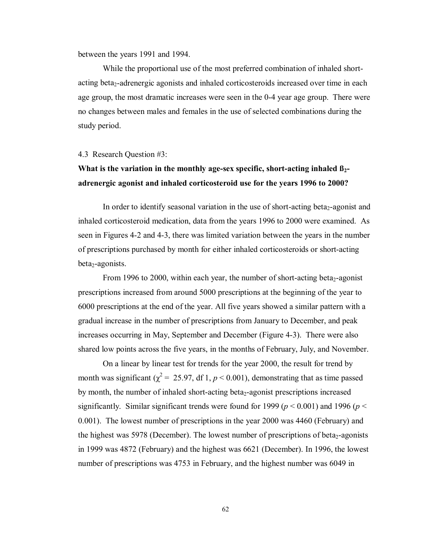between the years 1991 and 1994.

 While the proportional use of the most preferred combination of inhaled shortacting beta<sub>2</sub>-adrenergic agonists and inhaled corticosteroids increased over time in each age group, the most dramatic increases were seen in the 0-4 year age group. There were no changes between males and females in the use of selected combinations during the study period.

4.3 Research Question #3:

# **What is the variation in the monthly age-sex specific, short-acting inhaled ß2 adrenergic agonist and inhaled corticosteroid use for the years 1996 to 2000?**

In order to identify seasonal variation in the use of short-acting beta<sub>2</sub>-agonist and inhaled corticosteroid medication, data from the years 1996 to 2000 were examined. As seen in Figures 4-2 and 4-3, there was limited variation between the years in the number of prescriptions purchased by month for either inhaled corticosteroids or short-acting  $beta_2$ -agonists.

From 1996 to 2000, within each year, the number of short-acting beta<sub>2</sub>-agonist prescriptions increased from around 5000 prescriptions at the beginning of the year to 6000 prescriptions at the end of the year. All five years showed a similar pattern with a gradual increase in the number of prescriptions from January to December, and peak increases occurring in May, September and December (Figure 4-3). There were also shared low points across the five years, in the months of February, July, and November.

On a linear by linear test for trends for the year 2000, the result for trend by month was significant ( $\chi^2$  = 25.97, df 1, *p* < 0.001), demonstrating that as time passed by month, the number of inhaled short-acting beta<sub>2</sub>-agonist prescriptions increased significantly. Similar significant trends were found for 1999 ( $p < 0.001$ ) and 1996 ( $p <$ 0.001). The lowest number of prescriptions in the year 2000 was 4460 (February) and the highest was 5978 (December). The lowest number of prescriptions of beta<sub>2</sub>-agonists in 1999 was 4872 (February) and the highest was 6621 (December). In 1996, the lowest number of prescriptions was 4753 in February, and the highest number was 6049 in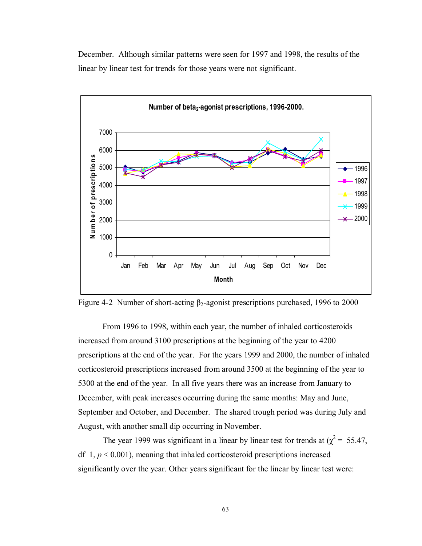December. Although similar patterns were seen for 1997 and 1998, the results of the linear by linear test for trends for those years were not significant.



Figure 4-2 Number of short-acting  $\beta_2$ -agonist prescriptions purchased, 1996 to 2000

From 1996 to 1998, within each year, the number of inhaled corticosteroids increased from around 3100 prescriptions at the beginning of the year to 4200 prescriptions at the end of the year. For the years 1999 and 2000, the number of inhaled corticosteroid prescriptions increased from around 3500 at the beginning of the year to 5300 at the end of the year. In all five years there was an increase from January to December, with peak increases occurring during the same months: May and June, September and October, and December. The shared trough period was during July and August, with another small dip occurring in November.

The year 1999 was significant in a linear by linear test for trends at ( $\chi^2$  = 55.47, df  $1, p \le 0.001$ ), meaning that inhaled corticosteroid prescriptions increased significantly over the year. Other years significant for the linear by linear test were: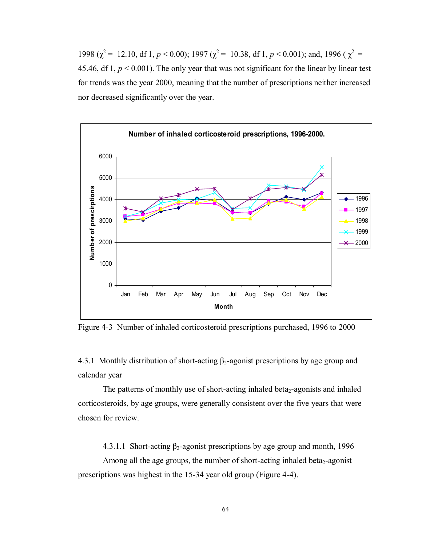1998 ( $\chi^2$  = 12.10, df 1, *p* < 0.00); 1997 ( $\chi^2$  = 10.38, df 1, *p* < 0.001); and, 1996 ( $\chi^2$  = 45.46, df 1, *p* < 0.001). The only year that was not significant for the linear by linear test for trends was the year 2000, meaning that the number of prescriptions neither increased nor decreased significantly over the year.



Figure 4-3 Number of inhaled corticosteroid prescriptions purchased, 1996 to 2000

4.3.1 Monthly distribution of short-acting  $\beta_2$ -agonist prescriptions by age group and calendar year

The patterns of monthly use of short-acting inhaled beta<sub>2</sub>-agonists and inhaled corticosteroids, by age groups, were generally consistent over the five years that were chosen for review.

4.3.1.1 Short-acting  $\beta_2$ -agonist prescriptions by age group and month, 1996

Among all the age groups, the number of short-acting inhaled beta<sub>2</sub>-agonist prescriptions was highest in the 15-34 year old group (Figure 4-4).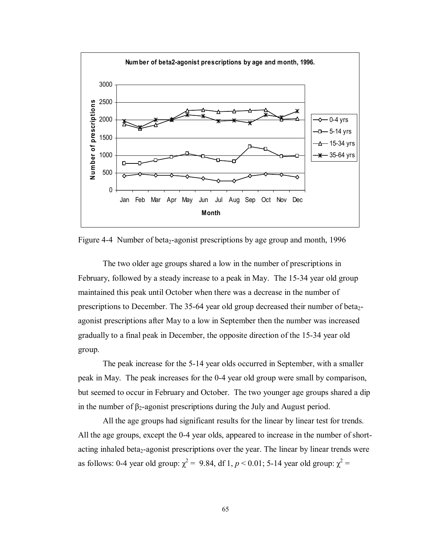

Figure 4-4 Number of beta<sub>2</sub>-agonist prescriptions by age group and month, 1996

The two older age groups shared a low in the number of prescriptions in February, followed by a steady increase to a peak in May. The 15-34 year old group maintained this peak until October when there was a decrease in the number of prescriptions to December. The 35-64 year old group decreased their number of beta<sub>2</sub>agonist prescriptions after May to a low in September then the number was increased gradually to a final peak in December, the opposite direction of the 15-34 year old group.

The peak increase for the 5-14 year olds occurred in September, with a smaller peak in May. The peak increases for the 0-4 year old group were small by comparison, but seemed to occur in February and October. The two younger age groups shared a dip in the number of  $\beta_2$ -agonist prescriptions during the July and August period.

All the age groups had significant results for the linear by linear test for trends. All the age groups, except the 0-4 year olds, appeared to increase in the number of shortacting inhaled beta<sub>2</sub>-agonist prescriptions over the year. The linear by linear trends were as follows: 0-4 year old group:  $\chi^2 = 9.84$ , df 1,  $p < 0.01$ ; 5-14 year old group:  $\chi^2 =$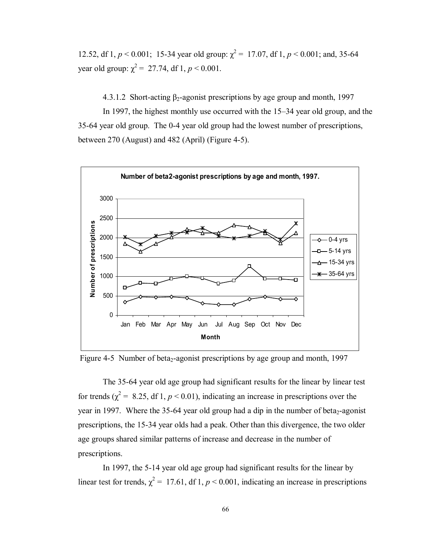12.52, df 1,  $p < 0.001$ ; 15-34 year old group:  $\chi^2 = 17.07$ , df 1,  $p < 0.001$ ; and, 35-64 year old group:  $\chi^2 = 27.74$ , df 1,  $p < 0.001$ .

4.3.1.2 Short-acting  $\beta_2$ -agonist prescriptions by age group and month, 1997

In 1997, the highest monthly use occurred with the 15–34 year old group, and the 35-64 year old group. The 0-4 year old group had the lowest number of prescriptions, between 270 (August) and 482 (April) (Figure 4-5).



Figure 4-5 Number of beta<sub>2</sub>-agonist prescriptions by age group and month, 1997

The 35-64 year old age group had significant results for the linear by linear test for trends ( $\chi^2$  = 8.25, df 1,  $p$  < 0.01), indicating an increase in prescriptions over the year in 1997. Where the 35-64 year old group had a dip in the number of beta<sub>2</sub>-agonist prescriptions, the 15-34 year olds had a peak. Other than this divergence, the two older age groups shared similar patterns of increase and decrease in the number of prescriptions.

In 1997, the 5-14 year old age group had significant results for the linear by linear test for trends,  $\chi^2$  = 17.61, df 1,  $p$  < 0.001, indicating an increase in prescriptions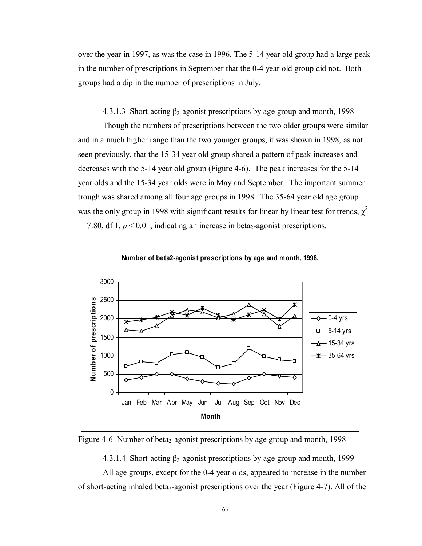over the year in 1997, as was the case in 1996. The 5-14 year old group had a large peak in the number of prescriptions in September that the 0-4 year old group did not. Both groups had a dip in the number of prescriptions in July.

4.3.1.3 Short-acting  $β_2$ -agonist prescriptions by age group and month, 1998

Though the numbers of prescriptions between the two older groups were similar and in a much higher range than the two younger groups, it was shown in 1998, as not seen previously, that the 15-34 year old group shared a pattern of peak increases and decreases with the 5-14 year old group (Figure 4-6). The peak increases for the 5-14 year olds and the 15-34 year olds were in May and September. The important summer trough was shared among all four age groups in 1998. The 35-64 year old age group was the only group in 1998 with significant results for linear by linear test for trends,  $\chi^2$  $= 7.80$ , df 1,  $p < 0.01$ , indicating an increase in beta<sub>2</sub>-agonist prescriptions.





4.3.1.4 Short-acting  $\beta_2$ -agonist prescriptions by age group and month, 1999

All age groups, except for the 0-4 year olds, appeared to increase in the number of short-acting inhaled beta<sub>2</sub>-agonist prescriptions over the year (Figure 4-7). All of the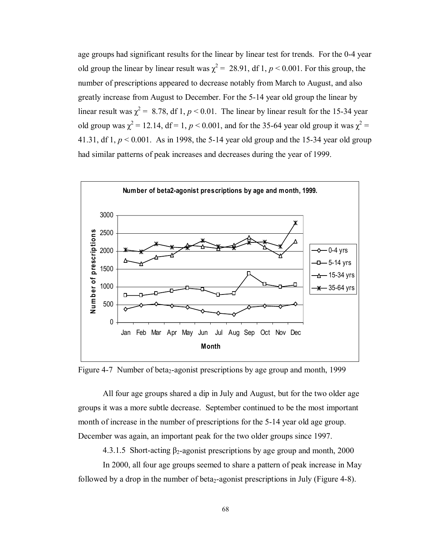age groups had significant results for the linear by linear test for trends. For the 0-4 year old group the linear by linear result was  $\chi^2 = 28.91$ , df 1,  $p < 0.001$ . For this group, the number of prescriptions appeared to decrease notably from March to August, and also greatly increase from August to December. For the 5-14 year old group the linear by linear result was  $\chi^2 = 8.78$ , df 1,  $p < 0.01$ . The linear by linear result for the 15-34 year old group was  $\chi^2 = 12.14$ , df = 1,  $p < 0.001$ , and for the 35-64 year old group it was  $\chi^2 =$ 41.31, df 1, *p* < 0.001. As in 1998, the 5-14 year old group and the 15-34 year old group had similar patterns of peak increases and decreases during the year of 1999.



Figure 4-7 Number of beta<sub>2</sub>-agonist prescriptions by age group and month, 1999

All four age groups shared a dip in July and August, but for the two older age groups it was a more subtle decrease. September continued to be the most important month of increase in the number of prescriptions for the 5-14 year old age group. December was again, an important peak for the two older groups since 1997.

4.3.1.5 Short-acting  $\beta_2$ -agonist prescriptions by age group and month, 2000

In 2000, all four age groups seemed to share a pattern of peak increase in May followed by a drop in the number of beta<sub>2</sub>-agonist prescriptions in July (Figure 4-8).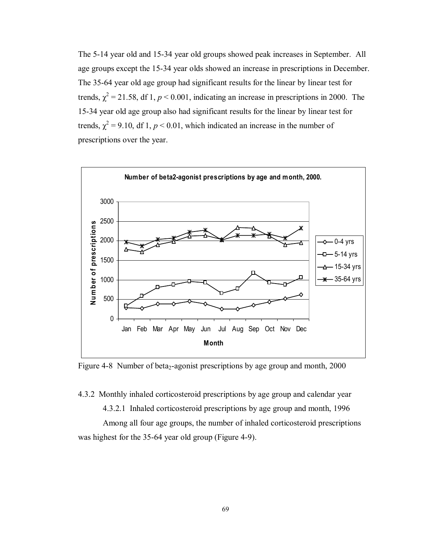The 5-14 year old and 15-34 year old groups showed peak increases in September. All age groups except the 15-34 year olds showed an increase in prescriptions in December. The 35-64 year old age group had significant results for the linear by linear test for trends,  $\chi^2$  = 21.58, df 1,  $p$  < 0.001, indicating an increase in prescriptions in 2000. The 15-34 year old age group also had significant results for the linear by linear test for trends,  $\chi^2$  = 9.10, df 1,  $p$  < 0.01, which indicated an increase in the number of prescriptions over the year.



Figure 4-8 Number of beta<sub>2</sub>-agonist prescriptions by age group and month, 2000

4.3.2 Monthly inhaled corticosteroid prescriptions by age group and calendar year

4.3.2.1 Inhaled corticosteroid prescriptions by age group and month, 1996

Among all four age groups, the number of inhaled corticosteroid prescriptions was highest for the 35-64 year old group (Figure 4-9).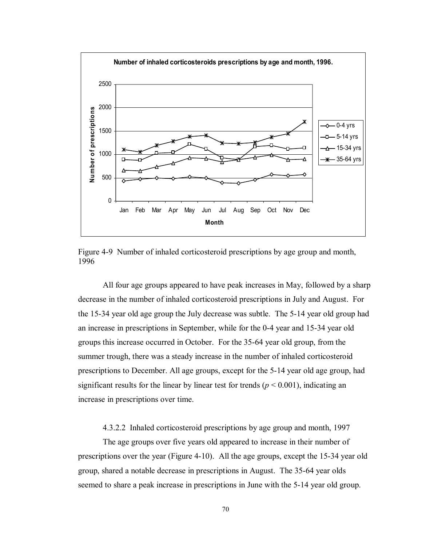

Figure 4-9 Number of inhaled corticosteroid prescriptions by age group and month, 1996

All four age groups appeared to have peak increases in May, followed by a sharp decrease in the number of inhaled corticosteroid prescriptions in July and August. For the 15-34 year old age group the July decrease was subtle. The 5-14 year old group had an increase in prescriptions in September, while for the 0-4 year and 15-34 year old groups this increase occurred in October. For the 35-64 year old group, from the summer trough, there was a steady increase in the number of inhaled corticosteroid prescriptions to December. All age groups, except for the 5-14 year old age group, had significant results for the linear by linear test for trends ( $p < 0.001$ ), indicating an increase in prescriptions over time.

## 4.3.2.2 Inhaled corticosteroid prescriptions by age group and month, 1997

The age groups over five years old appeared to increase in their number of prescriptions over the year (Figure 4-10). All the age groups, except the 15-34 year old group, shared a notable decrease in prescriptions in August. The 35-64 year olds seemed to share a peak increase in prescriptions in June with the 5-14 year old group.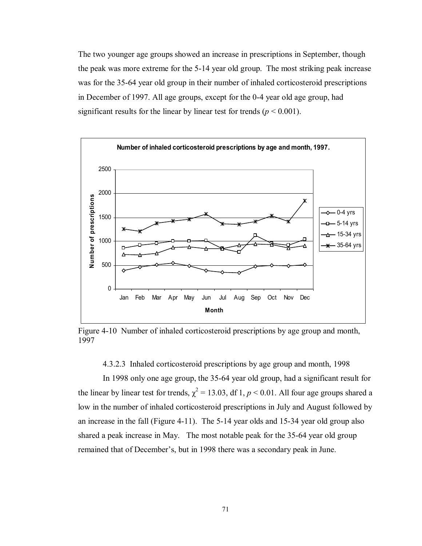The two younger age groups showed an increase in prescriptions in September, though the peak was more extreme for the 5-14 year old group. The most striking peak increase was for the 35-64 year old group in their number of inhaled corticosteroid prescriptions in December of 1997. All age groups, except for the 0-4 year old age group, had significant results for the linear by linear test for trends ( $p < 0.001$ ).



Figure 4-10 Number of inhaled corticosteroid prescriptions by age group and month, 1997

4.3.2.3 Inhaled corticosteroid prescriptions by age group and month, 1998

In 1998 only one age group, the 35-64 year old group, had a significant result for the linear by linear test for trends,  $\chi^2 = 13.03$ , df 1,  $p < 0.01$ . All four age groups shared a low in the number of inhaled corticosteroid prescriptions in July and August followed by an increase in the fall (Figure 4-11). The 5-14 year olds and 15-34 year old group also shared a peak increase in May. The most notable peak for the 35-64 year old group remained that of December's, but in 1998 there was a secondary peak in June.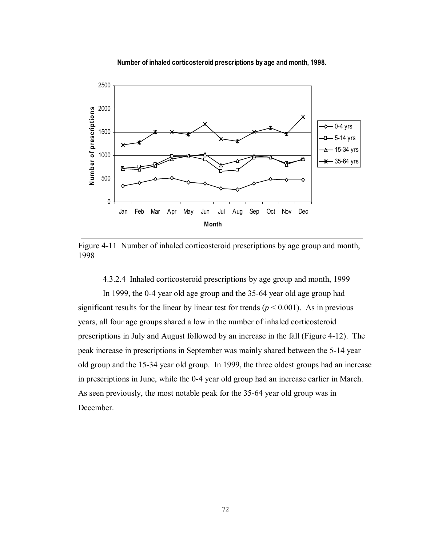

Figure 4-11 Number of inhaled corticosteroid prescriptions by age group and month, 1998

4.3.2.4 Inhaled corticosteroid prescriptions by age group and month, 1999

In 1999, the 0-4 year old age group and the 35-64 year old age group had significant results for the linear by linear test for trends ( $p < 0.001$ ). As in previous years, all four age groups shared a low in the number of inhaled corticosteroid prescriptions in July and August followed by an increase in the fall (Figure 4-12). The peak increase in prescriptions in September was mainly shared between the 5-14 year old group and the 15-34 year old group. In 1999, the three oldest groups had an increase in prescriptions in June, while the 0-4 year old group had an increase earlier in March. As seen previously, the most notable peak for the 35-64 year old group was in December.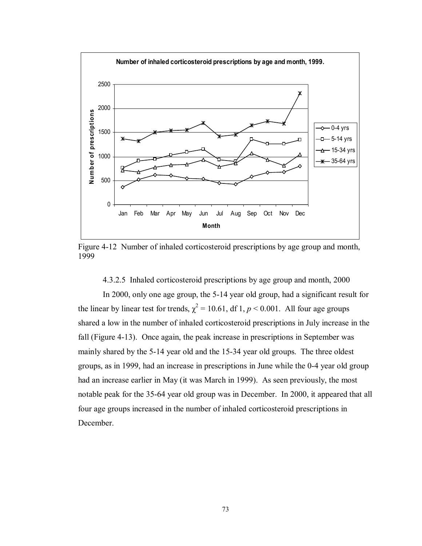

Figure 4-12 Number of inhaled corticosteroid prescriptions by age group and month, 1999

4.3.2.5 Inhaled corticosteroid prescriptions by age group and month, 2000

In 2000, only one age group, the 5-14 year old group, had a significant result for the linear by linear test for trends,  $\chi^2 = 10.61$ , df 1,  $p < 0.001$ . All four age groups shared a low in the number of inhaled corticosteroid prescriptions in July increase in the fall (Figure 4-13). Once again, the peak increase in prescriptions in September was mainly shared by the 5-14 year old and the 15-34 year old groups. The three oldest groups, as in 1999, had an increase in prescriptions in June while the 0-4 year old group had an increase earlier in May (it was March in 1999). As seen previously, the most notable peak for the 35-64 year old group was in December. In 2000, it appeared that all four age groups increased in the number of inhaled corticosteroid prescriptions in December.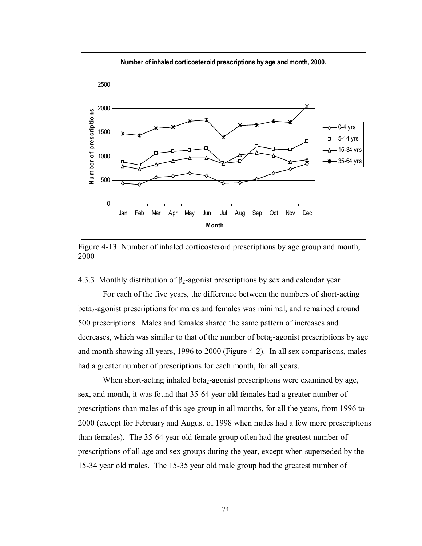

Figure 4-13 Number of inhaled corticosteroid prescriptions by age group and month, 2000

4.3.3 Monthly distribution of  $\beta_2$ -agonist prescriptions by sex and calendar year

 For each of the five years, the difference between the numbers of short-acting beta<sub>2</sub>-agonist prescriptions for males and females was minimal, and remained around 500 prescriptions. Males and females shared the same pattern of increases and decreases, which was similar to that of the number of beta<sub>2</sub>-agonist prescriptions by age and month showing all years, 1996 to 2000 (Figure 4-2). In all sex comparisons, males had a greater number of prescriptions for each month, for all years.

When short-acting inhaled beta<sub>2</sub>-agonist prescriptions were examined by age, sex, and month, it was found that 35-64 year old females had a greater number of prescriptions than males of this age group in all months, for all the years, from 1996 to 2000 (except for February and August of 1998 when males had a few more prescriptions than females). The 35-64 year old female group often had the greatest number of prescriptions of all age and sex groups during the year, except when superseded by the 15-34 year old males. The 15-35 year old male group had the greatest number of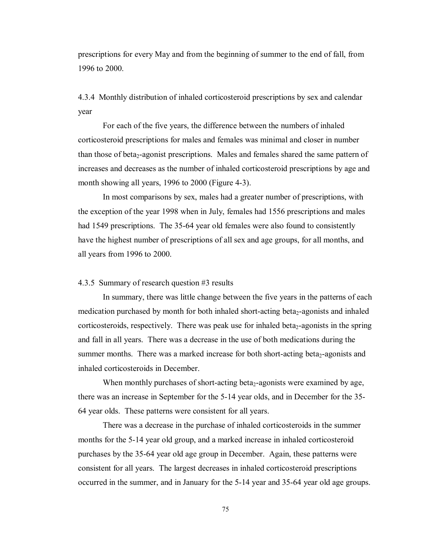prescriptions for every May and from the beginning of summer to the end of fall, from 1996 to 2000.

4.3.4 Monthly distribution of inhaled corticosteroid prescriptions by sex and calendar year

 For each of the five years, the difference between the numbers of inhaled corticosteroid prescriptions for males and females was minimal and closer in number than those of beta<sub>2</sub>-agonist prescriptions. Males and females shared the same pattern of increases and decreases as the number of inhaled corticosteroid prescriptions by age and month showing all years, 1996 to 2000 (Figure 4-3).

In most comparisons by sex, males had a greater number of prescriptions, with the exception of the year 1998 when in July, females had 1556 prescriptions and males had 1549 prescriptions. The 35-64 year old females were also found to consistently have the highest number of prescriptions of all sex and age groups, for all months, and all years from 1996 to 2000.

#### 4.3.5 Summary of research question #3 results

In summary, there was little change between the five years in the patterns of each medication purchased by month for both inhaled short-acting beta<sub>2</sub>-agonists and inhaled corticosteroids, respectively. There was peak use for inhaled beta<sub>2</sub>-agonists in the spring and fall in all years. There was a decrease in the use of both medications during the summer months. There was a marked increase for both short-acting beta<sub>2</sub>-agonists and inhaled corticosteroids in December.

When monthly purchases of short-acting beta<sub>2</sub>-agonists were examined by age, there was an increase in September for the 5-14 year olds, and in December for the 35- 64 year olds. These patterns were consistent for all years.

There was a decrease in the purchase of inhaled corticosteroids in the summer months for the 5-14 year old group, and a marked increase in inhaled corticosteroid purchases by the 35-64 year old age group in December. Again, these patterns were consistent for all years. The largest decreases in inhaled corticosteroid prescriptions occurred in the summer, and in January for the 5-14 year and 35-64 year old age groups.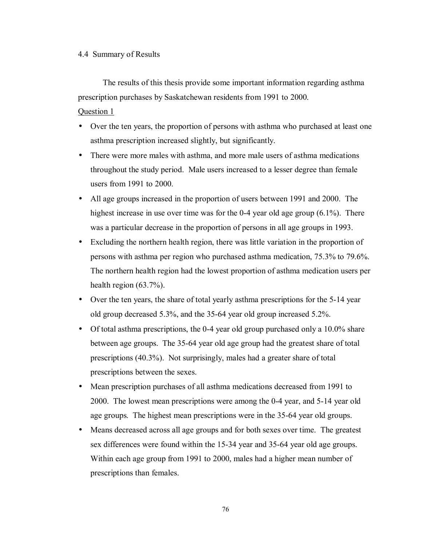## 4.4 Summary of Results

 The results of this thesis provide some important information regarding asthma prescription purchases by Saskatchewan residents from 1991 to 2000.

## Question 1

- Over the ten years, the proportion of persons with asthma who purchased at least one asthma prescription increased slightly, but significantly.
- There were more males with asthma, and more male users of asthma medications throughout the study period. Male users increased to a lesser degree than female users from 1991 to 2000.
- All age groups increased in the proportion of users between 1991 and 2000. The highest increase in use over time was for the 0-4 year old age group (6.1%). There was a particular decrease in the proportion of persons in all age groups in 1993.
- Excluding the northern health region, there was little variation in the proportion of persons with asthma per region who purchased asthma medication, 75.3% to 79.6%. The northern health region had the lowest proportion of asthma medication users per health region (63.7%).
- Over the ten years, the share of total yearly asthma prescriptions for the 5-14 year old group decreased 5.3%, and the 35-64 year old group increased 5.2%.
- Of total asthma prescriptions, the 0-4 year old group purchased only a 10.0% share between age groups. The 35-64 year old age group had the greatest share of total prescriptions (40.3%). Not surprisingly, males had a greater share of total prescriptions between the sexes.
- Mean prescription purchases of all asthma medications decreased from 1991 to 2000. The lowest mean prescriptions were among the 0-4 year, and 5-14 year old age groups. The highest mean prescriptions were in the 35-64 year old groups.
- Means decreased across all age groups and for both sexes over time. The greatest sex differences were found within the 15-34 year and 35-64 year old age groups. Within each age group from 1991 to 2000, males had a higher mean number of prescriptions than females.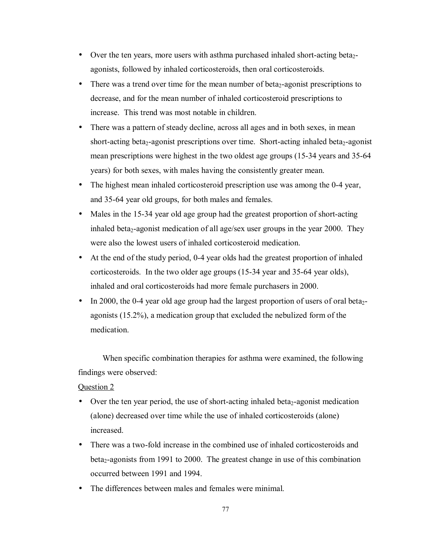- Over the ten years, more users with asthma purchased inhaled short-acting beta<sub>2</sub>agonists, followed by inhaled corticosteroids, then oral corticosteroids.
- There was a trend over time for the mean number of beta<sub>2</sub>-agonist prescriptions to decrease, and for the mean number of inhaled corticosteroid prescriptions to increase. This trend was most notable in children.
- There was a pattern of steady decline, across all ages and in both sexes, in mean short-acting beta<sub>2</sub>-agonist prescriptions over time. Short-acting inhaled beta<sub>2</sub>-agonist mean prescriptions were highest in the two oldest age groups (15-34 years and 35-64 years) for both sexes, with males having the consistently greater mean.
- The highest mean inhaled corticosteroid prescription use was among the 0-4 year, and 35-64 year old groups, for both males and females.
- Males in the 15-34 year old age group had the greatest proportion of short-acting inhaled beta<sub>2</sub>-agonist medication of all age/sex user groups in the year 2000. They were also the lowest users of inhaled corticosteroid medication.
- At the end of the study period, 0-4 year olds had the greatest proportion of inhaled corticosteroids. In the two older age groups (15-34 year and 35-64 year olds), inhaled and oral corticosteroids had more female purchasers in 2000.
- In 2000, the 0-4 year old age group had the largest proportion of users of oral beta<sub>2</sub>agonists (15.2%), a medication group that excluded the nebulized form of the medication.

When specific combination therapies for asthma were examined, the following findings were observed:

## Question 2

- Over the ten year period, the use of short-acting inhaled beta<sub>2</sub>-agonist medication (alone) decreased over time while the use of inhaled corticosteroids (alone) increased.
- There was a two-fold increase in the combined use of inhaled corticosteroids and beta<sub>2</sub>-agonists from 1991 to 2000. The greatest change in use of this combination occurred between 1991 and 1994.
- The differences between males and females were minimal.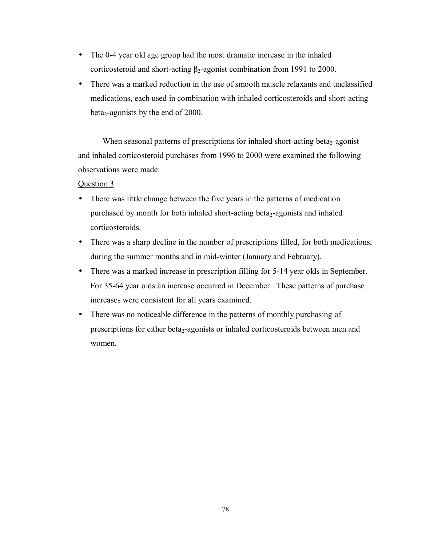- The 0-4 year old age group had the most dramatic increase in the inhaled corticosteroid and short-acting  $β_2$ -agonist combination from 1991 to 2000.
- There was a marked reduction in the use of smooth muscle relaxants and unclassified medications, each used in combination with inhaled corticosteroids and short-acting beta<sub>2</sub>-agonists by the end of 2000.

When seasonal patterns of prescriptions for inhaled short-acting beta<sub>2</sub>-agonist and inhaled corticosteroid purchases from 1996 to 2000 were examined the following observations were made:

Question 3

- There was little change between the five years in the patterns of medication purchased by month for both inhaled short-acting beta<sub>2</sub>-agonists and inhaled corticosteroids.
- There was a sharp decline in the number of prescriptions filled, for both medications, during the summer months and in mid-winter (January and February).
- There was a marked increase in prescription filling for 5-14 year olds in September. For 35-64 year olds an increase occurred in December. These patterns of purchase increases were consistent for all years examined.
- There was no noticeable difference in the patterns of monthly purchasing of prescriptions for either beta<sub>2</sub>-agonists or inhaled corticosteroids between men and women.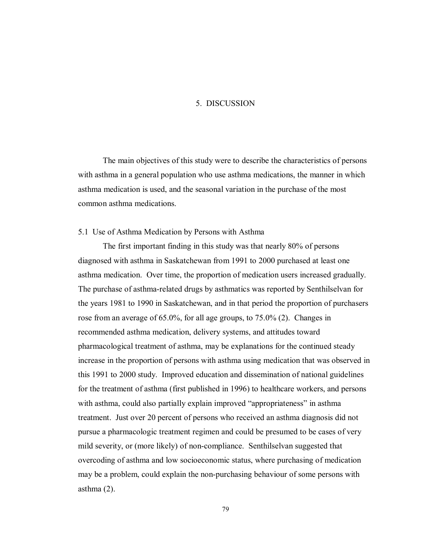## 5. DISCUSSION

The main objectives of this study were to describe the characteristics of persons with asthma in a general population who use asthma medications, the manner in which asthma medication is used, and the seasonal variation in the purchase of the most common asthma medications.

## 5.1 Use of Asthma Medication by Persons with Asthma

The first important finding in this study was that nearly 80% of persons diagnosed with asthma in Saskatchewan from 1991 to 2000 purchased at least one asthma medication. Over time, the proportion of medication users increased gradually. The purchase of asthma-related drugs by asthmatics was reported by Senthilselvan for the years 1981 to 1990 in Saskatchewan, and in that period the proportion of purchasers rose from an average of 65.0%, for all age groups, to 75.0% (2). Changes in recommended asthma medication, delivery systems, and attitudes toward pharmacological treatment of asthma, may be explanations for the continued steady increase in the proportion of persons with asthma using medication that was observed in this 1991 to 2000 study. Improved education and dissemination of national guidelines for the treatment of asthma (first published in 1996) to healthcare workers, and persons with asthma, could also partially explain improved "appropriateness" in asthma treatment. Just over 20 percent of persons who received an asthma diagnosis did not pursue a pharmacologic treatment regimen and could be presumed to be cases of very mild severity, or (more likely) of non-compliance. Senthilselvan suggested that overcoding of asthma and low socioeconomic status, where purchasing of medication may be a problem, could explain the non-purchasing behaviour of some persons with asthma (2).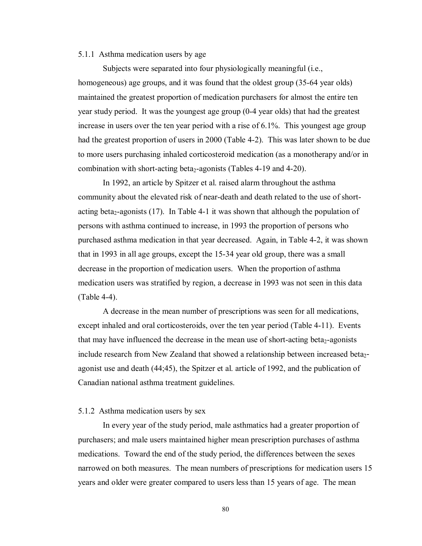#### 5.1.1 Asthma medication users by age

Subjects were separated into four physiologically meaningful (i.e., homogeneous) age groups, and it was found that the oldest group (35-64 year olds) maintained the greatest proportion of medication purchasers for almost the entire ten year study period. It was the youngest age group (0-4 year olds) that had the greatest increase in users over the ten year period with a rise of 6.1%. This youngest age group had the greatest proportion of users in 2000 (Table 4-2). This was later shown to be due to more users purchasing inhaled corticosteroid medication (as a monotherapy and/or in combination with short-acting beta<sub>2</sub>-agonists (Tables 4-19 and 4-20).

In 1992, an article by Spitzer et al. raised alarm throughout the asthma community about the elevated risk of near-death and death related to the use of shortacting beta<sub>2</sub>-agonists  $(17)$ . In Table 4-1 it was shown that although the population of persons with asthma continued to increase, in 1993 the proportion of persons who purchased asthma medication in that year decreased. Again, in Table 4-2, it was shown that in 1993 in all age groups, except the 15-34 year old group, there was a small decrease in the proportion of medication users. When the proportion of asthma medication users was stratified by region, a decrease in 1993 was not seen in this data (Table 4-4).

A decrease in the mean number of prescriptions was seen for all medications, except inhaled and oral corticosteroids, over the ten year period (Table 4-11). Events that may have influenced the decrease in the mean use of short-acting beta<sub>2</sub>-agonists include research from New Zealand that showed a relationship between increased beta<sub>2</sub>agonist use and death (44;45), the Spitzer et al. article of 1992, and the publication of Canadian national asthma treatment guidelines.

#### 5.1.2 Asthma medication users by sex

In every year of the study period, male asthmatics had a greater proportion of purchasers; and male users maintained higher mean prescription purchases of asthma medications. Toward the end of the study period, the differences between the sexes narrowed on both measures. The mean numbers of prescriptions for medication users 15 years and older were greater compared to users less than 15 years of age. The mean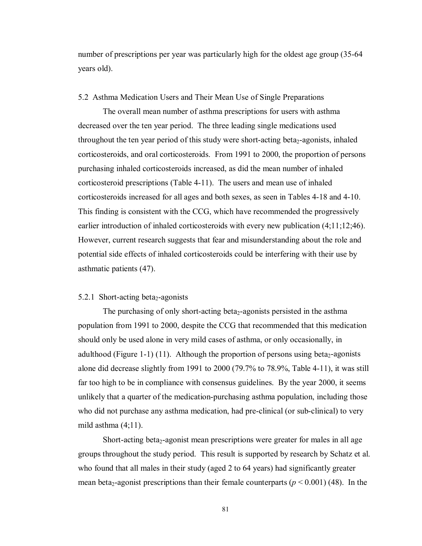number of prescriptions per year was particularly high for the oldest age group (35-64 years old).

#### 5.2 Asthma Medication Users and Their Mean Use of Single Preparations

The overall mean number of asthma prescriptions for users with asthma decreased over the ten year period. The three leading single medications used throughout the ten year period of this study were short-acting beta<sub>2</sub>-agonists, inhaled corticosteroids, and oral corticosteroids. From 1991 to 2000, the proportion of persons purchasing inhaled corticosteroids increased, as did the mean number of inhaled corticosteroid prescriptions (Table 4-11). The users and mean use of inhaled corticosteroids increased for all ages and both sexes, as seen in Tables 4-18 and 4-10. This finding is consistent with the CCG, which have recommended the progressively earlier introduction of inhaled corticosteroids with every new publication (4;11;12;46). However, current research suggests that fear and misunderstanding about the role and potential side effects of inhaled corticosteroids could be interfering with their use by asthmatic patients (47).

## 5.2.1 Short-acting beta<sub>2</sub>-agonists

The purchasing of only short-acting beta<sub>2</sub>-agonists persisted in the asthma population from 1991 to 2000, despite the CCG that recommended that this medication should only be used alone in very mild cases of asthma, or only occasionally, in adulthood (Figure 1-1) (11). Although the proportion of persons using beta<sub>2</sub>-agonists alone did decrease slightly from 1991 to 2000 (79.7% to 78.9%, Table 4-11), it was still far too high to be in compliance with consensus guidelines. By the year 2000, it seems unlikely that a quarter of the medication-purchasing asthma population, including those who did not purchase any asthma medication, had pre-clinical (or sub-clinical) to very mild asthma  $(4,11)$ .

Short-acting beta<sub>2</sub>-agonist mean prescriptions were greater for males in all age groups throughout the study period. This result is supported by research by Schatz et al. who found that all males in their study (aged 2 to 64 years) had significantly greater mean beta<sub>2</sub>-agonist prescriptions than their female counterparts ( $p < 0.001$ ) (48). In the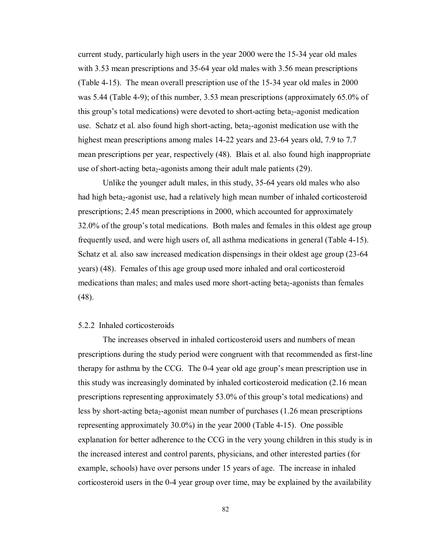current study, particularly high users in the year 2000 were the 15-34 year old males with 3.53 mean prescriptions and 35-64 year old males with 3.56 mean prescriptions (Table 4-15). The mean overall prescription use of the 15-34 year old males in 2000 was 5.44 (Table 4-9); of this number, 3.53 mean prescriptions (approximately 65.0% of this group's total medications) were devoted to short-acting beta<sub>2</sub>-agonist medication use. Schatz et al. also found high short-acting, beta<sub>2</sub>-agonist medication use with the highest mean prescriptions among males 14-22 years and 23-64 years old, 7.9 to 7.7 mean prescriptions per year, respectively (48). Blais et al. also found high inappropriate use of short-acting beta<sub>2</sub>-agonists among their adult male patients  $(29)$ .

Unlike the younger adult males, in this study, 35-64 years old males who also had high beta<sub>2</sub>-agonist use, had a relatively high mean number of inhaled corticosteroid prescriptions; 2.45 mean prescriptions in 2000, which accounted for approximately 32.0% of the group's total medications. Both males and females in this oldest age group frequently used, and were high users of, all asthma medications in general (Table 4-15). Schatz et al. also saw increased medication dispensings in their oldest age group (23-64 years) (48). Females of this age group used more inhaled and oral corticosteroid medications than males; and males used more short-acting beta<sub>2</sub>-agonists than females (48).

### 5.2.2 Inhaled corticosteroids

The increases observed in inhaled corticosteroid users and numbers of mean prescriptions during the study period were congruent with that recommended as first-line therapy for asthma by the CCG. The 0-4 year old age group's mean prescription use in this study was increasingly dominated by inhaled corticosteroid medication (2.16 mean prescriptions representing approximately 53.0% of this group's total medications) and less by short-acting beta<sub>2</sub>-agonist mean number of purchases  $(1.26 \text{ mean }$  prescriptions representing approximately 30.0%) in the year 2000 (Table 4-15). One possible explanation for better adherence to the CCG in the very young children in this study is in the increased interest and control parents, physicians, and other interested parties (for example, schools) have over persons under 15 years of age. The increase in inhaled corticosteroid users in the 0-4 year group over time, may be explained by the availability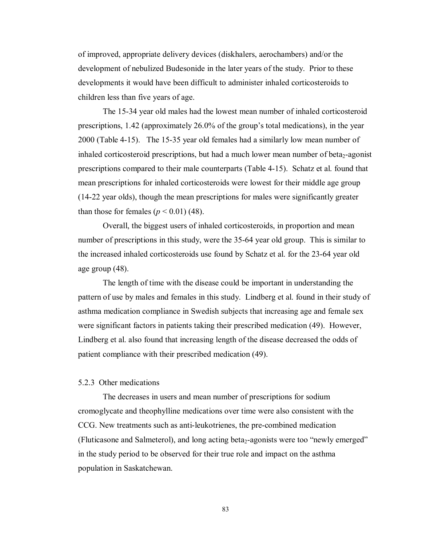of improved, appropriate delivery devices (diskhalers, aerochambers) and/or the development of nebulized Budesonide in the later years of the study. Prior to these developments it would have been difficult to administer inhaled corticosteroids to children less than five years of age.

The 15-34 year old males had the lowest mean number of inhaled corticosteroid prescriptions, 1.42 (approximately 26.0% of the group's total medications), in the year 2000 (Table 4-15). The 15-35 year old females had a similarly low mean number of inhaled corticosteroid prescriptions, but had a much lower mean number of beta<sub>2</sub>-agonist prescriptions compared to their male counterparts (Table 4-15). Schatz et al. found that mean prescriptions for inhaled corticosteroids were lowest for their middle age group (14-22 year olds), though the mean prescriptions for males were significantly greater than those for females  $(p < 0.01)$  (48).

Overall, the biggest users of inhaled corticosteroids, in proportion and mean number of prescriptions in this study, were the 35-64 year old group. This is similar to the increased inhaled corticosteroids use found by Schatz et al. for the 23-64 year old age group (48).

The length of time with the disease could be important in understanding the pattern of use by males and females in this study. Lindberg et al. found in their study of asthma medication compliance in Swedish subjects that increasing age and female sex were significant factors in patients taking their prescribed medication (49). However, Lindberg et al. also found that increasing length of the disease decreased the odds of patient compliance with their prescribed medication (49).

## 5.2.3 Other medications

The decreases in users and mean number of prescriptions for sodium cromoglycate and theophylline medications over time were also consistent with the CCG. New treatments such as anti-leukotrienes, the pre-combined medication (Fluticasone and Salmeterol), and long acting beta<sub>2</sub>-agonists were too "newly emerged" in the study period to be observed for their true role and impact on the asthma population in Saskatchewan.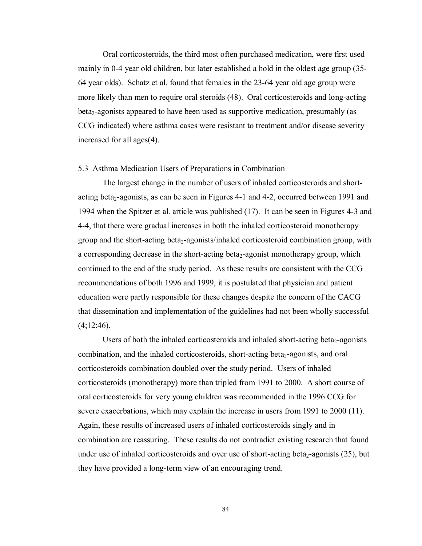Oral corticosteroids, the third most often purchased medication, were first used mainly in 0-4 year old children, but later established a hold in the oldest age group (35- 64 year olds). Schatz et al. found that females in the 23-64 year old age group were more likely than men to require oral steroids (48). Oral corticosteroids and long-acting beta2-agonists appeared to have been used as supportive medication, presumably (as CCG indicated) where asthma cases were resistant to treatment and/or disease severity increased for all ages(4).

#### 5.3 Asthma Medication Users of Preparations in Combination

The largest change in the number of users of inhaled corticosteroids and shortacting beta<sub>2</sub>-agonists, as can be seen in Figures 4-1 and 4-2, occurred between 1991 and 1994 when the Spitzer et al. article was published (17). It can be seen in Figures 4-3 and 4-4, that there were gradual increases in both the inhaled corticosteroid monotherapy group and the short-acting beta<sub>2</sub>-agonists/inhaled corticosteroid combination group, with a corresponding decrease in the short-acting beta<sub>2</sub>-agonist monotherapy group, which continued to the end of the study period. As these results are consistent with the CCG recommendations of both 1996 and 1999, it is postulated that physician and patient education were partly responsible for these changes despite the concern of the CACG that dissemination and implementation of the guidelines had not been wholly successful  $(4;12;46)$ .

Users of both the inhaled corticosteroids and inhaled short-acting beta<sub>2</sub>-agonists combination, and the inhaled corticosteroids, short-acting beta<sub>2</sub>-agonists, and oral corticosteroids combination doubled over the study period. Users of inhaled corticosteroids (monotherapy) more than tripled from 1991 to 2000. A short course of oral corticosteroids for very young children was recommended in the 1996 CCG for severe exacerbations, which may explain the increase in users from 1991 to 2000 (11). Again, these results of increased users of inhaled corticosteroids singly and in combination are reassuring. These results do not contradict existing research that found under use of inhaled corticosteroids and over use of short-acting beta<sub>2</sub>-agonists  $(25)$ , but they have provided a long-term view of an encouraging trend.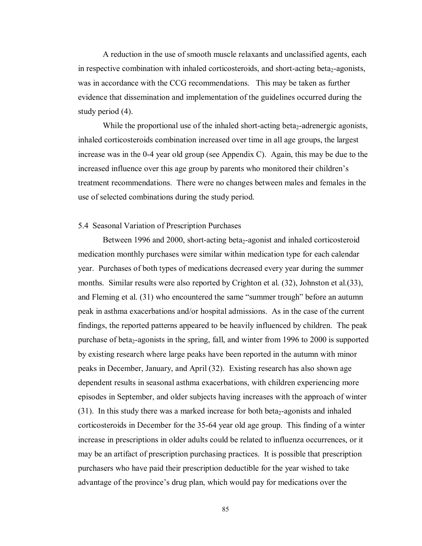A reduction in the use of smooth muscle relaxants and unclassified agents, each in respective combination with inhaled corticosteroids, and short-acting beta<sub>2</sub>-agonists, was in accordance with the CCG recommendations. This may be taken as further evidence that dissemination and implementation of the guidelines occurred during the study period (4).

While the proportional use of the inhaled short-acting beta<sub>2</sub>-adrenergic agonists, inhaled corticosteroids combination increased over time in all age groups, the largest increase was in the 0-4 year old group (see Appendix C). Again, this may be due to the increased influence over this age group by parents who monitored their children's treatment recommendations. There were no changes between males and females in the use of selected combinations during the study period.

#### 5.4 Seasonal Variation of Prescription Purchases

Between 1996 and 2000, short-acting beta<sub>2</sub>-agonist and inhaled corticosteroid medication monthly purchases were similar within medication type for each calendar year. Purchases of both types of medications decreased every year during the summer months. Similar results were also reported by Crighton et al. (32), Johnston et al.(33), and Fleming et al. (31) who encountered the same "summer trough" before an autumn peak in asthma exacerbations and/or hospital admissions. As in the case of the current findings, the reported patterns appeared to be heavily influenced by children. The peak purchase of beta<sub>2</sub>-agonists in the spring, fall, and winter from 1996 to 2000 is supported by existing research where large peaks have been reported in the autumn with minor peaks in December, January, and April (32). Existing research has also shown age dependent results in seasonal asthma exacerbations, with children experiencing more episodes in September, and older subjects having increases with the approach of winter  $(31)$ . In this study there was a marked increase for both beta<sub>2</sub>-agonists and inhaled corticosteroids in December for the 35-64 year old age group. This finding of a winter increase in prescriptions in older adults could be related to influenza occurrences, or it may be an artifact of prescription purchasing practices. It is possible that prescription purchasers who have paid their prescription deductible for the year wished to take advantage of the province's drug plan, which would pay for medications over the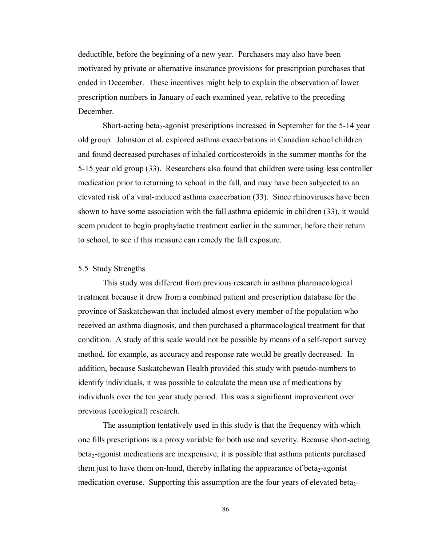deductible, before the beginning of a new year. Purchasers may also have been motivated by private or alternative insurance provisions for prescription purchases that ended in December. These incentives might help to explain the observation of lower prescription numbers in January of each examined year, relative to the preceding December.

Short-acting beta<sub>2</sub>-agonist prescriptions increased in September for the 5-14 year old group. Johnston et al. explored asthma exacerbations in Canadian school children and found decreased purchases of inhaled corticosteroids in the summer months for the 5-15 year old group (33). Researchers also found that children were using less controller medication prior to returning to school in the fall, and may have been subjected to an elevated risk of a viral-induced asthma exacerbation (33). Since rhinoviruses have been shown to have some association with the fall asthma epidemic in children (33), it would seem prudent to begin prophylactic treatment earlier in the summer, before their return to school, to see if this measure can remedy the fall exposure.

#### 5.5 Study Strengths

This study was different from previous research in asthma pharmacological treatment because it drew from a combined patient and prescription database for the province of Saskatchewan that included almost every member of the population who received an asthma diagnosis, and then purchased a pharmacological treatment for that condition. A study of this scale would not be possible by means of a self-report survey method, for example, as accuracy and response rate would be greatly decreased. In addition, because Saskatchewan Health provided this study with pseudo-numbers to identify individuals, it was possible to calculate the mean use of medications by individuals over the ten year study period. This was a significant improvement over previous (ecological) research.

The assumption tentatively used in this study is that the frequency with which one fills prescriptions is a proxy variable for both use and severity. Because short-acting beta2-agonist medications are inexpensive, it is possible that asthma patients purchased them just to have them on-hand, thereby inflating the appearance of beta<sub>2</sub>-agonist medication overuse. Supporting this assumption are the four years of elevated beta<sub>2</sub>-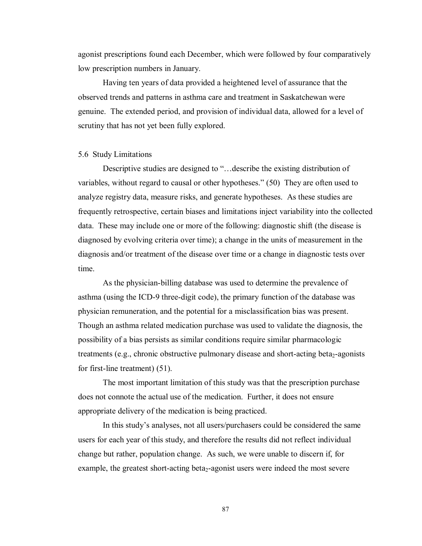agonist prescriptions found each December, which were followed by four comparatively low prescription numbers in January.

Having ten years of data provided a heightened level of assurance that the observed trends and patterns in asthma care and treatment in Saskatchewan were genuine. The extended period, and provision of individual data, allowed for a level of scrutiny that has not yet been fully explored.

## 5.6 Study Limitations

Descriptive studies are designed to "…describe the existing distribution of variables, without regard to causal or other hypotheses." (50) They are often used to analyze registry data, measure risks, and generate hypotheses. As these studies are frequently retrospective, certain biases and limitations inject variability into the collected data. These may include one or more of the following: diagnostic shift (the disease is diagnosed by evolving criteria over time); a change in the units of measurement in the diagnosis and/or treatment of the disease over time or a change in diagnostic tests over time.

As the physician-billing database was used to determine the prevalence of asthma (using the ICD-9 three-digit code), the primary function of the database was physician remuneration, and the potential for a misclassification bias was present. Though an asthma related medication purchase was used to validate the diagnosis, the possibility of a bias persists as similar conditions require similar pharmacologic treatments (e.g., chronic obstructive pulmonary disease and short-acting beta<sub>2</sub>-agonists for first-line treatment) (51).

The most important limitation of this study was that the prescription purchase does not connote the actual use of the medication. Further, it does not ensure appropriate delivery of the medication is being practiced.

In this study's analyses, not all users/purchasers could be considered the same users for each year of this study, and therefore the results did not reflect individual change but rather, population change. As such, we were unable to discern if, for example, the greatest short-acting beta $_2$ -agonist users were indeed the most severe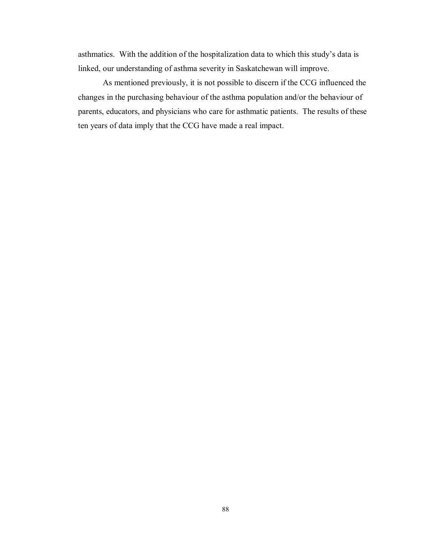asthmatics. With the addition of the hospitalization data to which this study's data is linked, our understanding of asthma severity in Saskatchewan will improve.

As mentioned previously, it is not possible to discern if the CCG influenced the changes in the purchasing behaviour of the asthma population and/or the behaviour of parents, educators, and physicians who care for asthmatic patients. The results of these ten years of data imply that the CCG have made a real impact.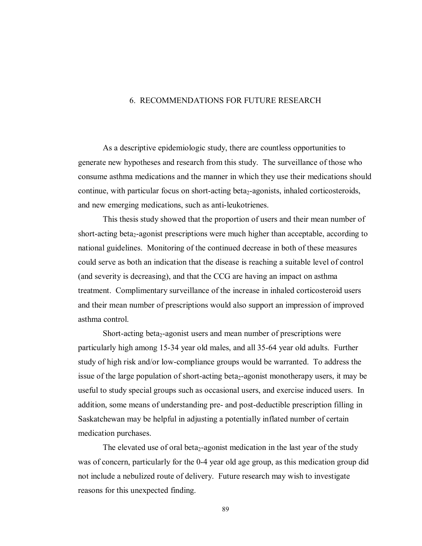## 6. RECOMMENDATIONS FOR FUTURE RESEARCH

As a descriptive epidemiologic study, there are countless opportunities to generate new hypotheses and research from this study. The surveillance of those who consume asthma medications and the manner in which they use their medications should continue, with particular focus on short-acting beta<sub>2</sub>-agonists, inhaled corticosteroids, and new emerging medications, such as anti-leukotrienes.

This thesis study showed that the proportion of users and their mean number of short-acting beta<sub>2</sub>-agonist prescriptions were much higher than acceptable, according to national guidelines. Monitoring of the continued decrease in both of these measures could serve as both an indication that the disease is reaching a suitable level of control (and severity is decreasing), and that the CCG are having an impact on asthma treatment. Complimentary surveillance of the increase in inhaled corticosteroid users and their mean number of prescriptions would also support an impression of improved asthma control.

Short-acting beta<sub>2</sub>-agonist users and mean number of prescriptions were particularly high among 15-34 year old males, and all 35-64 year old adults. Further study of high risk and/or low-compliance groups would be warranted. To address the issue of the large population of short-acting beta<sub>2</sub>-agonist monotherapy users, it may be useful to study special groups such as occasional users, and exercise induced users. In addition, some means of understanding pre- and post-deductible prescription filling in Saskatchewan may be helpful in adjusting a potentially inflated number of certain medication purchases.

The elevated use of oral beta<sub>2</sub>-agonist medication in the last year of the study was of concern, particularly for the 0-4 year old age group, as this medication group did not include a nebulized route of delivery. Future research may wish to investigate reasons for this unexpected finding.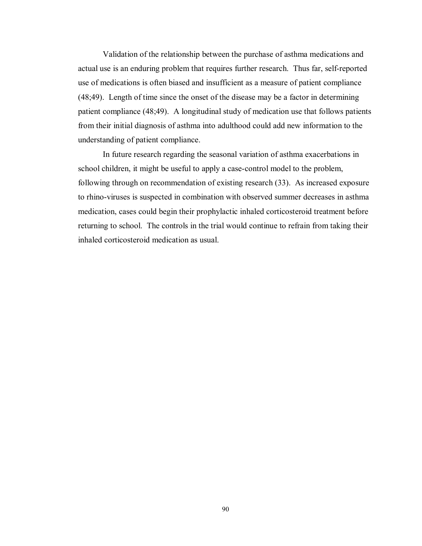Validation of the relationship between the purchase of asthma medications and actual use is an enduring problem that requires further research. Thus far, self-reported use of medications is often biased and insufficient as a measure of patient compliance (48;49). Length of time since the onset of the disease may be a factor in determining patient compliance (48;49). A longitudinal study of medication use that follows patients from their initial diagnosis of asthma into adulthood could add new information to the understanding of patient compliance.

In future research regarding the seasonal variation of asthma exacerbations in school children, it might be useful to apply a case-control model to the problem, following through on recommendation of existing research (33). As increased exposure to rhino-viruses is suspected in combination with observed summer decreases in asthma medication, cases could begin their prophylactic inhaled corticosteroid treatment before returning to school. The controls in the trial would continue to refrain from taking their inhaled corticosteroid medication as usual.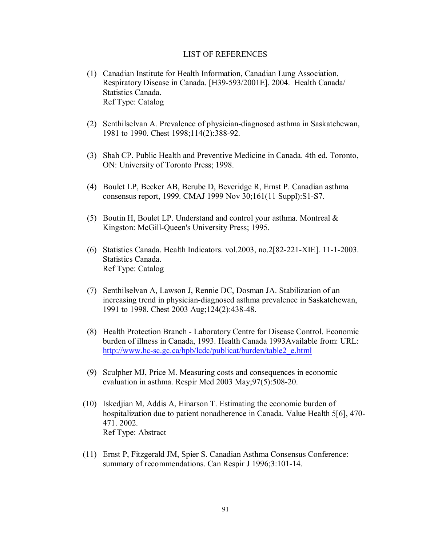#### LIST OF REFERENCES

- (1) Canadian Institute for Health Information, Canadian Lung Association. Respiratory Disease in Canada. [H39-593/2001E]. 2004. Health Canada/ Statistics Canada. Ref Type: Catalog
- (2) Senthilselvan A. Prevalence of physician-diagnosed asthma in Saskatchewan, 1981 to 1990. Chest 1998;114(2):388-92.
- (3) Shah CP. Public Health and Preventive Medicine in Canada. 4th ed. Toronto, ON: University of Toronto Press; 1998.
- (4) Boulet LP, Becker AB, Berube D, Beveridge R, Ernst P. Canadian asthma consensus report, 1999. CMAJ 1999 Nov 30;161(11 Suppl):S1-S7.
- (5) Boutin H, Boulet LP. Understand and control your asthma. Montreal & Kingston: McGill-Queen's University Press; 1995.
- (6) Statistics Canada. Health Indicators. vol.2003, no.2[82-221-XIE]. 11-1-2003. Statistics Canada. Ref Type: Catalog
- (7) Senthilselvan A, Lawson J, Rennie DC, Dosman JA. Stabilization of an increasing trend in physician-diagnosed asthma prevalence in Saskatchewan, 1991 to 1998. Chest 2003 Aug;124(2):438-48.
- (8) Health Protection Branch Laboratory Centre for Disease Control. Economic burden of illness in Canada, 1993. Health Canada 1993Available from: URL: http://www.hc-sc.gc.ca/hpb/lcdc/publicat/burden/table2\_e.html
- (9) Sculpher MJ, Price M. Measuring costs and consequences in economic evaluation in asthma. Respir Med 2003 May;97(5):508-20.
- (10) Iskedjian M, Addis A, Einarson T. Estimating the economic burden of hospitalization due to patient nonadherence in Canada. Value Health 5[6], 470- 471. 2002. Ref Type: Abstract
- (11) Ernst P, Fitzgerald JM, Spier S. Canadian Asthma Consensus Conference: summary of recommendations. Can Respir J 1996;3:101-14.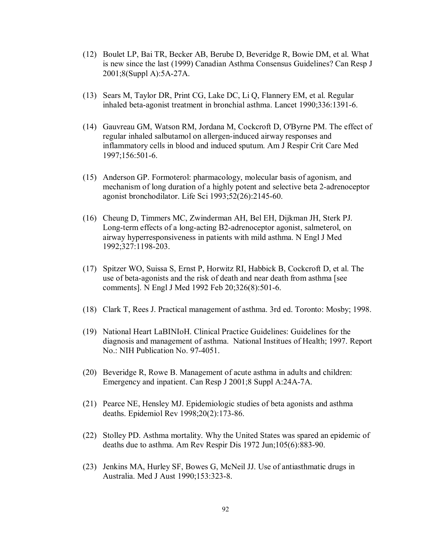- (12) Boulet LP, Bai TR, Becker AB, Berube D, Beveridge R, Bowie DM, et al. What is new since the last (1999) Canadian Asthma Consensus Guidelines? Can Resp J 2001;8(Suppl A):5A-27A.
- (13) Sears M, Taylor DR, Print CG, Lake DC, Li Q, Flannery EM, et al. Regular inhaled beta-agonist treatment in bronchial asthma. Lancet 1990;336:1391-6.
- (14) Gauvreau GM, Watson RM, Jordana M, Cockcroft D, O'Byrne PM. The effect of regular inhaled salbutamol on allergen-induced airway responses and inflammatory cells in blood and induced sputum. Am J Respir Crit Care Med 1997;156:501-6.
- (15) Anderson GP. Formoterol: pharmacology, molecular basis of agonism, and mechanism of long duration of a highly potent and selective beta 2-adrenoceptor agonist bronchodilator. Life Sci 1993;52(26):2145-60.
- (16) Cheung D, Timmers MC, Zwinderman AH, Bel EH, Dijkman JH, Sterk PJ. Long-term effects of a long-acting B2-adrenoceptor agonist, salmeterol, on airway hyperresponsiveness in patients with mild asthma. N Engl J Med 1992;327:1198-203.
- (17) Spitzer WO, Suissa S, Ernst P, Horwitz RI, Habbick B, Cockcroft D, et al. The use of beta-agonists and the risk of death and near death from asthma [see comments]. N Engl J Med 1992 Feb 20;326(8):501-6.
- (18) Clark T, Rees J. Practical management of asthma. 3rd ed. Toronto: Mosby; 1998.
- (19) National Heart LaBINIoH. Clinical Practice Guidelines: Guidelines for the diagnosis and management of asthma. National Institues of Health; 1997. Report No.: NIH Publication No. 97-4051.
- (20) Beveridge R, Rowe B. Management of acute asthma in adults and children: Emergency and inpatient. Can Resp J 2001;8 Suppl A:24A-7A.
- (21) Pearce NE, Hensley MJ. Epidemiologic studies of beta agonists and asthma deaths. Epidemiol Rev 1998;20(2):173-86.
- (22) Stolley PD. Asthma mortality. Why the United States was spared an epidemic of deaths due to asthma. Am Rev Respir Dis 1972 Jun;105(6):883-90.
- (23) Jenkins MA, Hurley SF, Bowes G, McNeil JJ. Use of antiasthmatic drugs in Australia. Med J Aust 1990;153:323-8.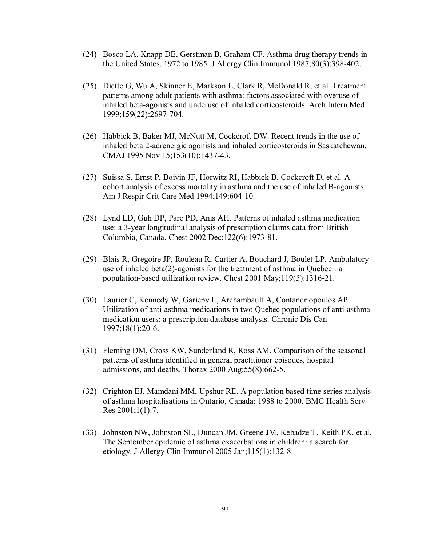- (24) Bosco LA, Knapp DE, Gerstman B, Graham CF. Asthma drug therapy trends in the United States, 1972 to 1985. J Allergy Clin Immunol 1987;80(3):398-402.
- (25) Diette G, Wu A, Skinner E, Markson L, Clark R, McDonald R, et al. Treatment patterns among adult patients with asthma: factors associated with overuse of inhaled beta-agonists and underuse of inhaled corticosteroids. Arch Intern Med 1999;159(22):2697-704.
- (26) Habbick B, Baker MJ, McNutt M, Cockcroft DW. Recent trends in the use of inhaled beta 2-adrenergic agonists and inhaled corticosteroids in Saskatchewan. CMAJ 1995 Nov 15;153(10):1437-43.
- (27) Suissa S, Ernst P, Boivin JF, Horwitz RI, Habbick B, Cockcroft D, et al. A cohort analysis of excess mortality in asthma and the use of inhaled B-agonists. Am J Respir Crit Care Med 1994;149:604-10.
- (28) Lynd LD, Guh DP, Pare PD, Anis AH. Patterns of inhaled asthma medication use: a 3-year longitudinal analysis of prescription claims data from British Columbia, Canada. Chest 2002 Dec;122(6):1973-81.
- (29) Blais R, Gregoire JP, Rouleau R, Cartier A, Bouchard J, Boulet LP. Ambulatory use of inhaled beta(2)-agonists for the treatment of asthma in Quebec : a population-based utilization review. Chest 2001 May;119(5):1316-21.
- (30) Laurier C, Kennedy W, Gariepy L, Archambault A, Contandriopoulos AP. Utilization of anti-asthma medications in two Quebec populations of anti-asthma medication users: a prescription database analysis. Chronic Dis Can 1997;18(1):20-6.
- (31) Fleming DM, Cross KW, Sunderland R, Ross AM. Comparison of the seasonal patterns of asthma identified in general practitioner episodes, hospital admissions, and deaths. Thorax 2000 Aug;55(8):662-5.
- (32) Crighton EJ, Mamdani MM, Upshur RE. A population based time series analysis of asthma hospitalisations in Ontario, Canada: 1988 to 2000. BMC Health Serv Res 2001;1(1):7.
- (33) Johnston NW, Johnston SL, Duncan JM, Greene JM, Kebadze T, Keith PK, et al. The September epidemic of asthma exacerbations in children: a search for etiology. J Allergy Clin Immunol 2005 Jan;115(1):132-8.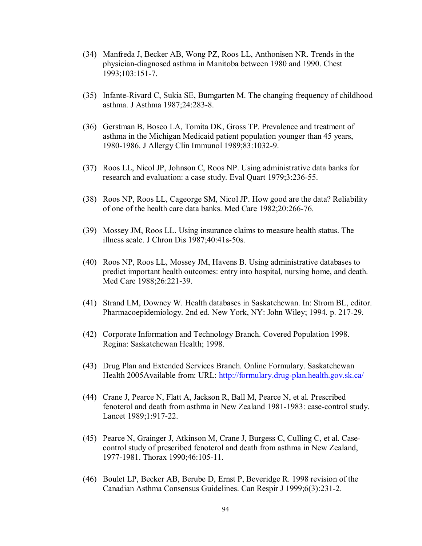- (34) Manfreda J, Becker AB, Wong PZ, Roos LL, Anthonisen NR. Trends in the physician-diagnosed asthma in Manitoba between 1980 and 1990. Chest 1993;103:151-7.
- (35) Infante-Rivard C, Sukia SE, Bumgarten M. The changing frequency of childhood asthma. J Asthma 1987;24:283-8.
- (36) Gerstman B, Bosco LA, Tomita DK, Gross TP. Prevalence and treatment of asthma in the Michigan Medicaid patient population younger than 45 years, 1980-1986. J Allergy Clin Immunol 1989;83:1032-9.
- (37) Roos LL, Nicol JP, Johnson C, Roos NP. Using administrative data banks for research and evaluation: a case study. Eval Quart 1979;3:236-55.
- (38) Roos NP, Roos LL, Cageorge SM, Nicol JP. How good are the data? Reliability of one of the health care data banks. Med Care 1982;20:266-76.
- (39) Mossey JM, Roos LL. Using insurance claims to measure health status. The illness scale. J Chron Dis 1987;40:41s-50s.
- (40) Roos NP, Roos LL, Mossey JM, Havens B. Using administrative databases to predict important health outcomes: entry into hospital, nursing home, and death. Med Care 1988;26:221-39.
- (41) Strand LM, Downey W. Health databases in Saskatchewan. In: Strom BL, editor. Pharmacoepidemiology. 2nd ed. New York, NY: John Wiley; 1994. p. 217-29.
- (42) Corporate Information and Technology Branch. Covered Population 1998. Regina: Saskatchewan Health; 1998.
- (43) Drug Plan and Extended Services Branch. Online Formulary. Saskatchewan Health 2005Available from: URL: http://formulary.drug-plan.health.gov.sk.ca/
- (44) Crane J, Pearce N, Flatt A, Jackson R, Ball M, Pearce N, et al. Prescribed fenoterol and death from asthma in New Zealand 1981-1983: case-control study. Lancet 1989;1:917-22.
- (45) Pearce N, Grainger J, Atkinson M, Crane J, Burgess C, Culling C, et al. Casecontrol study of prescribed fenoterol and death from asthma in New Zealand, 1977-1981. Thorax 1990;46:105-11.
- (46) Boulet LP, Becker AB, Berube D, Ernst P, Beveridge R. 1998 revision of the Canadian Asthma Consensus Guidelines. Can Respir J 1999;6(3):231-2.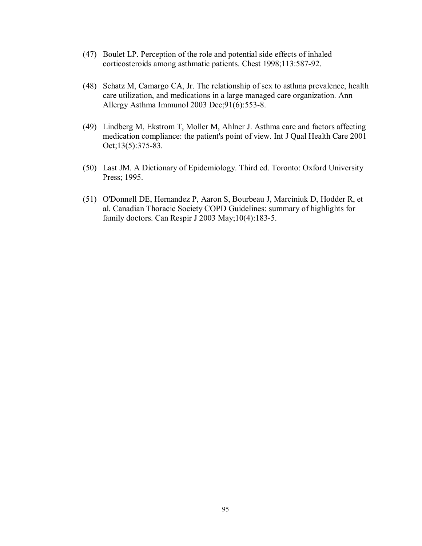- (47) Boulet LP. Perception of the role and potential side effects of inhaled corticosteroids among asthmatic patients. Chest 1998;113:587-92.
- (48) Schatz M, Camargo CA, Jr. The relationship of sex to asthma prevalence, health care utilization, and medications in a large managed care organization. Ann Allergy Asthma Immunol 2003 Dec;91(6):553-8.
- (49) Lindberg M, Ekstrom T, Moller M, Ahlner J. Asthma care and factors affecting medication compliance: the patient's point of view. Int J Qual Health Care 2001 Oct;13(5):375-83.
- (50) Last JM. A Dictionary of Epidemiology. Third ed. Toronto: Oxford University Press; 1995.
- (51) O'Donnell DE, Hernandez P, Aaron S, Bourbeau J, Marciniuk D, Hodder R, et al. Canadian Thoracic Society COPD Guidelines: summary of highlights for family doctors. Can Respir J 2003 May;10(4):183-5.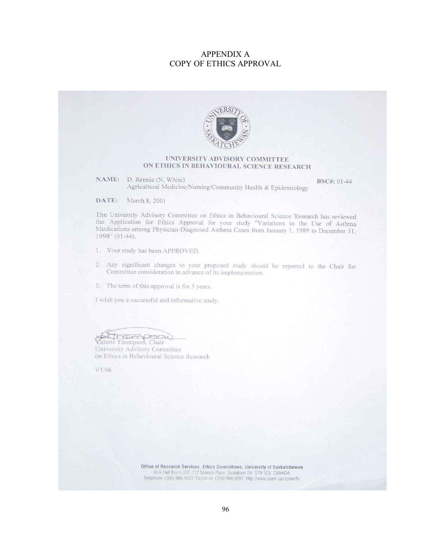## **APPENDIX A** COPY OF ETHICS APPROVAL



## UNIVERSITY ADVISORY COMMITTEE ON ETHICS IN BEHAVIOURAL SCIENCE RESEARCH

NAME: D. Rennie (N. White) Agricultural Medicine/Nursing/Community Health & Epidemiology

BSC#: 01-44

DATE: March 8, 2001

The University Advisory Committee on Ethics in Behavioural Science Research has reviewed the Application for Ethics Approval for your study "Variations in the Use of Asthma Medications among Physician-Diagnosed Asthma Cases from January 1, 1989 to December 31, 1998" (01-44).

- 1. Your study has been APPROVED.
- 2. Any significant changes to your proposed study should be reported to the Chair for Committee consideration in advance of its implementation.
- 3. The term of this approval is for 5 years.

I wish you a successful and informative study.

Albrew Doom

University Advisory Committee on Ethics in Behavioural Science Research

VT/bk

Office of Research Services, Ethics Committees, University of Saskatchewan Kirk Hall Room 207, 117 Science Place, Saskatoon SK S7N 5C8 CANADA<br>Telephone: (306) 966-4053 Facsimile: (306) 966-8597 http://www.usask.ca/research/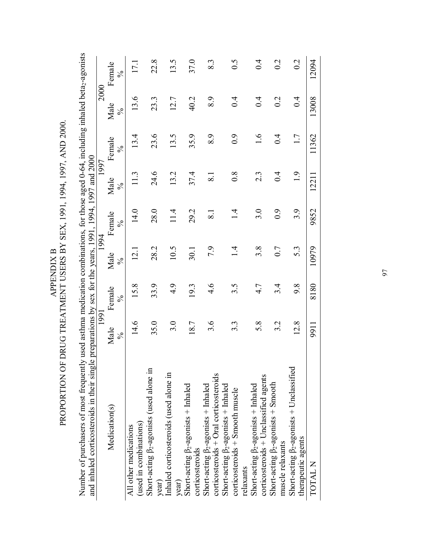| and inhaled corticosteroids in their single preparations by sex for the years, 1991, 1994, 1997 and 2000 | 1991                  |                      | 1994               |                         | 1997               |                      | 2000                  |                         |
|----------------------------------------------------------------------------------------------------------|-----------------------|----------------------|--------------------|-------------------------|--------------------|----------------------|-----------------------|-------------------------|
| Medication(s)                                                                                            | Male<br>$\frac{5}{6}$ | Female<br>$\lesssim$ | Male<br>$\lesssim$ | Female<br>$\frac{5}{6}$ | Male<br>$\lesssim$ | Female<br>$\lesssim$ | Male<br>$\frac{5}{6}$ | Female<br>$\frac{5}{6}$ |
| (used in combinations)<br>All other medications                                                          | 14.6                  | 15.8                 | 12.1               | 14.0                    | 11.3               | 13.4                 | 13.6                  | 17.1                    |
| Short-acting $\beta$ <sub>2</sub> -agonists (used alone in<br>year)                                      | 35.0                  | 33.9                 | 28.2               | 28.0                    | 24.6               | 23.6                 | 23.3                  | 22.8                    |
| Inhaled corticosteroids (used alone in<br>year)                                                          | 3.0                   | 4.9                  | 10.5               | 11.4                    | 13.2               | 13.5                 | 12.7                  | 13.5                    |
| Short-acting $\beta_2$ -agonists + Inhaled<br>corticosteroids                                            | 18.7                  | 19.3                 | 30.1               | 29.2                    | 37.4               | 35.9                 | 40.2                  | 37.0                    |
| corticosteroids + Oral corticosteroids<br>Short-acting $\beta_2$ -agonists + Inhaled                     | 3.6                   | 4.6                  | 7.9                | $\overline{8.1}$        | $\overline{8.1}$   | 8.9                  | 8.9                   | 8.3                     |
| Short-acting $\beta_2$ -agonists + Inhaled<br>corticosteroids + Smooth muscle                            | 33                    | 3.5                  | $\vec{v}$          | $\vec{v}$               | $\overline{0.8}$   | $_{0.9}$             | 0.4                   | 0.5                     |
| corticosteroids + Unclassified agents<br>Short-acting $\beta_2$ -agonists + Inhaled<br>relaxants         | 5.8                   | 4.7                  | 3.8                | 3.0                     | 2.3                | 1.6                  | 0.4                   | 0.4                     |
| Short-acting $\beta_2$ -agonists + Smooth<br>muscle relaxants                                            | 3.2                   | 3.4                  | 0.7                | 0.9                     | 0.4                | 0.4                  | 0.2                   | 0.2                     |
| Short-acting $\beta_2$ -agonists + Unclassified<br>therapeutic agents                                    | 12.8                  | 9.8                  | 5.3                | 3.9                     | 1.9                | 1.7                  | 0.4                   | 0.2                     |
| TOTAL N                                                                                                  | 9911                  | 8180                 | 10979              | 9852                    | 12211              | 11362                | 13008                 | 12094                   |

 ${\sf APENDIX\ B}$  PROPORTION OF DRUG TREATMENT USERS BY SEX, 1991, 1994, 1997, AND 2000. PROPORTION OF DRUG TREATMENT USERS BY SEX, 1991, 1994, 1997, AND 2000. APPENDIX B

97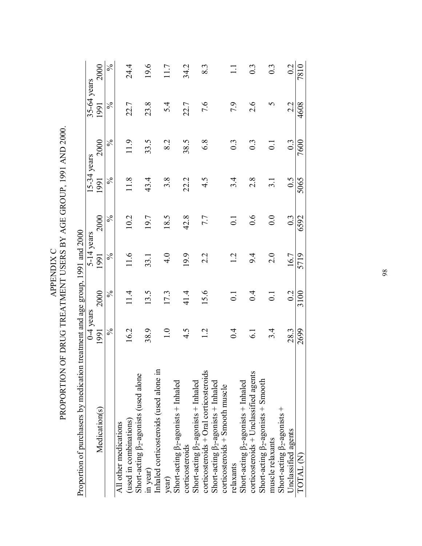| PROPORTION OF DRIG TREATMENT INFERERY ACE GROUP 1001 AND 20<br>)<br>)<br>くらに |  |
|------------------------------------------------------------------------------|--|
|------------------------------------------------------------------------------|--|

| 5<br> <br> }<br> }          |  |
|-----------------------------|--|
| ć                           |  |
| <b>SALES AND THE TABLES</b> |  |
|                             |  |
| ייאר האווואזוואזווי אנדא    |  |
| ביני ביני ביני את ה         |  |
|                             |  |
| と ひそうひりょう こうしょう             |  |
| 2.9122                      |  |
|                             |  |
| ì<br>l<br>I                 |  |

|                                              | $0-4$ years     |                    | 5-14 years    |                  | $15-34$ years             |                  | 35-64 years   |                  |
|----------------------------------------------|-----------------|--------------------|---------------|------------------|---------------------------|------------------|---------------|------------------|
| Medication(s)                                | 1991            | 2000               | 1991          | 2000             | 1991                      | 2000             | 1991          | 2000             |
|                                              | $\%$            | $\frac{5}{6}$      | $\frac{5}{6}$ | ℅                | $\frac{5}{6}$             | $\frac{5}{6}$    | $\frac{5}{6}$ | $\frac{5}{6}$    |
| All other medications                        |                 |                    |               |                  |                           |                  |               |                  |
| (used in combinations)                       | 16.2            | 1.4                | 11.6          | 10.2             | 11.8                      | $\frac{1}{9}$    | 22.7          | 24.4             |
| Short-acting $\beta_2$ -agonists (used alone |                 |                    |               |                  |                           |                  |               |                  |
| in year)                                     | 38.9            | 13.5               | 33.1          | 19.7             | 43.4                      | 33.5             | 23.8          | 19.6             |
| Inhaled corticosteroids (used alone in       |                 |                    |               |                  |                           |                  |               |                  |
| year)                                        | $\frac{1}{1}$   | 17.3               | 4.0           | 18.5             | 3.8                       | 8.2              | 5.4           | 11.7             |
| Short-acting $\beta_2$ -agonists + Inhaled   |                 |                    |               |                  |                           |                  |               |                  |
| corticosteroids                              | 4.5             | 41.4               | 19.9          | 42.8             | 22.2                      | 38.5             | 22.7          | 34.2             |
| Short-acting $\beta_2$ -agonists + Inhaled   |                 |                    |               |                  |                           |                  |               |                  |
| corticosteroids + Oral corticosteroids       | 1.2             | 15.6               | 2.2           | 7.7              | 4.5                       | 6.8              | 7.6           | 8.3              |
| Short-acting $\beta_2$ -agonists + Inhaled   |                 |                    |               |                  |                           |                  |               |                  |
| corticosteroids + Smooth muscle              |                 |                    |               |                  |                           |                  |               |                  |
| relaxants                                    | 0.4             | $\overline{\circ}$ | 1.2           | $\overline{0}$   | 3.4                       | 0.3              | 7.9           | $\Xi$            |
| Short-acting $\beta_2$ -agonists + Inhaled   |                 |                    |               |                  |                           |                  |               |                  |
| corticosteroids + Unclassified agents        | $\overline{61}$ | 0.4                | 9.4           | 0.6              | 2.8                       | $\overline{0}$ : | 2.6           | $0.\overline{3}$ |
| Short-acting $\beta_2$ -agonists + Smooth    |                 |                    |               |                  |                           |                  |               |                  |
| muscle relaxants                             | 3.4             | $\overline{0}$ .   | 2.0           | 0.0              | $\overline{\mathfrak{Z}}$ | $\overline{0}$ . |               | $0.\overline{3}$ |
| Short-acting $\beta_2$ -agonists +           |                 |                    |               |                  |                           |                  |               |                  |
| Unclassified agents                          | 28.3            | 0.2                | 16.7          | $0.\overline{3}$ | $\widetilde{0}$ .5        | 0.3              | 2.2           | 0.2              |
| TOTAL (N)                                    | 2699            | 3100               | 5719          | 6592             | 5065                      | 7600             | 4608          | 7810             |

98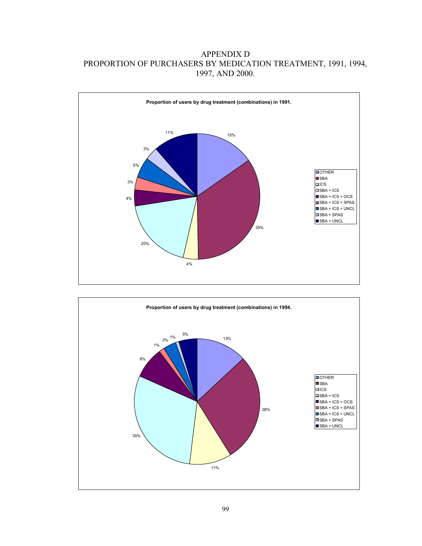## APPENDIX D PROPORTION OF PURCHASERS BY MEDICATION TREATMENT, 1991, 1994, 1997, AND 2000.